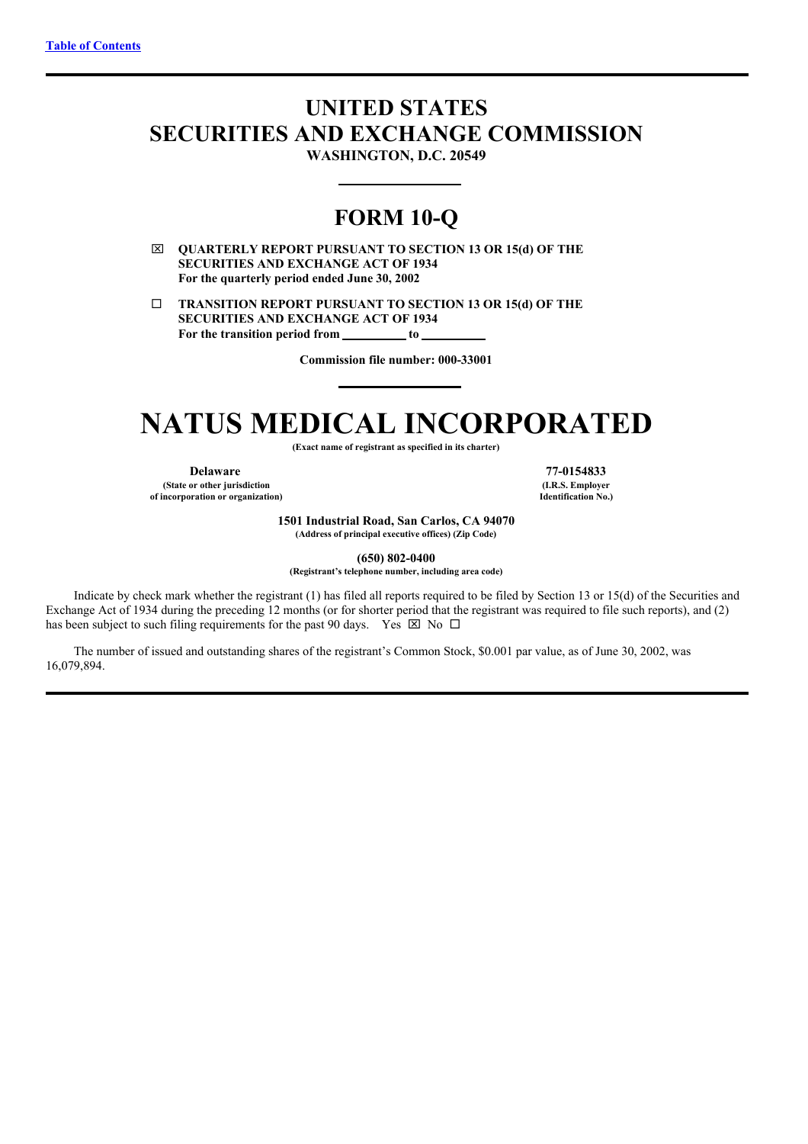# <span id="page-0-0"></span>**UNITED STATES SECURITIES AND EXCHANGE COMMISSION**

**WASHINGTON, D.C. 20549**

## **FORM 10-Q**

x **QUARTERLY REPORT PURSUANT TO SECTION 13 OR 15(d) OF THE SECURITIES AND EXCHANGE ACT OF 1934 For the quarterly period ended June 30, 2002**

¨ **TRANSITION REPORT PURSUANT TO SECTION 13 OR 15(d) OF THE SECURITIES AND EXCHANGE ACT OF 1934 For the transition period from to**

**Commission file number: 000-33001**

# **NATUS MEDICAL INCORPORATED**

**(Exact name of registrant as specified in its charter)**

**Delaware 77-0154833 (State or other jurisdiction of incorporation or organization)**

**(I.R.S. Employer Identification No.)**

**1501 Industrial Road, San Carlos, CA 94070 (Address of principal executive offices) (Zip Code)**

**(650) 802-0400**

**(Registrant's telephone number, including area code)**

Indicate by check mark whether the registrant (1) has filed all reports required to be filed by Section 13 or 15(d) of the Securities and Exchange Act of 1934 during the preceding 12 months (or for shorter period that the registrant was required to file such reports), and (2) has been subject to such filing requirements for the past 90 days. Yes  $\boxtimes$  No  $\Box$ 

The number of issued and outstanding shares of the registrant's Common Stock, \$0.001 par value, as of June 30, 2002, was 16,079,894.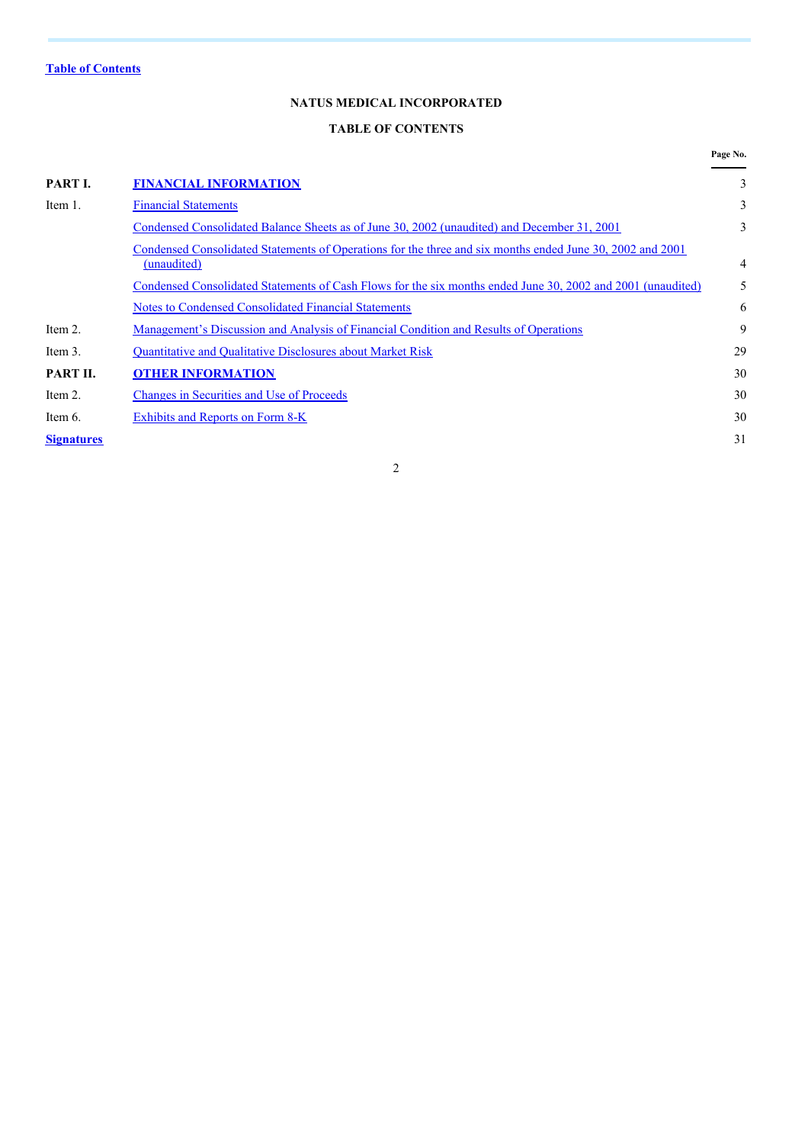## **NATUS MEDICAL INCORPORATED**

## **TABLE OF CONTENTS**

|                   |                                                                                                                          | Page No. |
|-------------------|--------------------------------------------------------------------------------------------------------------------------|----------|
| PART I.           | <b>FINANCIAL INFORMATION</b>                                                                                             | 3        |
| Item 1.           | <b>Financial Statements</b>                                                                                              | 3        |
|                   | Condensed Consolidated Balance Sheets as of June 30, 2002 (unaudited) and December 31, 2001                              | 3        |
|                   | Condensed Consolidated Statements of Operations for the three and six months ended June 30, 2002 and 2001<br>(unaudited) | 4        |
|                   | Condensed Consolidated Statements of Cash Flows for the six months ended June 30, 2002 and 2001 (unaudited)              | 5        |
|                   | Notes to Condensed Consolidated Financial Statements                                                                     | 6        |
| Item 2.           | Management's Discussion and Analysis of Financial Condition and Results of Operations                                    | 9        |
| Item 3.           | <b>Ouantitative and Qualitative Disclosures about Market Risk</b>                                                        | 29       |
| PART II.          | <b>OTHER INFORMATION</b>                                                                                                 | 30       |
| Item 2.           | <b>Changes in Securities and Use of Proceeds</b>                                                                         | 30       |
| Item 6.           | Exhibits and Reports on Form 8-K                                                                                         | 30       |
| <b>Signatures</b> |                                                                                                                          | 31       |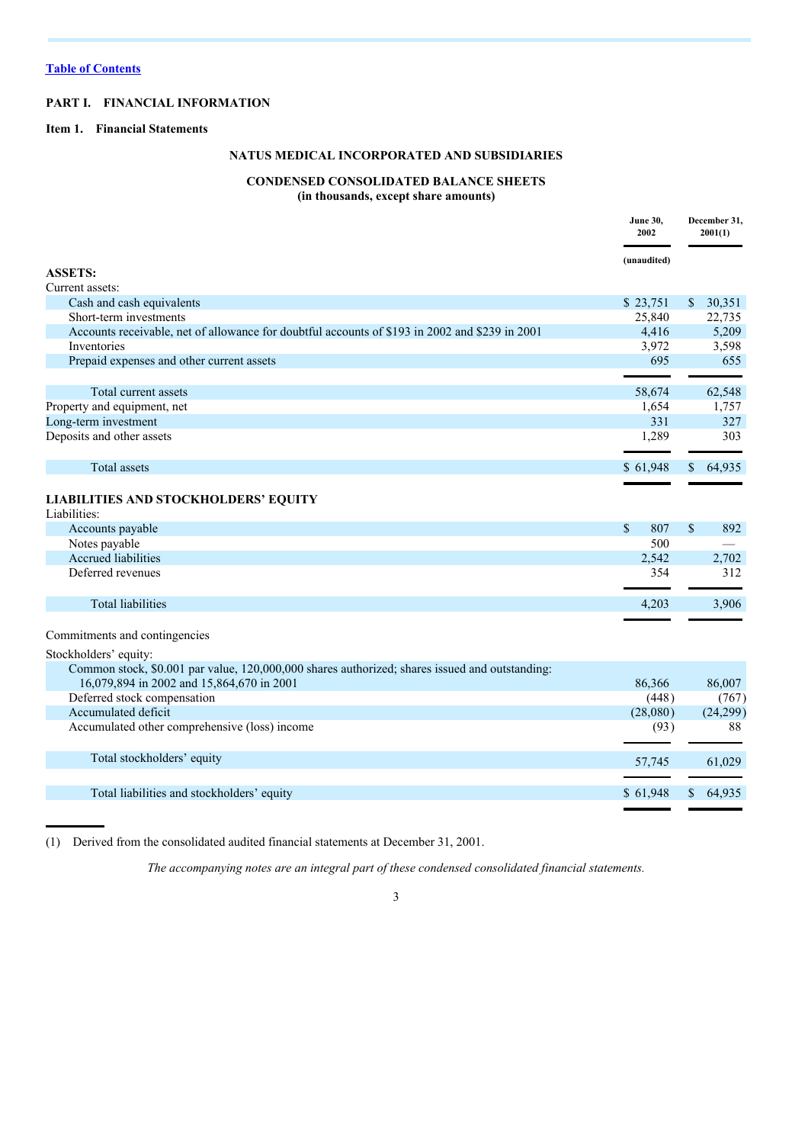## **PART I. FINANCIAL INFORMATION**

### **Item 1. Financial Statements**

## **NATUS MEDICAL INCORPORATED AND SUBSIDIARIES**

## **CONDENSED CONSOLIDATED BALANCE SHEETS**

**(in thousands, except share amounts)**

|                                                                                                | <b>June 30,</b><br>2002 | December 31,<br>2001(1) |
|------------------------------------------------------------------------------------------------|-------------------------|-------------------------|
|                                                                                                | (unaudited)             |                         |
| <b>ASSETS:</b>                                                                                 |                         |                         |
| Current assets:                                                                                |                         |                         |
| Cash and cash equivalents                                                                      | \$23,751                | $\mathbb{S}$<br>30,351  |
| Short-term investments                                                                         | 25,840                  | 22,735                  |
| Accounts receivable, net of allowance for doubtful accounts of \$193 in 2002 and \$239 in 2001 | 4,416                   | 5,209                   |
| Inventories                                                                                    | 3,972                   | 3,598                   |
| Prepaid expenses and other current assets                                                      | 695                     | 655                     |
| Total current assets                                                                           | 58,674                  | 62,548                  |
| Property and equipment, net                                                                    | 1,654                   | 1,757                   |
| Long-term investment                                                                           | 331                     | 327                     |
| Deposits and other assets                                                                      | 1,289                   | 303                     |
| <b>Total</b> assets                                                                            | \$61,948                | 64,935<br>$\mathbb{S}$  |
| LIABILITIES AND STOCKHOLDERS' EQUITY<br>Liabilities:<br>Accounts payable                       | $\mathbb{S}$<br>807     | $\mathbb{S}$<br>892     |
| Notes payable                                                                                  | 500                     |                         |
| Accrued liabilities                                                                            | 2,542                   | 2,702                   |
| Deferred revenues                                                                              | 354                     | 312                     |
|                                                                                                |                         |                         |
| <b>Total liabilities</b>                                                                       | 4,203                   | 3,906                   |
| Commitments and contingencies                                                                  |                         |                         |
| Stockholders' equity:                                                                          |                         |                         |
| Common stock, \$0.001 par value, 120,000,000 shares authorized; shares issued and outstanding: |                         |                         |
| 16,079,894 in 2002 and 15,864,670 in 2001                                                      | 86,366                  | 86,007                  |
| Deferred stock compensation                                                                    | (448)                   | (767)                   |
| Accumulated deficit                                                                            | (28,080)                | (24,299)                |
| Accumulated other comprehensive (loss) income                                                  | (93)                    | 88                      |
|                                                                                                |                         |                         |
| Total stockholders' equity                                                                     | 57,745                  | 61,029                  |
| Total liabilities and stockholders' equity                                                     | \$61,948                | 64,935<br>$\mathcal{S}$ |
|                                                                                                |                         |                         |

(1) Derived from the consolidated audited financial statements at December 31, 2001.

*The accompanying notes are an integral part of these condensed consolidated financial statements.*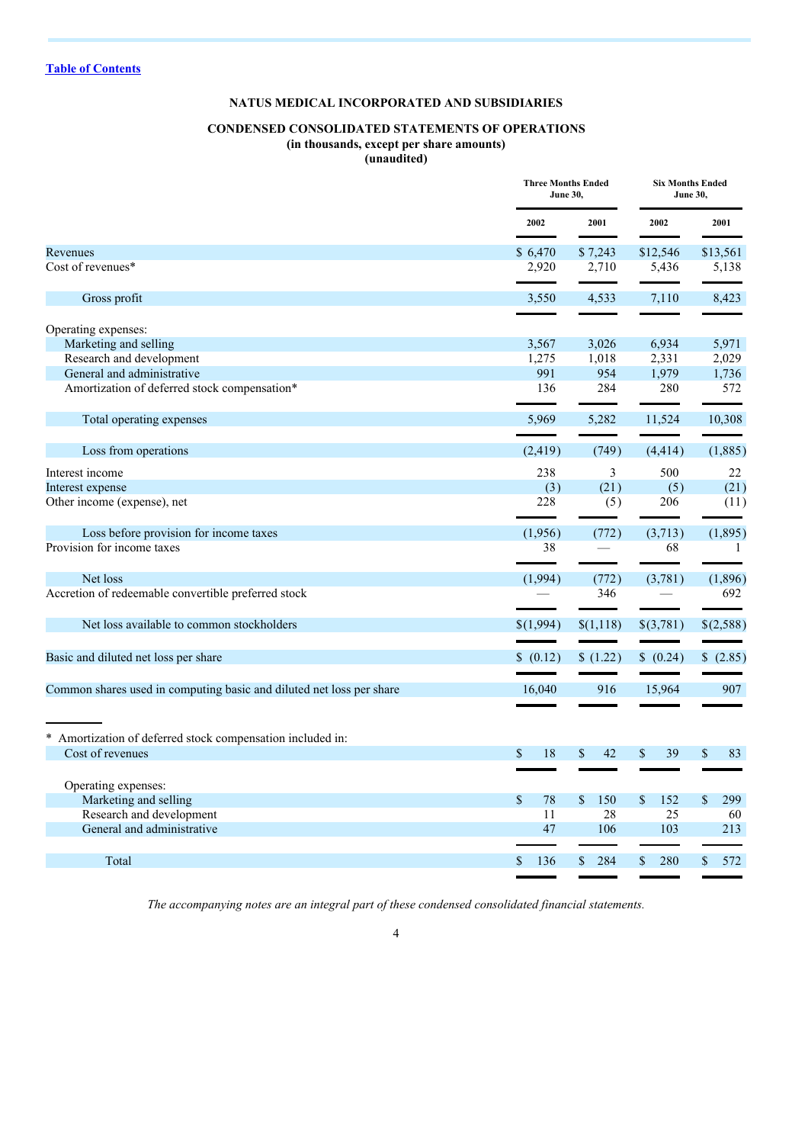## **NATUS MEDICAL INCORPORATED AND SUBSIDIARIES**

#### **CONDENSED CONSOLIDATED STATEMENTS OF OPERATIONS (in thousands, except per share amounts) (unaudited)**

|                                                                      |                   | <b>Three Months Ended</b><br><b>Six Months Ended</b><br><b>June 30,</b><br><b>June 30,</b> |           |                           |  |
|----------------------------------------------------------------------|-------------------|--------------------------------------------------------------------------------------------|-----------|---------------------------|--|
|                                                                      | 2002              | 2001                                                                                       | 2002      | 2001                      |  |
| Revenues                                                             | \$6,470           | \$7,243                                                                                    | \$12,546  | \$13,561                  |  |
| Cost of revenues*                                                    | 2,920             | 2,710                                                                                      | 5,436     | 5,138                     |  |
| Gross profit                                                         | 3,550             | 4,533                                                                                      | 7,110     | 8,423                     |  |
|                                                                      |                   |                                                                                            |           |                           |  |
| Operating expenses:                                                  |                   |                                                                                            |           |                           |  |
| Marketing and selling                                                | 3,567             | 3,026                                                                                      | 6,934     | 5,971                     |  |
| Research and development                                             | 1,275             | 1,018                                                                                      | 2,331     | 2,029                     |  |
| General and administrative                                           | 991               | 954                                                                                        | 1,979     | 1,736                     |  |
| Amortization of deferred stock compensation*                         | 136               | 284                                                                                        | 280       | 572                       |  |
| Total operating expenses                                             | 5,969             | 5,282                                                                                      | 11,524    | 10,308                    |  |
|                                                                      |                   |                                                                                            |           |                           |  |
| Loss from operations                                                 | (2, 419)          | (749)                                                                                      | (4, 414)  | (1,885)                   |  |
| Interest income                                                      | 238               | 3                                                                                          | 500       | 22                        |  |
| Interest expense                                                     | (3)               | (21)                                                                                       | (5)       | (21)                      |  |
| Other income (expense), net                                          | 228               | (5)                                                                                        | 206       | (11)                      |  |
| Loss before provision for income taxes                               | (1,956)           | (772)                                                                                      | (3,713)   | (1,895)                   |  |
| Provision for income taxes                                           | 38                |                                                                                            | 68        | -1                        |  |
| Net loss                                                             | (1,994)           | (772)                                                                                      | (3,781)   | (1,896)                   |  |
| Accretion of redeemable convertible preferred stock                  |                   | 346                                                                                        |           | 692                       |  |
| Net loss available to common stockholders                            | \$(1,994)         | \$(1,118)                                                                                  | \$(3,781) | \$(2,588)                 |  |
|                                                                      | \$ (0.12)         |                                                                                            |           |                           |  |
| Basic and diluted net loss per share                                 |                   | \$(1.22)                                                                                   | \$ (0.24) | \$(2.85)                  |  |
| Common shares used in computing basic and diluted net loss per share | 16,040            | 916                                                                                        | 15,964    | 907                       |  |
|                                                                      |                   |                                                                                            |           |                           |  |
| * Amortization of deferred stock compensation included in:           |                   |                                                                                            |           |                           |  |
| Cost of revenues                                                     | $\mathbf S$<br>18 | 42<br>\$                                                                                   | \$<br>39  | \$<br>83                  |  |
|                                                                      |                   |                                                                                            |           |                           |  |
| Operating expenses:                                                  |                   |                                                                                            |           |                           |  |
| Marketing and selling                                                | $\mathbf S$<br>78 | 150<br>\$                                                                                  | 152<br>S  | 299<br>$\mathbf{\hat{s}}$ |  |
| Research and development                                             | 11                | 28                                                                                         | 25        | 60                        |  |
| General and administrative                                           | 47                | 106                                                                                        | 103       | 213                       |  |
|                                                                      | \$                | \$<br>284                                                                                  | 280       | $\mathbb{S}$<br>572       |  |
| Total                                                                | 136               |                                                                                            | \$        |                           |  |

*The accompanying notes are an integral part of these condensed consolidated financial statements.*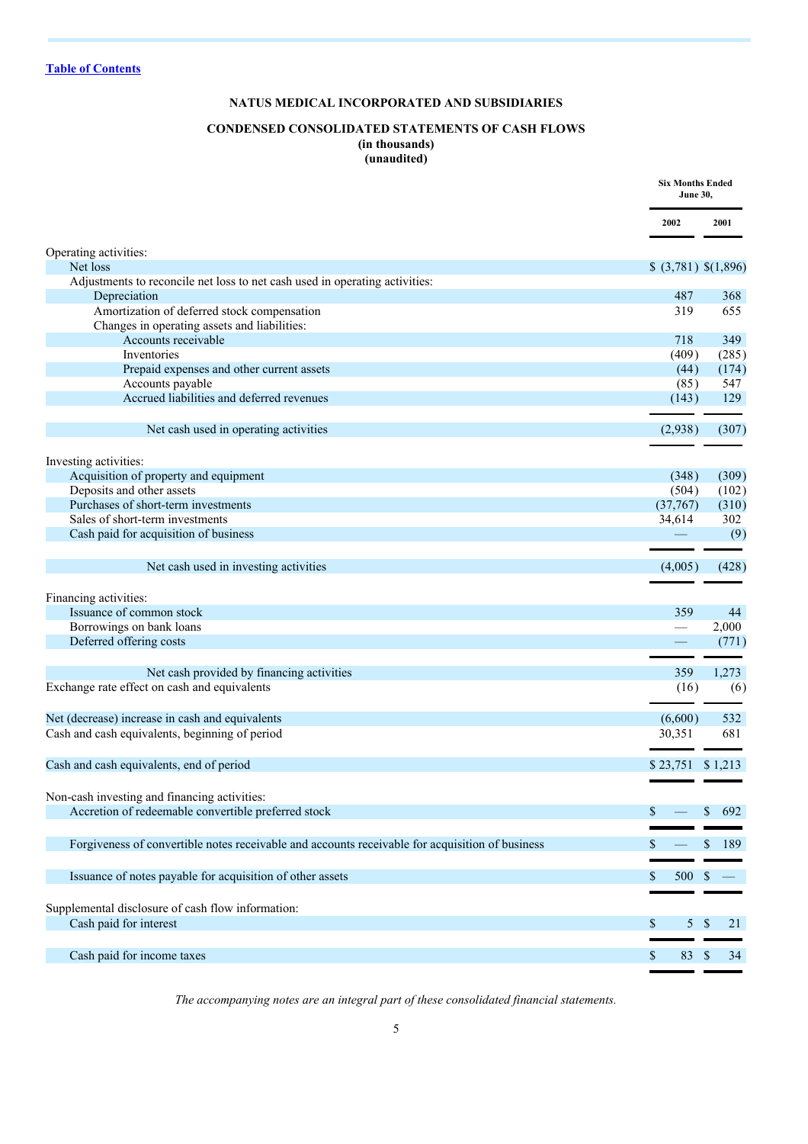## **NATUS MEDICAL INCORPORATED AND SUBSIDIARIES**

#### **CONDENSED CONSOLIDATED STATEMENTS OF CASH FLOWS (in thousands) (unaudited)**

|                                                                                                 | <b>Six Months Ended</b><br><b>June 30,</b> |               |
|-------------------------------------------------------------------------------------------------|--------------------------------------------|---------------|
|                                                                                                 | 2002                                       | 2001          |
| Operating activities:                                                                           |                                            |               |
| Net loss<br>Adjustments to reconcile net loss to net cash used in operating activities:         | \$ (3,781) \$(1,896)                       |               |
| Depreciation                                                                                    | 487                                        | 368           |
| Amortization of deferred stock compensation                                                     | 319                                        | 655           |
| Changes in operating assets and liabilities:                                                    |                                            |               |
| Accounts receivable                                                                             | 718                                        | 349           |
| Inventories                                                                                     | (409)                                      | (285)         |
| Prepaid expenses and other current assets                                                       | (44)                                       | (174)         |
| Accounts payable                                                                                | (85)                                       | 547           |
| Accrued liabilities and deferred revenues                                                       | (143)                                      | 129           |
|                                                                                                 |                                            |               |
| Net cash used in operating activities                                                           | (2,938)                                    | (307)         |
|                                                                                                 |                                            |               |
| Investing activities:                                                                           |                                            |               |
| Acquisition of property and equipment                                                           | (348)                                      | (309)         |
| Deposits and other assets                                                                       | (504)                                      | (102)         |
| Purchases of short-term investments                                                             | (37,767)                                   | (310)         |
| Sales of short-term investments                                                                 | 34,614                                     | 302           |
| Cash paid for acquisition of business                                                           |                                            | (9)           |
|                                                                                                 |                                            |               |
| Net cash used in investing activities                                                           | (4,005)                                    | (428)         |
|                                                                                                 |                                            |               |
|                                                                                                 |                                            |               |
| Financing activities:<br>Issuance of common stock                                               | 359                                        | 44            |
| Borrowings on bank loans                                                                        |                                            |               |
| Deferred offering costs                                                                         |                                            | 2,000         |
|                                                                                                 |                                            | (771)         |
|                                                                                                 | 359                                        | 1,273         |
| Net cash provided by financing activities                                                       |                                            |               |
| Exchange rate effect on cash and equivalents                                                    | (16)                                       | (6)           |
| Net (decrease) increase in cash and equivalents                                                 | (6,600)                                    | 532           |
| Cash and cash equivalents, beginning of period                                                  | 30,351                                     | 681           |
|                                                                                                 |                                            |               |
| Cash and cash equivalents, end of period                                                        | \$23,751                                   | \$1,213       |
|                                                                                                 |                                            |               |
|                                                                                                 |                                            |               |
| Non-cash investing and financing activities:                                                    |                                            |               |
| Accretion of redeemable convertible preferred stock                                             |                                            | \$<br>692     |
|                                                                                                 |                                            |               |
| Forgiveness of convertible notes receivable and accounts receivable for acquisition of business | S                                          | \$<br>189     |
|                                                                                                 |                                            |               |
| Issuance of notes payable for acquisition of other assets                                       | 500<br>\$                                  | <sup>\$</sup> |
|                                                                                                 |                                            |               |
| Supplemental disclosure of cash flow information:                                               |                                            |               |
| Cash paid for interest                                                                          | \$                                         | 5S<br>21      |
|                                                                                                 |                                            |               |
| Cash paid for income taxes                                                                      | 83 \$<br>\$                                | 34            |
|                                                                                                 |                                            |               |

*The accompanying notes are an integral part of these consolidated financial statements.*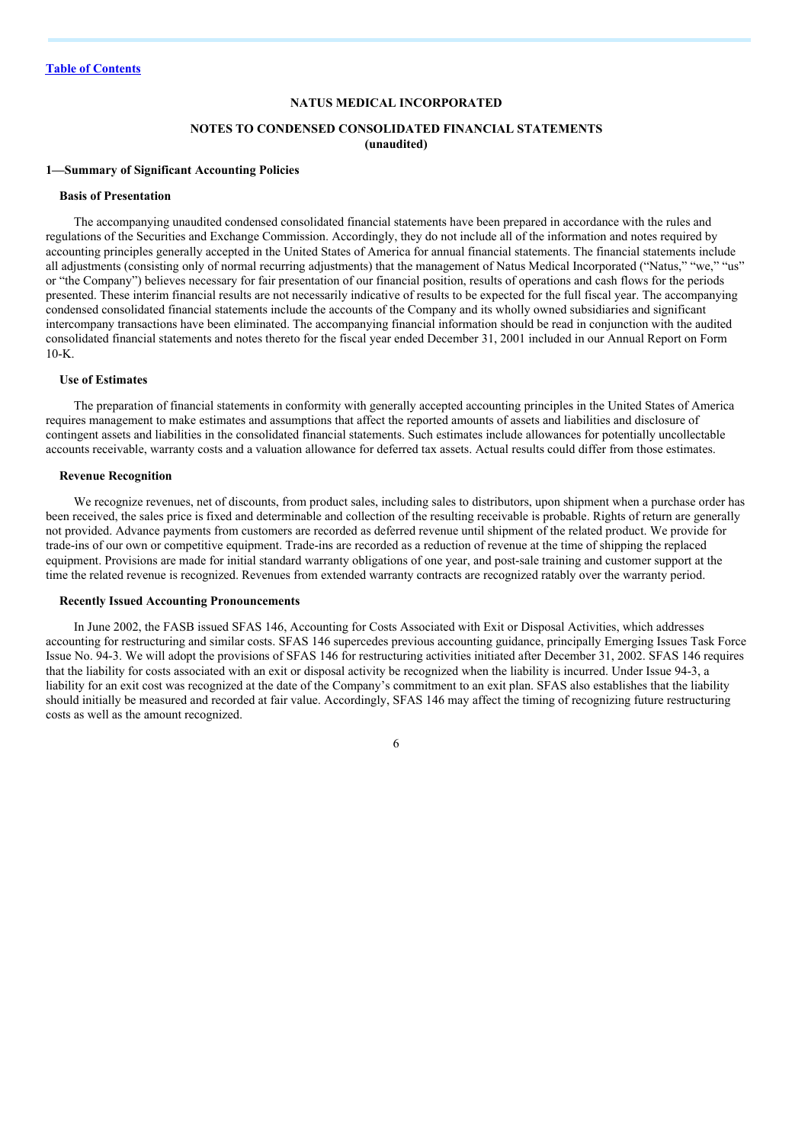#### **NATUS MEDICAL INCORPORATED**

#### **NOTES TO CONDENSED CONSOLIDATED FINANCIAL STATEMENTS (unaudited)**

#### **1—Summary of Significant Accounting Policies**

#### **Basis of Presentation**

The accompanying unaudited condensed consolidated financial statements have been prepared in accordance with the rules and regulations of the Securities and Exchange Commission. Accordingly, they do not include all of the information and notes required by accounting principles generally accepted in the United States of America for annual financial statements. The financial statements include all adjustments (consisting only of normal recurring adjustments) that the management of Natus Medical Incorporated ("Natus," "we," "us" or "the Company") believes necessary for fair presentation of our financial position, results of operations and cash flows for the periods presented. These interim financial results are not necessarily indicative of results to be expected for the full fiscal year. The accompanying condensed consolidated financial statements include the accounts of the Company and its wholly owned subsidiaries and significant intercompany transactions have been eliminated. The accompanying financial information should be read in conjunction with the audited consolidated financial statements and notes thereto for the fiscal year ended December 31, 2001 included in our Annual Report on Form  $10-K$ 

#### **Use of Estimates**

The preparation of financial statements in conformity with generally accepted accounting principles in the United States of America requires management to make estimates and assumptions that affect the reported amounts of assets and liabilities and disclosure of contingent assets and liabilities in the consolidated financial statements. Such estimates include allowances for potentially uncollectable accounts receivable, warranty costs and a valuation allowance for deferred tax assets. Actual results could differ from those estimates.

#### **Revenue Recognition**

We recognize revenues, net of discounts, from product sales, including sales to distributors, upon shipment when a purchase order has been received, the sales price is fixed and determinable and collection of the resulting receivable is probable. Rights of return are generally not provided. Advance payments from customers are recorded as deferred revenue until shipment of the related product. We provide for trade-ins of our own or competitive equipment. Trade-ins are recorded as a reduction of revenue at the time of shipping the replaced equipment. Provisions are made for initial standard warranty obligations of one year, and post-sale training and customer support at the time the related revenue is recognized. Revenues from extended warranty contracts are recognized ratably over the warranty period.

#### **Recently Issued Accounting Pronouncements**

In June 2002, the FASB issued SFAS 146, Accounting for Costs Associated with Exit or Disposal Activities, which addresses accounting for restructuring and similar costs. SFAS 146 supercedes previous accounting guidance, principally Emerging Issues Task Force Issue No. 94-3. We will adopt the provisions of SFAS 146 for restructuring activities initiated after December 31, 2002. SFAS 146 requires that the liability for costs associated with an exit or disposal activity be recognized when the liability is incurred. Under Issue 94-3, a liability for an exit cost was recognized at the date of the Company's commitment to an exit plan. SFAS also establishes that the liability should initially be measured and recorded at fair value. Accordingly, SFAS 146 may affect the timing of recognizing future restructuring costs as well as the amount recognized.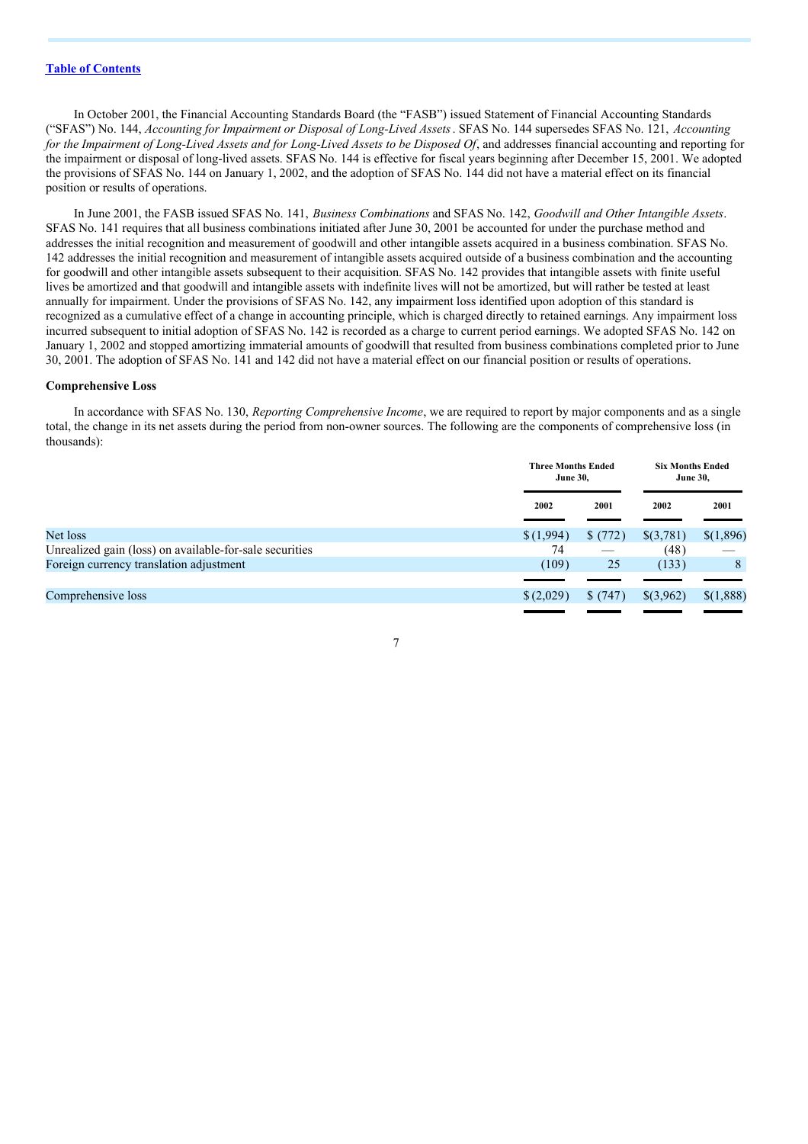In October 2001, the Financial Accounting Standards Board (the "FASB") issued Statement of Financial Accounting Standards ("SFAS") No. 144, *Accounting for Impairment or Disposal of Long-Lived Assets*. SFAS No. 144 supersedes SFAS No. 121, *Accounting* for the Impairment of Long-Lived Assets and for Long-Lived Assets to be Disposed Of, and addresses financial accounting and reporting for the impairment or disposal of long-lived assets. SFAS No. 144 is effective for fiscal years beginning after December 15, 2001. We adopted the provisions of SFAS No. 144 on January 1, 2002, and the adoption of SFAS No. 144 did not have a material effect on its financial position or results of operations.

In June 2001, the FASB issued SFAS No. 141, *Business Combinations* and SFAS No. 142, *Goodwill and Other Intangible Assets*. SFAS No. 141 requires that all business combinations initiated after June 30, 2001 be accounted for under the purchase method and addresses the initial recognition and measurement of goodwill and other intangible assets acquired in a business combination. SFAS No. 142 addresses the initial recognition and measurement of intangible assets acquired outside of a business combination and the accounting for goodwill and other intangible assets subsequent to their acquisition. SFAS No. 142 provides that intangible assets with finite useful lives be amortized and that goodwill and intangible assets with indefinite lives will not be amortized, but will rather be tested at least annually for impairment. Under the provisions of SFAS No. 142, any impairment loss identified upon adoption of this standard is recognized as a cumulative effect of a change in accounting principle, which is charged directly to retained earnings. Any impairment loss incurred subsequent to initial adoption of SFAS No. 142 is recorded as a charge to current period earnings. We adopted SFAS No. 142 on January 1, 2002 and stopped amortizing immaterial amounts of goodwill that resulted from business combinations completed prior to June 30, 2001. The adoption of SFAS No. 141 and 142 did not have a material effect on our financial position or results of operations.

#### **Comprehensive Loss**

In accordance with SFAS No. 130, *Reporting Comprehensive Income*, we are required to report by major components and as a single total, the change in its net assets during the period from non-owner sources. The following are the components of comprehensive loss (in thousands):

|                                                         |           | <b>Six Months Ended</b><br><b>Three Months Ended</b><br><b>June 30,</b><br><b>June 30,</b> |           |           |
|---------------------------------------------------------|-----------|--------------------------------------------------------------------------------------------|-----------|-----------|
|                                                         | 2002      | 2001                                                                                       | 2002      | 2001      |
| Net loss                                                | \$(1,994) | \$(772)                                                                                    | \$(3,781) | \$(1,896) |
| Unrealized gain (loss) on available-for-sale securities | 74        |                                                                                            | (48)      |           |
| Foreign currency translation adjustment                 | (109)     | 25                                                                                         | (133)     | 8         |
|                                                         |           |                                                                                            |           |           |
| Comprehensive loss                                      | \$(2,029) | \$(747)                                                                                    | \$(3,962) | \$(1,888) |
|                                                         |           |                                                                                            |           |           |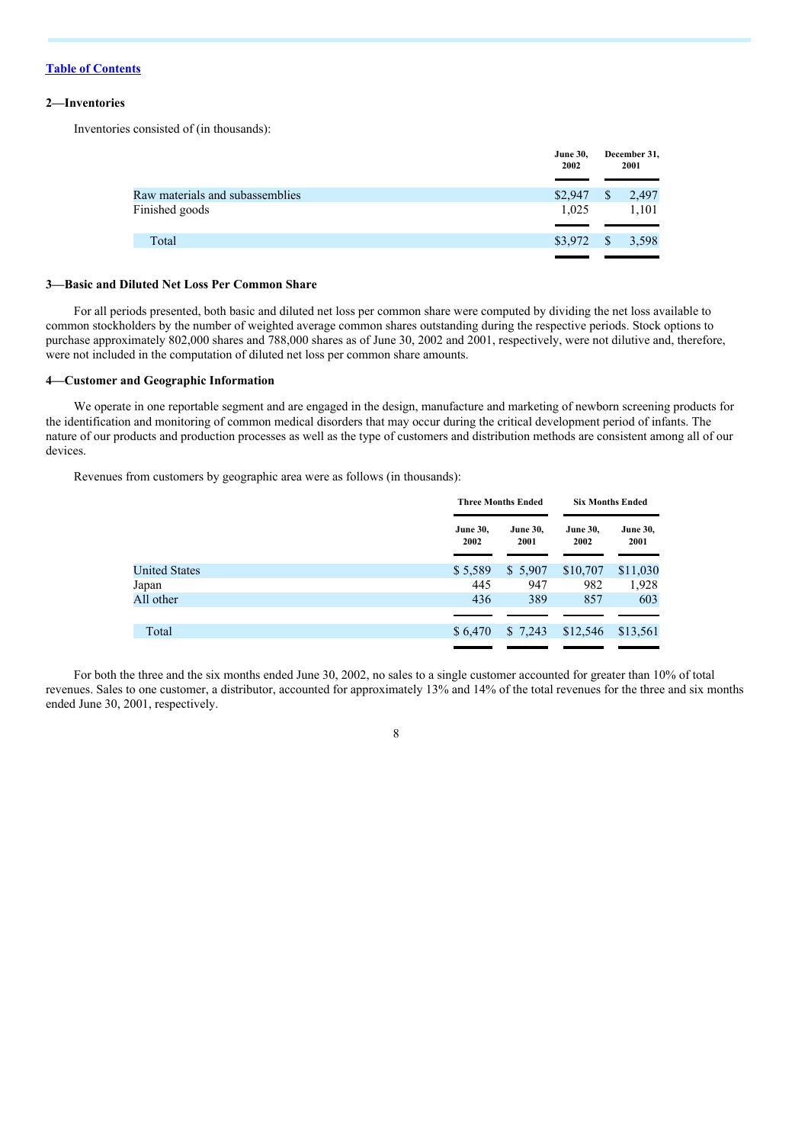#### **2—Inventories**

Inventories consisted of (in thousands):

|                                 | <b>June 30,</b><br>2002 |              | December 31,<br>2001 |
|---------------------------------|-------------------------|--------------|----------------------|
| Raw materials and subassemblies | \$2,947                 | <sup>S</sup> | 2,497                |
| Finished goods                  | 1,025                   |              | 1,101                |
|                                 |                         |              |                      |
| Total                           | \$3,972                 | - \$         | 3,598                |
|                                 |                         |              |                      |

#### **3—Basic and Diluted Net Loss Per Common Share**

For all periods presented, both basic and diluted net loss per common share were computed by dividing the net loss available to common stockholders by the number of weighted average common shares outstanding during the respective periods. Stock options to purchase approximately 802,000 shares and 788,000 shares as of June 30, 2002 and 2001, respectively, were not dilutive and, therefore, were not included in the computation of diluted net loss per common share amounts.

#### **4—Customer and Geographic Information**

We operate in one reportable segment and are engaged in the design, manufacture and marketing of newborn screening products for the identification and monitoring of common medical disorders that may occur during the critical development period of infants. The nature of our products and production processes as well as the type of customers and distribution methods are consistent among all of our devices.

Revenues from customers by geographic area were as follows (in thousands):

|                         | <b>Three Months Ended</b> |                         | <b>Six Months Ended</b> |  |
|-------------------------|---------------------------|-------------------------|-------------------------|--|
| <b>June 30,</b><br>2002 | <b>June 30.</b><br>2001   | <b>June 30.</b><br>2002 | <b>June 30,</b><br>2001 |  |
| \$5,589                 | \$5,907                   | \$10,707                | \$11,030                |  |
| 445                     | 947                       | 982                     | 1,928                   |  |
| 436                     | 389                       | 857                     | 603                     |  |
|                         |                           |                         |                         |  |
| \$6,470                 | \$7,243                   | \$12,546                | \$13,561                |  |
|                         |                           |                         |                         |  |

For both the three and the six months ended June 30, 2002, no sales to a single customer accounted for greater than 10% of total revenues. Sales to one customer, a distributor, accounted for approximately 13% and 14% of the total revenues for the three and six months ended June 30, 2001, respectively.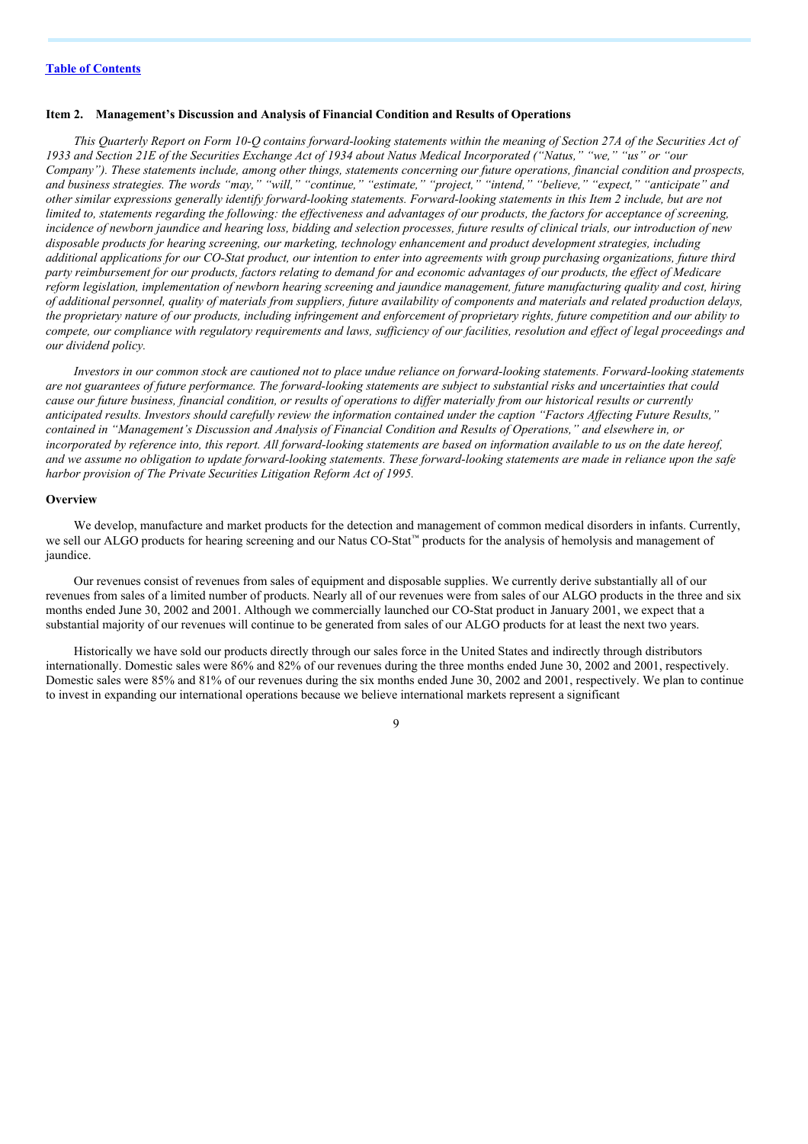#### **Item 2. Management's Discussion and Analysis of Financial Condition and Results of Operations**

This Quarterly Report on Form 10-Q contains forward-looking statements within the meaning of Section 27A of the Securities Act of 1933 and Section 21E of the Securities Exchange Act of 1934 about Natus Medical Incorporated ("Natus," "we," "us" or "our Company"). These statements include, among other things, statements concerning our future operations, financial condition and prospects, and business strategies. The words "may," "will," "continue," "estimate," "project," "intend," "believe," "expect," "anticipate" and other similar expressions generally identify forward-looking statements. Forward-looking statements in this Item 2 include, but are not limited to, statements regarding the following: the effectiveness and advantages of our products, the factors for acceptance of screening, incidence of newborn jaundice and hearing loss, bidding and selection processes, future results of clinical trials, our introduction of new *disposable products for hearing screening, our marketing, technology enhancement and product development strategies, including* additional applications for our CO-Stat product, our intention to enter into agreements with group purchasing organizations, future third party reimbursement for our products, factors relating to demand for and economic advantages of our products, the effect of Medicare reform legislation, implementation of newborn hearing screening and jaundice management, future manufacturing quality and cost, hiring of additional personnel, quality of materials from suppliers, future availability of components and materials and related production delays, the proprietary nature of our products, including infringement and enforcement of proprietary rights, future competition and our ability to compete, our compliance with regulatory requirements and laws, sufficiency of our facilities, resolution and effect of legal proceedings and *our dividend policy.*

Investors in our common stock are cautioned not to place undue reliance on forward-looking statements. Forward-looking statements are not guarantees of future performance. The forward-looking statements are subject to substantial risks and uncertainties that could cause our future business, financial condition, or results of operations to differ materially from our historical results or currently anticipated results. Investors should carefully review the information contained under the caption "Factors Affecting Future Results," contained in "Management's Discussion and Analysis of Financial Condition and Results of Operations," and elsewhere in, or incorporated by reference into, this report. All forward-looking statements are based on information available to us on the date hereof, and we assume no obligation to update forward-looking statements. These forward-looking statements are made in reliance upon the safe *harbor provision of The Private Securities Litigation Reform Act of 1995.*

#### **Overview**

We develop, manufacture and market products for the detection and management of common medical disorders in infants. Currently, we sell our ALGO products for hearing screening and our Natus CO-Stat™ products for the analysis of hemolysis and management of iaundice.

Our revenues consist of revenues from sales of equipment and disposable supplies. We currently derive substantially all of our revenues from sales of a limited number of products. Nearly all of our revenues were from sales of our ALGO products in the three and six months ended June 30, 2002 and 2001. Although we commercially launched our CO-Stat product in January 2001, we expect that a substantial majority of our revenues will continue to be generated from sales of our ALGO products for at least the next two years.

Historically we have sold our products directly through our sales force in the United States and indirectly through distributors internationally. Domestic sales were 86% and 82% of our revenues during the three months ended June 30, 2002 and 2001, respectively. Domestic sales were 85% and 81% of our revenues during the six months ended June 30, 2002 and 2001, respectively. We plan to continue to invest in expanding our international operations because we believe international markets represent a significant

 $\overline{Q}$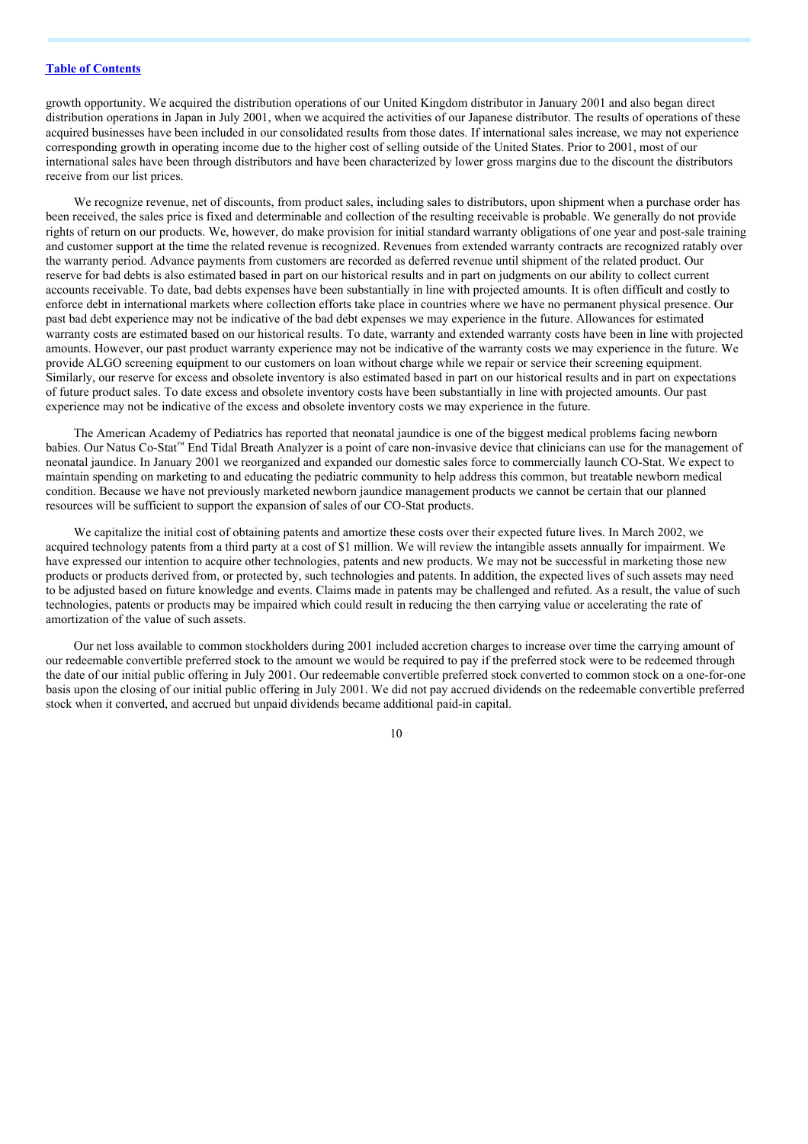growth opportunity. We acquired the distribution operations of our United Kingdom distributor in January 2001 and also began direct distribution operations in Japan in July 2001, when we acquired the activities of our Japanese distributor. The results of operations of these acquired businesses have been included in our consolidated results from those dates. If international sales increase, we may not experience corresponding growth in operating income due to the higher cost of selling outside of the United States. Prior to 2001, most of our international sales have been through distributors and have been characterized by lower gross margins due to the discount the distributors receive from our list prices.

We recognize revenue, net of discounts, from product sales, including sales to distributors, upon shipment when a purchase order has been received, the sales price is fixed and determinable and collection of the resulting receivable is probable. We generally do not provide rights of return on our products. We, however, do make provision for initial standard warranty obligations of one year and post-sale training and customer support at the time the related revenue is recognized. Revenues from extended warranty contracts are recognized ratably over the warranty period. Advance payments from customers are recorded as deferred revenue until shipment of the related product. Our reserve for bad debts is also estimated based in part on our historical results and in part on judgments on our ability to collect current accounts receivable. To date, bad debts expenses have been substantially in line with projected amounts. It is often difficult and costly to enforce debt in international markets where collection efforts take place in countries where we have no permanent physical presence. Our past bad debt experience may not be indicative of the bad debt expenses we may experience in the future. Allowances for estimated warranty costs are estimated based on our historical results. To date, warranty and extended warranty costs have been in line with projected amounts. However, our past product warranty experience may not be indicative of the warranty costs we may experience in the future. We provide ALGO screening equipment to our customers on loan without charge while we repair or service their screening equipment. Similarly, our reserve for excess and obsolete inventory is also estimated based in part on our historical results and in part on expectations of future product sales. To date excess and obsolete inventory costs have been substantially in line with projected amounts. Our past experience may not be indicative of the excess and obsolete inventory costs we may experience in the future.

The American Academy of Pediatrics has reported that neonatal jaundice is one of the biggest medical problems facing newborn babies. Our Natus Co-Stat™ End Tidal Breath Analyzer is a point of care non-invasive device that clinicians can use for the management of neonatal jaundice. In January 2001 we reorganized and expanded our domestic sales force to commercially launch CO-Stat. We expect to maintain spending on marketing to and educating the pediatric community to help address this common, but treatable newborn medical condition. Because we have not previously marketed newborn jaundice management products we cannot be certain that our planned resources will be sufficient to support the expansion of sales of our CO-Stat products.

We capitalize the initial cost of obtaining patents and amortize these costs over their expected future lives. In March 2002, we acquired technology patents from a third party at a cost of \$1 million. We will review the intangible assets annually for impairment. We have expressed our intention to acquire other technologies, patents and new products. We may not be successful in marketing those new products or products derived from, or protected by, such technologies and patents. In addition, the expected lives of such assets may need to be adjusted based on future knowledge and events. Claims made in patents may be challenged and refuted. As a result, the value of such technologies, patents or products may be impaired which could result in reducing the then carrying value or accelerating the rate of amortization of the value of such assets.

Our net loss available to common stockholders during 2001 included accretion charges to increase over time the carrying amount of our redeemable convertible preferred stock to the amount we would be required to pay if the preferred stock were to be redeemed through the date of our initial public offering in July 2001. Our redeemable convertible preferred stock converted to common stock on a one-for-one basis upon the closing of our initial public offering in July 2001. We did not pay accrued dividends on the redeemable convertible preferred stock when it converted, and accrued but unpaid dividends became additional paid-in capital.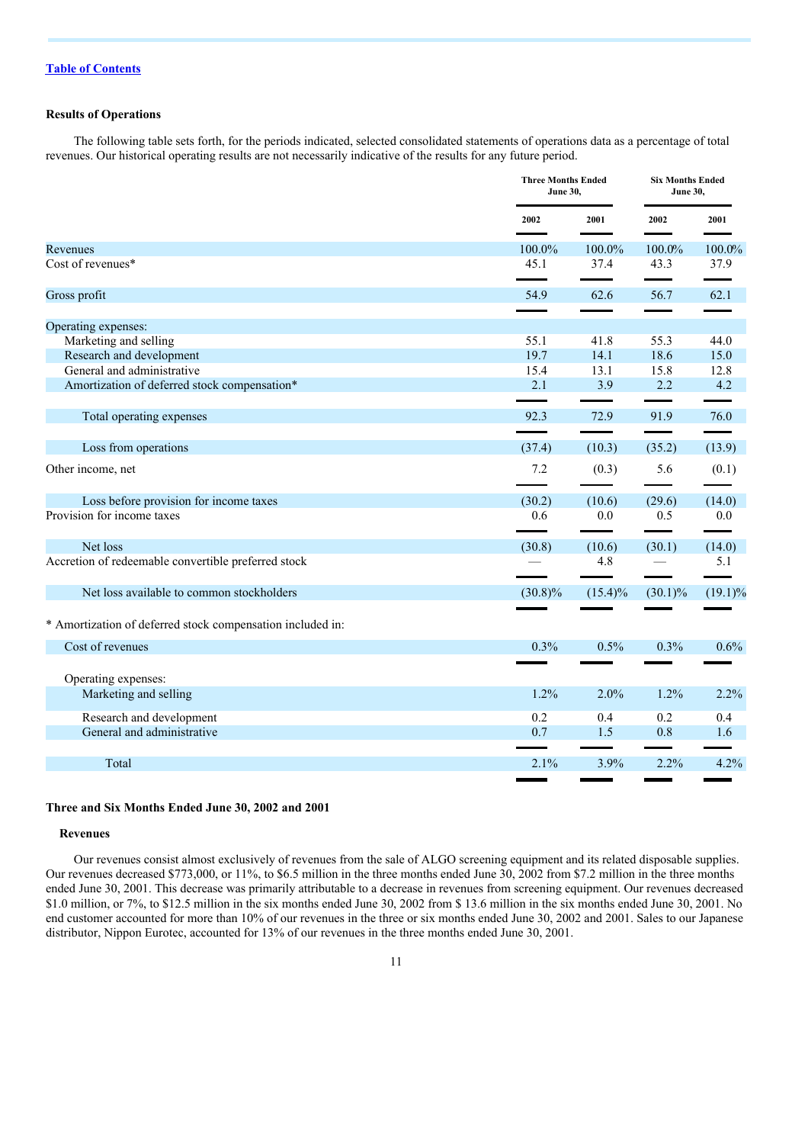#### **Results of Operations**

The following table sets forth, for the periods indicated, selected consolidated statements of operations data as a percentage of total revenues. Our historical operating results are not necessarily indicative of the results for any future period.

|                                                            | <b>Three Months Ended</b><br><b>June 30,</b> |            | <b>Six Months Ended</b><br><b>June 30,</b> |            |
|------------------------------------------------------------|----------------------------------------------|------------|--------------------------------------------|------------|
|                                                            | 2002                                         | 2001       | 2002                                       | 2001       |
| Revenues                                                   | 100.0%                                       | 100.0%     | 100.0%                                     | 100.0%     |
| Cost of revenues*                                          | 45.1                                         | 37.4       | 43.3                                       | 37.9       |
| Gross profit                                               | 54.9                                         | 62.6       | 56.7                                       | 62.1       |
|                                                            |                                              |            |                                            |            |
| Operating expenses:                                        | 55.1                                         | 41.8       | 55.3                                       | 44.0       |
| Marketing and selling<br>Research and development          | 19.7                                         | 14.1       | 18.6                                       | 15.0       |
| General and administrative                                 | 15.4                                         | 13.1       | 15.8                                       | 12.8       |
| Amortization of deferred stock compensation*               | 2.1                                          | 3.9        | 2.2                                        | 4.2        |
|                                                            |                                              |            |                                            |            |
| Total operating expenses                                   | 92.3                                         | 72.9       | 91.9                                       | 76.0       |
|                                                            |                                              |            |                                            |            |
| Loss from operations                                       | (37.4)                                       | (10.3)     | (35.2)                                     | (13.9)     |
| Other income, net                                          | 7.2                                          | (0.3)      | 5.6                                        | (0.1)      |
| Loss before provision for income taxes                     | (30.2)                                       | (10.6)     | (29.6)                                     | (14.0)     |
| Provision for income taxes                                 | 0.6                                          | 0.0        | 0.5                                        | 0.0        |
| Net loss                                                   | (30.8)                                       | (10.6)     | (30.1)                                     | (14.0)     |
| Accretion of redeemable convertible preferred stock        |                                              | 4.8        |                                            | 5.1        |
| Net loss available to common stockholders                  | $(30.8)\%$                                   | $(15.4)\%$ | $(30.1)\%$                                 | $(19.1)\%$ |
| * Amortization of deferred stock compensation included in: |                                              |            |                                            |            |
| Cost of revenues                                           | 0.3%                                         | 0.5%       | 0.3%                                       | 0.6%       |
|                                                            |                                              |            |                                            |            |
| Operating expenses:                                        |                                              |            |                                            |            |
| Marketing and selling                                      | $1.2\%$                                      | $2.0\%$    | $1.2\%$                                    | 2.2%       |
| Research and development                                   | 0.2                                          | 0.4        | 0.2                                        | 0.4        |
| General and administrative                                 | 0.7                                          | 1.5        | 0.8                                        | 1.6        |
| Total                                                      | 2.1%                                         | 3.9%       | 2.2%                                       | 4.2%       |

#### **Three and Six Months Ended June 30, 2002 and 2001**

#### **Revenues**

Our revenues consist almost exclusively of revenues from the sale of ALGO screening equipment and its related disposable supplies. Our revenues decreased \$773,000, or 11%, to \$6.5 million in the three months ended June 30, 2002 from \$7.2 million in the three months ended June 30, 2001. This decrease was primarily attributable to a decrease in revenues from screening equipment. Our revenues decreased \$1.0 million, or 7%, to \$12.5 million in the six months ended June 30, 2002 from \$ 13.6 million in the six months ended June 30, 2001. No end customer accounted for more than 10% of our revenues in the three or six months ended June 30, 2002 and 2001. Sales to our Japanese distributor, Nippon Eurotec, accounted for 13% of our revenues in the three months ended June 30, 2001.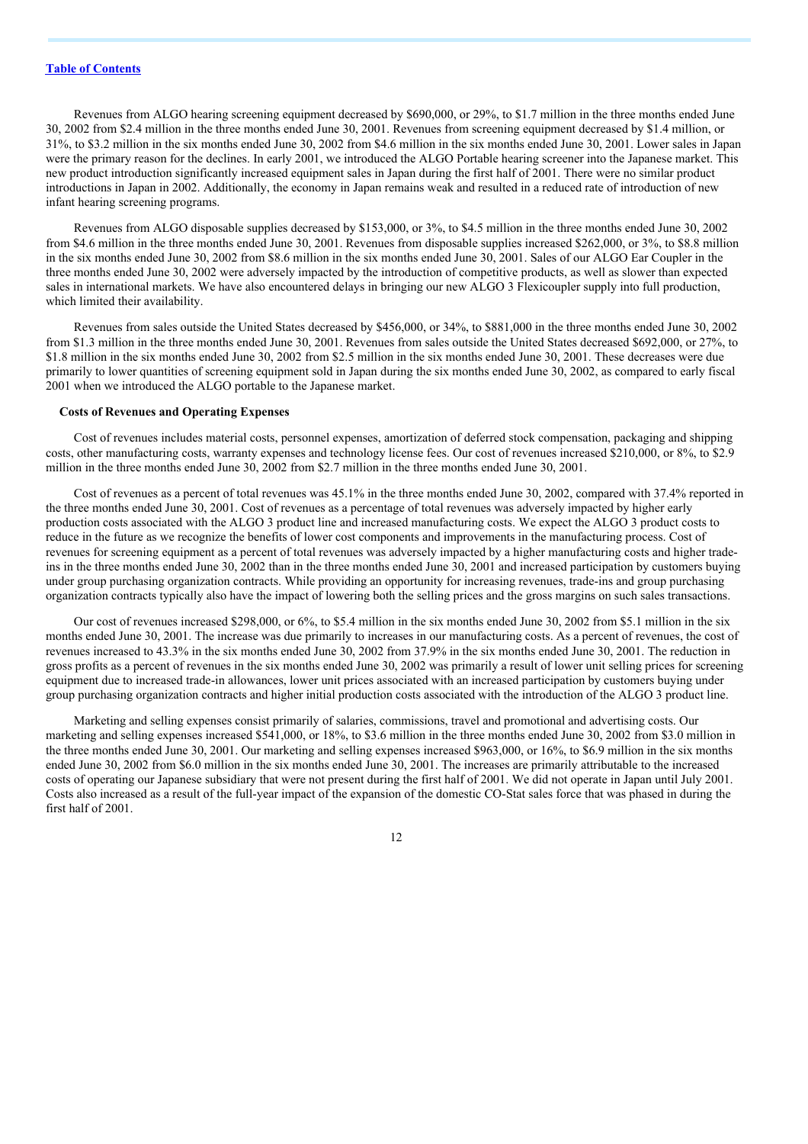Revenues from ALGO hearing screening equipment decreased by \$690,000, or 29%, to \$1.7 million in the three months ended June 30, 2002 from \$2.4 million in the three months ended June 30, 2001. Revenues from screening equipment decreased by \$1.4 million, or 31%, to \$3.2 million in the six months ended June 30, 2002 from \$4.6 million in the six months ended June 30, 2001. Lower sales in Japan were the primary reason for the declines. In early 2001, we introduced the ALGO Portable hearing screener into the Japanese market. This new product introduction significantly increased equipment sales in Japan during the first half of 2001. There were no similar product introductions in Japan in 2002. Additionally, the economy in Japan remains weak and resulted in a reduced rate of introduction of new infant hearing screening programs.

Revenues from ALGO disposable supplies decreased by \$153,000, or 3%, to \$4.5 million in the three months ended June 30, 2002 from \$4.6 million in the three months ended June 30, 2001. Revenues from disposable supplies increased \$262,000, or 3%, to \$8.8 million in the six months ended June 30, 2002 from \$8.6 million in the six months ended June 30, 2001. Sales of our ALGO Ear Coupler in the three months ended June 30, 2002 were adversely impacted by the introduction of competitive products, as well as slower than expected sales in international markets. We have also encountered delays in bringing our new ALGO 3 Flexicoupler supply into full production, which limited their availability.

Revenues from sales outside the United States decreased by \$456,000, or 34%, to \$881,000 in the three months ended June 30, 2002 from \$1.3 million in the three months ended June 30, 2001. Revenues from sales outside the United States decreased \$692,000, or 27%, to \$1.8 million in the six months ended June 30, 2002 from \$2.5 million in the six months ended June 30, 2001. These decreases were due primarily to lower quantities of screening equipment sold in Japan during the six months ended June 30, 2002, as compared to early fiscal 2001 when we introduced the ALGO portable to the Japanese market.

#### **Costs of Revenues and Operating Expenses**

Cost of revenues includes material costs, personnel expenses, amortization of deferred stock compensation, packaging and shipping costs, other manufacturing costs, warranty expenses and technology license fees. Our cost of revenues increased \$210,000, or 8%, to \$2.9 million in the three months ended June 30, 2002 from \$2.7 million in the three months ended June 30, 2001.

Cost of revenues as a percent of total revenues was 45.1% in the three months ended June 30, 2002, compared with 37.4% reported in the three months ended June 30, 2001. Cost of revenues as a percentage of total revenues was adversely impacted by higher early production costs associated with the ALGO 3 product line and increased manufacturing costs. We expect the ALGO 3 product costs to reduce in the future as we recognize the benefits of lower cost components and improvements in the manufacturing process. Cost of revenues for screening equipment as a percent of total revenues was adversely impacted by a higher manufacturing costs and higher tradeins in the three months ended June 30, 2002 than in the three months ended June 30, 2001 and increased participation by customers buying under group purchasing organization contracts. While providing an opportunity for increasing revenues, trade-ins and group purchasing organization contracts typically also have the impact of lowering both the selling prices and the gross margins on such sales transactions.

Our cost of revenues increased \$298,000, or 6%, to \$5.4 million in the six months ended June 30, 2002 from \$5.1 million in the six months ended June 30, 2001. The increase was due primarily to increases in our manufacturing costs. As a percent of revenues, the cost of revenues increased to 43.3% in the six months ended June 30, 2002 from 37.9% in the six months ended June 30, 2001. The reduction in gross profits as a percent of revenues in the six months ended June 30, 2002 was primarily a result of lower unit selling prices for screening equipment due to increased trade-in allowances, lower unit prices associated with an increased participation by customers buying under group purchasing organization contracts and higher initial production costs associated with the introduction of the ALGO 3 product line.

Marketing and selling expenses consist primarily of salaries, commissions, travel and promotional and advertising costs. Our marketing and selling expenses increased \$541,000, or 18%, to \$3.6 million in the three months ended June 30, 2002 from \$3.0 million in the three months ended June 30, 2001. Our marketing and selling expenses increased \$963,000, or 16%, to \$6.9 million in the six months ended June 30, 2002 from \$6.0 million in the six months ended June 30, 2001. The increases are primarily attributable to the increased costs of operating our Japanese subsidiary that were not present during the first half of 2001. We did not operate in Japan until July 2001. Costs also increased as a result of the full-year impact of the expansion of the domestic CO-Stat sales force that was phased in during the first half of 2001.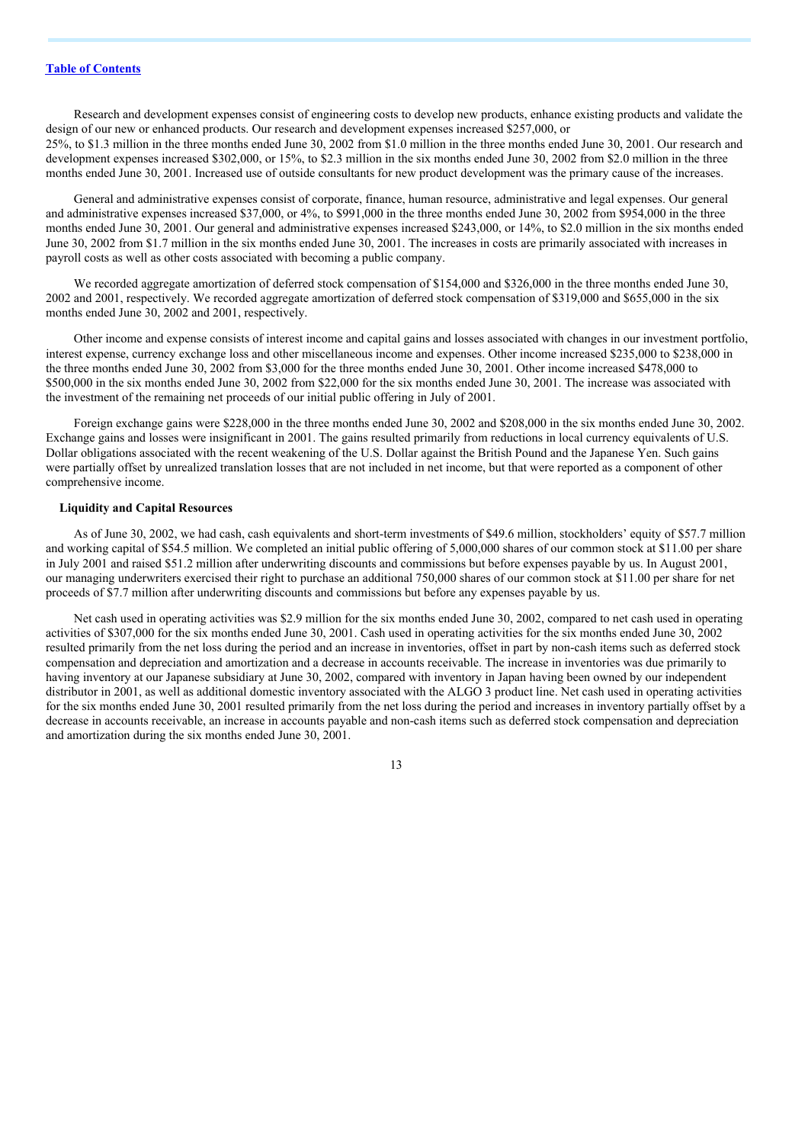Research and development expenses consist of engineering costs to develop new products, enhance existing products and validate the design of our new or enhanced products. Our research and development expenses increased \$257,000, or 25%, to \$1.3 million in the three months ended June 30, 2002 from \$1.0 million in the three months ended June 30, 2001. Our research and development expenses increased \$302,000, or 15%, to \$2.3 million in the six months ended June 30, 2002 from \$2.0 million in the three months ended June 30, 2001. Increased use of outside consultants for new product development was the primary cause of the increases.

General and administrative expenses consist of corporate, finance, human resource, administrative and legal expenses. Our general and administrative expenses increased \$37,000, or 4%, to \$991,000 in the three months ended June 30, 2002 from \$954,000 in the three months ended June 30, 2001. Our general and administrative expenses increased \$243,000, or 14%, to \$2.0 million in the six months ended June 30, 2002 from \$1.7 million in the six months ended June 30, 2001. The increases in costs are primarily associated with increases in payroll costs as well as other costs associated with becoming a public company.

We recorded aggregate amortization of deferred stock compensation of \$154,000 and \$326,000 in the three months ended June 30, 2002 and 2001, respectively. We recorded aggregate amortization of deferred stock compensation of \$319,000 and \$655,000 in the six months ended June 30, 2002 and 2001, respectively.

Other income and expense consists of interest income and capital gains and losses associated with changes in our investment portfolio, interest expense, currency exchange loss and other miscellaneous income and expenses. Other income increased \$235,000 to \$238,000 in the three months ended June 30, 2002 from \$3,000 for the three months ended June 30, 2001. Other income increased \$478,000 to \$500,000 in the six months ended June 30, 2002 from \$22,000 for the six months ended June 30, 2001. The increase was associated with the investment of the remaining net proceeds of our initial public offering in July of 2001.

Foreign exchange gains were \$228,000 in the three months ended June 30, 2002 and \$208,000 in the six months ended June 30, 2002. Exchange gains and losses were insignificant in 2001. The gains resulted primarily from reductions in local currency equivalents of U.S. Dollar obligations associated with the recent weakening of the U.S. Dollar against the British Pound and the Japanese Yen. Such gains were partially offset by unrealized translation losses that are not included in net income, but that were reported as a component of other comprehensive income.

#### **Liquidity and Capital Resources**

As of June 30, 2002, we had cash, cash equivalents and short-term investments of \$49.6 million, stockholders' equity of \$57.7 million and working capital of \$54.5 million. We completed an initial public offering of 5,000,000 shares of our common stock at \$11.00 per share in July 2001 and raised \$51.2 million after underwriting discounts and commissions but before expenses payable by us. In August 2001, our managing underwriters exercised their right to purchase an additional 750,000 shares of our common stock at \$11.00 per share for net proceeds of \$7.7 million after underwriting discounts and commissions but before any expenses payable by us.

Net cash used in operating activities was \$2.9 million for the six months ended June 30, 2002, compared to net cash used in operating activities of \$307,000 for the six months ended June 30, 2001. Cash used in operating activities for the six months ended June 30, 2002 resulted primarily from the net loss during the period and an increase in inventories, offset in part by non-cash items such as deferred stock compensation and depreciation and amortization and a decrease in accounts receivable. The increase in inventories was due primarily to having inventory at our Japanese subsidiary at June 30, 2002, compared with inventory in Japan having been owned by our independent distributor in 2001, as well as additional domestic inventory associated with the ALGO 3 product line. Net cash used in operating activities for the six months ended June 30, 2001 resulted primarily from the net loss during the period and increases in inventory partially offset by a decrease in accounts receivable, an increase in accounts payable and non-cash items such as deferred stock compensation and depreciation and amortization during the six months ended June 30, 2001.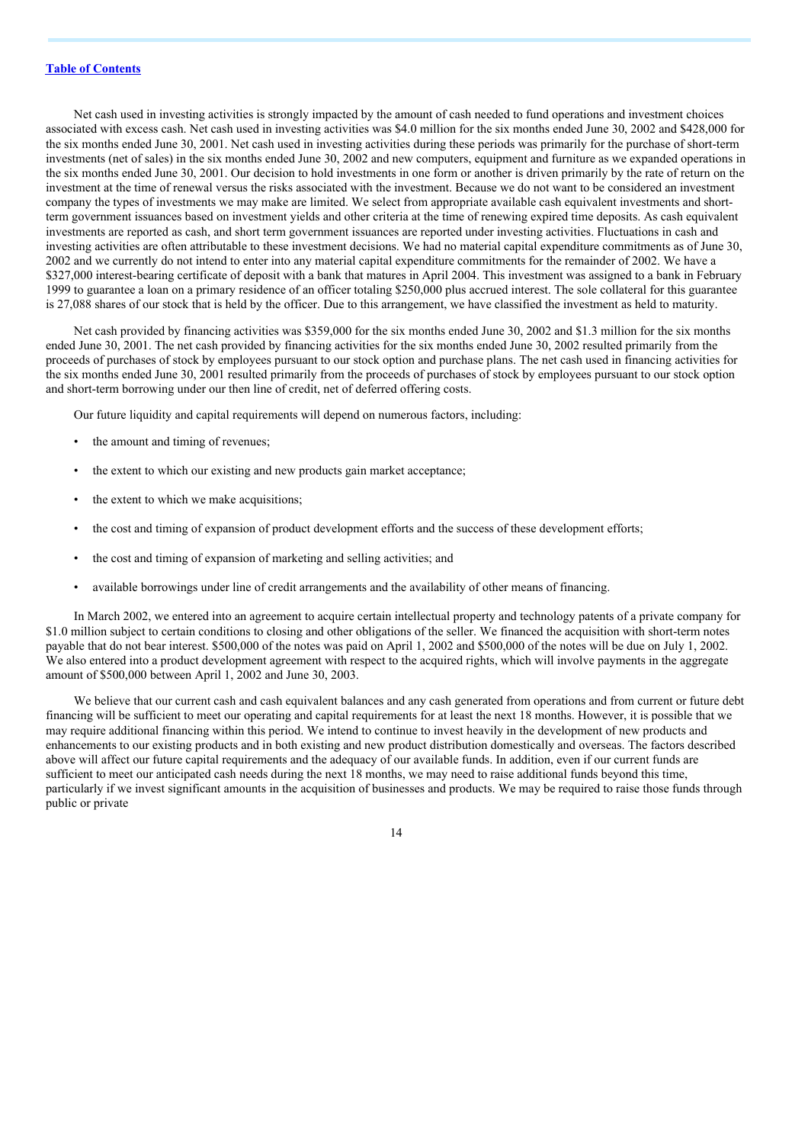Net cash used in investing activities is strongly impacted by the amount of cash needed to fund operations and investment choices associated with excess cash. Net cash used in investing activities was \$4.0 million for the six months ended June 30, 2002 and \$428,000 for the six months ended June 30, 2001. Net cash used in investing activities during these periods was primarily for the purchase of short-term investments (net of sales) in the six months ended June 30, 2002 and new computers, equipment and furniture as we expanded operations in the six months ended June 30, 2001. Our decision to hold investments in one form or another is driven primarily by the rate of return on the investment at the time of renewal versus the risks associated with the investment. Because we do not want to be considered an investment company the types of investments we may make are limited. We select from appropriate available cash equivalent investments and shortterm government issuances based on investment yields and other criteria at the time of renewing expired time deposits. As cash equivalent investments are reported as cash, and short term government issuances are reported under investing activities. Fluctuations in cash and investing activities are often attributable to these investment decisions. We had no material capital expenditure commitments as of June 30, 2002 and we currently do not intend to enter into any material capital expenditure commitments for the remainder of 2002. We have a \$327,000 interest-bearing certificate of deposit with a bank that matures in April 2004. This investment was assigned to a bank in February 1999 to guarantee a loan on a primary residence of an officer totaling \$250,000 plus accrued interest. The sole collateral for this guarantee is 27,088 shares of our stock that is held by the officer. Due to this arrangement, we have classified the investment as held to maturity.

Net cash provided by financing activities was \$359,000 for the six months ended June 30, 2002 and \$1.3 million for the six months ended June 30, 2001. The net cash provided by financing activities for the six months ended June 30, 2002 resulted primarily from the proceeds of purchases of stock by employees pursuant to our stock option and purchase plans. The net cash used in financing activities for the six months ended June 30, 2001 resulted primarily from the proceeds of purchases of stock by employees pursuant to our stock option and short-term borrowing under our then line of credit, net of deferred offering costs.

Our future liquidity and capital requirements will depend on numerous factors, including:

- the amount and timing of revenues;
- the extent to which our existing and new products gain market acceptance;
- the extent to which we make acquisitions;
- the cost and timing of expansion of product development efforts and the success of these development efforts;
- the cost and timing of expansion of marketing and selling activities; and
- available borrowings under line of credit arrangements and the availability of other means of financing.

In March 2002, we entered into an agreement to acquire certain intellectual property and technology patents of a private company for \$1.0 million subject to certain conditions to closing and other obligations of the seller. We financed the acquisition with short-term notes payable that do not bear interest. \$500,000 of the notes was paid on April 1, 2002 and \$500,000 of the notes will be due on July 1, 2002. We also entered into a product development agreement with respect to the acquired rights, which will involve payments in the aggregate amount of \$500,000 between April 1, 2002 and June 30, 2003.

We believe that our current cash and cash equivalent balances and any cash generated from operations and from current or future debt financing will be sufficient to meet our operating and capital requirements for at least the next 18 months. However, it is possible that we may require additional financing within this period. We intend to continue to invest heavily in the development of new products and enhancements to our existing products and in both existing and new product distribution domestically and overseas. The factors described above will affect our future capital requirements and the adequacy of our available funds. In addition, even if our current funds are sufficient to meet our anticipated cash needs during the next 18 months, we may need to raise additional funds beyond this time, particularly if we invest significant amounts in the acquisition of businesses and products. We may be required to raise those funds through public or private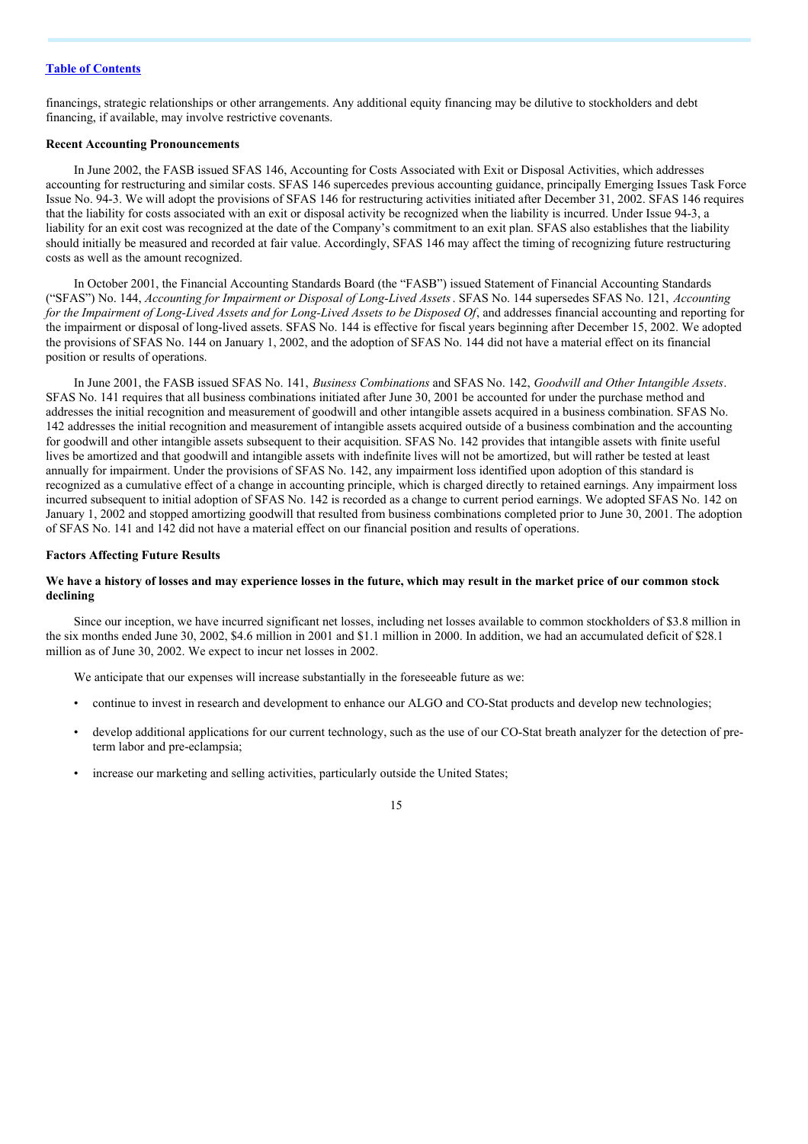financings, strategic relationships or other arrangements. Any additional equity financing may be dilutive to stockholders and debt financing, if available, may involve restrictive covenants.

#### **Recent Accounting Pronouncements**

In June 2002, the FASB issued SFAS 146, Accounting for Costs Associated with Exit or Disposal Activities, which addresses accounting for restructuring and similar costs. SFAS 146 supercedes previous accounting guidance, principally Emerging Issues Task Force Issue No. 94-3. We will adopt the provisions of SFAS 146 for restructuring activities initiated after December 31, 2002. SFAS 146 requires that the liability for costs associated with an exit or disposal activity be recognized when the liability is incurred. Under Issue 94-3, a liability for an exit cost was recognized at the date of the Company's commitment to an exit plan. SFAS also establishes that the liability should initially be measured and recorded at fair value. Accordingly, SFAS 146 may affect the timing of recognizing future restructuring costs as well as the amount recognized.

In October 2001, the Financial Accounting Standards Board (the "FASB") issued Statement of Financial Accounting Standards ("SFAS") No. 144, *Accounting for Impairment or Disposal of Long-Lived Assets*. SFAS No. 144 supersedes SFAS No. 121, *Accounting* for the Impairment of Long-Lived Assets and for Long-Lived Assets to be Disposed Of, and addresses financial accounting and reporting for the impairment or disposal of long-lived assets. SFAS No. 144 is effective for fiscal years beginning after December 15, 2002. We adopted the provisions of SFAS No. 144 on January 1, 2002, and the adoption of SFAS No. 144 did not have a material effect on its financial position or results of operations.

In June 2001, the FASB issued SFAS No. 141, *Business Combinations* and SFAS No. 142, *Goodwill and Other Intangible Assets*. SFAS No. 141 requires that all business combinations initiated after June 30, 2001 be accounted for under the purchase method and addresses the initial recognition and measurement of goodwill and other intangible assets acquired in a business combination. SFAS No. 142 addresses the initial recognition and measurement of intangible assets acquired outside of a business combination and the accounting for goodwill and other intangible assets subsequent to their acquisition. SFAS No. 142 provides that intangible assets with finite useful lives be amortized and that goodwill and intangible assets with indefinite lives will not be amortized, but will rather be tested at least annually for impairment. Under the provisions of SFAS No. 142, any impairment loss identified upon adoption of this standard is recognized as a cumulative effect of a change in accounting principle, which is charged directly to retained earnings. Any impairment loss incurred subsequent to initial adoption of SFAS No. 142 is recorded as a change to current period earnings. We adopted SFAS No. 142 on January 1, 2002 and stopped amortizing goodwill that resulted from business combinations completed prior to June 30, 2001. The adoption of SFAS No. 141 and 142 did not have a material effect on our financial position and results of operations.

#### **Factors Affecting Future Results**

#### We have a history of losses and may experience losses in the future, which may result in the market price of our common stock **declining**

Since our inception, we have incurred significant net losses, including net losses available to common stockholders of \$3.8 million in the six months ended June 30, 2002, \$4.6 million in 2001 and \$1.1 million in 2000. In addition, we had an accumulated deficit of \$28.1 million as of June 30, 2002. We expect to incur net losses in 2002.

We anticipate that our expenses will increase substantially in the foreseeable future as we:

- continue to invest in research and development to enhance our ALGO and CO-Stat products and develop new technologies;
- develop additional applications for our current technology, such as the use of our CO-Stat breath analyzer for the detection of preterm labor and pre-eclampsia;
- increase our marketing and selling activities, particularly outside the United States;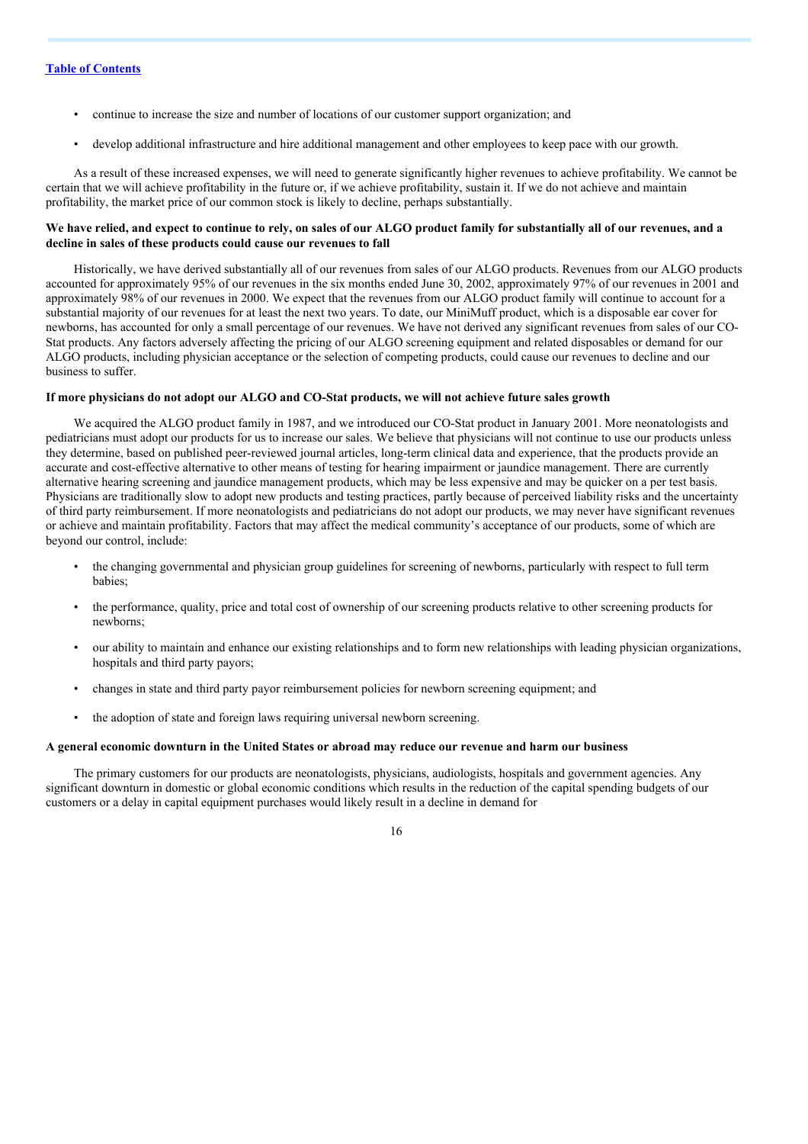- continue to increase the size and number of locations of our customer support organization; and
- develop additional infrastructure and hire additional management and other employees to keep pace with our growth.

As a result of these increased expenses, we will need to generate significantly higher revenues to achieve profitability. We cannot be certain that we will achieve profitability in the future or, if we achieve profitability, sustain it. If we do not achieve and maintain profitability, the market price of our common stock is likely to decline, perhaps substantially.

#### We have relied, and expect to continue to rely, on sales of our ALGO product family for substantially all of our revenues, and a **decline in sales of these products could cause our revenues to fall**

Historically, we have derived substantially all of our revenues from sales of our ALGO products. Revenues from our ALGO products accounted for approximately 95% of our revenues in the six months ended June 30, 2002, approximately 97% of our revenues in 2001 and approximately 98% of our revenues in 2000. We expect that the revenues from our ALGO product family will continue to account for a substantial majority of our revenues for at least the next two years. To date, our MiniMuff product, which is a disposable ear cover for newborns, has accounted for only a small percentage of our revenues. We have not derived any significant revenues from sales of our CO-Stat products. Any factors adversely affecting the pricing of our ALGO screening equipment and related disposables or demand for our ALGO products, including physician acceptance or the selection of competing products, could cause our revenues to decline and our business to suffer.

#### If more physicians do not adopt our ALGO and CO-Stat products, we will not achieve future sales growth

We acquired the ALGO product family in 1987, and we introduced our CO-Stat product in January 2001. More neonatologists and pediatricians must adopt our products for us to increase our sales. We believe that physicians will not continue to use our products unless they determine, based on published peer-reviewed journal articles, long-term clinical data and experience, that the products provide an accurate and cost-effective alternative to other means of testing for hearing impairment or jaundice management. There are currently alternative hearing screening and jaundice management products, which may be less expensive and may be quicker on a per test basis. Physicians are traditionally slow to adopt new products and testing practices, partly because of perceived liability risks and the uncertainty of third party reimbursement. If more neonatologists and pediatricians do not adopt our products, we may never have significant revenues or achieve and maintain profitability. Factors that may affect the medical community's acceptance of our products, some of which are beyond our control, include:

- the changing governmental and physician group guidelines for screening of newborns, particularly with respect to full term babies;
- the performance, quality, price and total cost of ownership of our screening products relative to other screening products for newborns;
- our ability to maintain and enhance our existing relationships and to form new relationships with leading physician organizations, hospitals and third party payors;
- changes in state and third party payor reimbursement policies for newborn screening equipment; and
- the adoption of state and foreign laws requiring universal newborn screening.

#### A general economic downturn in the United States or abroad may reduce our revenue and harm our business

The primary customers for our products are neonatologists, physicians, audiologists, hospitals and government agencies. Any significant downturn in domestic or global economic conditions which results in the reduction of the capital spending budgets of our customers or a delay in capital equipment purchases would likely result in a decline in demand for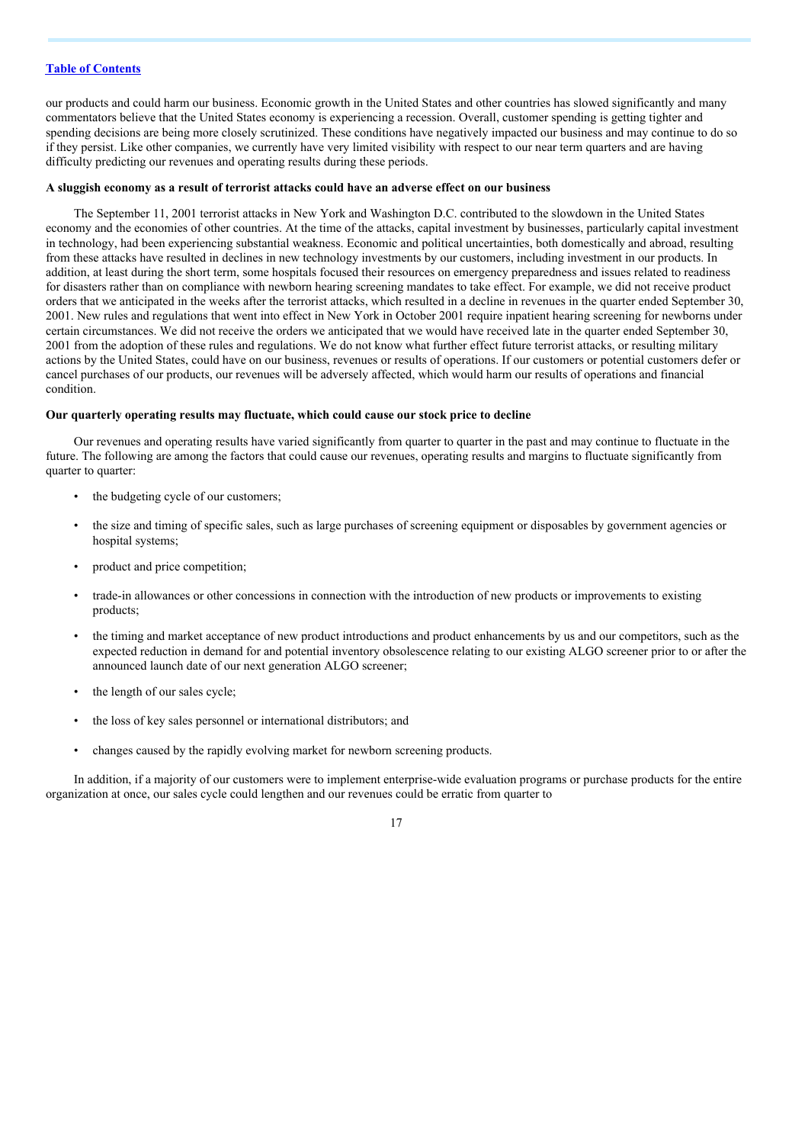our products and could harm our business. Economic growth in the United States and other countries has slowed significantly and many commentators believe that the United States economy is experiencing a recession. Overall, customer spending is getting tighter and spending decisions are being more closely scrutinized. These conditions have negatively impacted our business and may continue to do so if they persist. Like other companies, we currently have very limited visibility with respect to our near term quarters and are having difficulty predicting our revenues and operating results during these periods.

#### **A sluggish economy as a result of terrorist attacks could have an adverse effect on our business**

The September 11, 2001 terrorist attacks in New York and Washington D.C. contributed to the slowdown in the United States economy and the economies of other countries. At the time of the attacks, capital investment by businesses, particularly capital investment in technology, had been experiencing substantial weakness. Economic and political uncertainties, both domestically and abroad, resulting from these attacks have resulted in declines in new technology investments by our customers, including investment in our products. In addition, at least during the short term, some hospitals focused their resources on emergency preparedness and issues related to readiness for disasters rather than on compliance with newborn hearing screening mandates to take effect. For example, we did not receive product orders that we anticipated in the weeks after the terrorist attacks, which resulted in a decline in revenues in the quarter ended September 30, 2001. New rules and regulations that went into effect in New York in October 2001 require inpatient hearing screening for newborns under certain circumstances. We did not receive the orders we anticipated that we would have received late in the quarter ended September 30, 2001 from the adoption of these rules and regulations. We do not know what further effect future terrorist attacks, or resulting military actions by the United States, could have on our business, revenues or results of operations. If our customers or potential customers defer or cancel purchases of our products, our revenues will be adversely affected, which would harm our results of operations and financial condition.

#### **Our quarterly operating results may fluctuate, which could cause our stock price to decline**

Our revenues and operating results have varied significantly from quarter to quarter in the past and may continue to fluctuate in the future. The following are among the factors that could cause our revenues, operating results and margins to fluctuate significantly from quarter to quarter:

- the budgeting cycle of our customers;
- the size and timing of specific sales, such as large purchases of screening equipment or disposables by government agencies or hospital systems;
- product and price competition;
- trade-in allowances or other concessions in connection with the introduction of new products or improvements to existing products;
- the timing and market acceptance of new product introductions and product enhancements by us and our competitors, such as the expected reduction in demand for and potential inventory obsolescence relating to our existing ALGO screener prior to or after the announced launch date of our next generation ALGO screener;
- the length of our sales cycle;
- the loss of key sales personnel or international distributors; and
- changes caused by the rapidly evolving market for newborn screening products.

In addition, if a majority of our customers were to implement enterprise-wide evaluation programs or purchase products for the entire organization at once, our sales cycle could lengthen and our revenues could be erratic from quarter to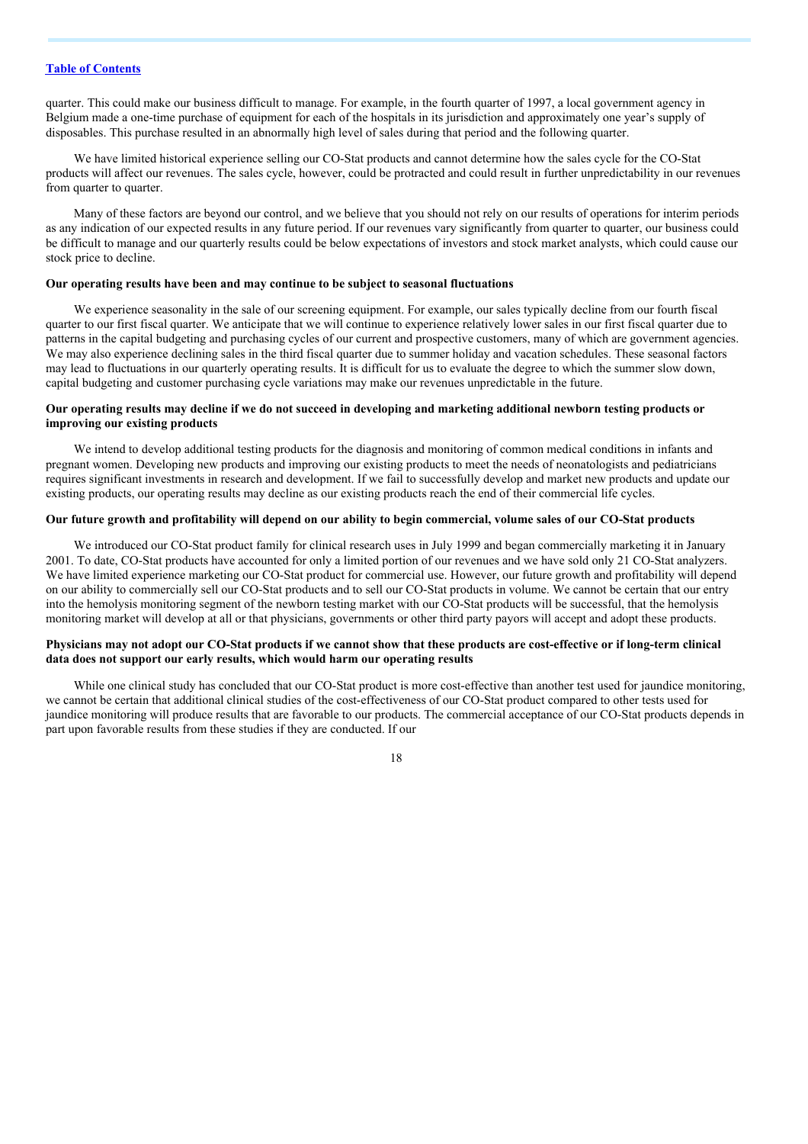quarter. This could make our business difficult to manage. For example, in the fourth quarter of 1997, a local government agency in Belgium made a one-time purchase of equipment for each of the hospitals in its jurisdiction and approximately one year's supply of disposables. This purchase resulted in an abnormally high level of sales during that period and the following quarter.

We have limited historical experience selling our CO-Stat products and cannot determine how the sales cycle for the CO-Stat products will affect our revenues. The sales cycle, however, could be protracted and could result in further unpredictability in our revenues from quarter to quarter.

Many of these factors are beyond our control, and we believe that you should not rely on our results of operations for interim periods as any indication of our expected results in any future period. If our revenues vary significantly from quarter to quarter, our business could be difficult to manage and our quarterly results could be below expectations of investors and stock market analysts, which could cause our stock price to decline.

#### **Our operating results have been and may continue to be subject to seasonal fluctuations**

We experience seasonality in the sale of our screening equipment. For example, our sales typically decline from our fourth fiscal quarter to our first fiscal quarter. We anticipate that we will continue to experience relatively lower sales in our first fiscal quarter due to patterns in the capital budgeting and purchasing cycles of our current and prospective customers, many of which are government agencies. We may also experience declining sales in the third fiscal quarter due to summer holiday and vacation schedules. These seasonal factors may lead to fluctuations in our quarterly operating results. It is difficult for us to evaluate the degree to which the summer slow down, capital budgeting and customer purchasing cycle variations may make our revenues unpredictable in the future.

#### Our operating results may decline if we do not succeed in developing and marketing additional newborn testing products or **improving our existing products**

We intend to develop additional testing products for the diagnosis and monitoring of common medical conditions in infants and pregnant women. Developing new products and improving our existing products to meet the needs of neonatologists and pediatricians requires significant investments in research and development. If we fail to successfully develop and market new products and update our existing products, our operating results may decline as our existing products reach the end of their commercial life cycles.

#### Our future growth and profitability will depend on our ability to begin commercial, volume sales of our CO-Stat products

We introduced our CO-Stat product family for clinical research uses in July 1999 and began commercially marketing it in January 2001. To date, CO-Stat products have accounted for only a limited portion of our revenues and we have sold only 21 CO-Stat analyzers. We have limited experience marketing our CO-Stat product for commercial use. However, our future growth and profitability will depend on our ability to commercially sell our CO-Stat products and to sell our CO-Stat products in volume. We cannot be certain that our entry into the hemolysis monitoring segment of the newborn testing market with our CO-Stat products will be successful, that the hemolysis monitoring market will develop at all or that physicians, governments or other third party payors will accept and adopt these products.

#### Physicians may not adopt our CO-Stat products if we cannot show that these products are cost-effective or if long-term clinical **data does not support our early results, which would harm our operating results**

While one clinical study has concluded that our CO-Stat product is more cost-effective than another test used for jaundice monitoring, we cannot be certain that additional clinical studies of the cost-effectiveness of our CO-Stat product compared to other tests used for jaundice monitoring will produce results that are favorable to our products. The commercial acceptance of our CO-Stat products depends in part upon favorable results from these studies if they are conducted. If our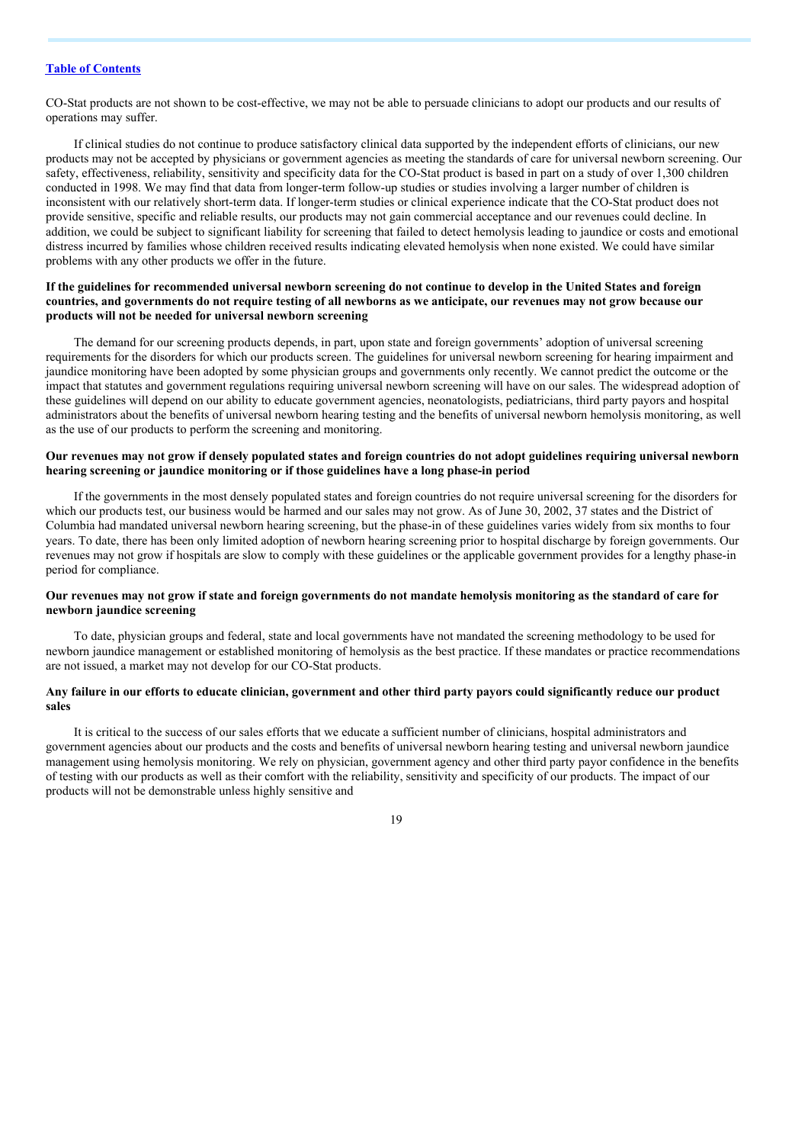CO-Stat products are not shown to be cost-effective, we may not be able to persuade clinicians to adopt our products and our results of operations may suffer.

If clinical studies do not continue to produce satisfactory clinical data supported by the independent efforts of clinicians, our new products may not be accepted by physicians or government agencies as meeting the standards of care for universal newborn screening. Our safety, effectiveness, reliability, sensitivity and specificity data for the CO-Stat product is based in part on a study of over 1,300 children conducted in 1998. We may find that data from longer-term follow-up studies or studies involving a larger number of children is inconsistent with our relatively short-term data. If longer-term studies or clinical experience indicate that the CO-Stat product does not provide sensitive, specific and reliable results, our products may not gain commercial acceptance and our revenues could decline. In addition, we could be subject to significant liability for screening that failed to detect hemolysis leading to jaundice or costs and emotional distress incurred by families whose children received results indicating elevated hemolysis when none existed. We could have similar problems with any other products we offer in the future.

#### If the guidelines for recommended universal newborn screening do not continue to develop in the United States and foreign countries, and governments do not require testing of all newborns as we anticipate, our revenues may not grow because our **products will not be needed for universal newborn screening**

The demand for our screening products depends, in part, upon state and foreign governments' adoption of universal screening requirements for the disorders for which our products screen. The guidelines for universal newborn screening for hearing impairment and jaundice monitoring have been adopted by some physician groups and governments only recently. We cannot predict the outcome or the impact that statutes and government regulations requiring universal newborn screening will have on our sales. The widespread adoption of these guidelines will depend on our ability to educate government agencies, neonatologists, pediatricians, third party payors and hospital administrators about the benefits of universal newborn hearing testing and the benefits of universal newborn hemolysis monitoring, as well as the use of our products to perform the screening and monitoring.

#### Our revenues may not grow if densely populated states and foreign countries do not adopt guidelines requiring universal newborn **hearing screening or jaundice monitoring or if those guidelines have a long phase-in period**

If the governments in the most densely populated states and foreign countries do not require universal screening for the disorders for which our products test, our business would be harmed and our sales may not grow. As of June 30, 2002, 37 states and the District of Columbia had mandated universal newborn hearing screening, but the phase-in of these guidelines varies widely from six months to four years. To date, there has been only limited adoption of newborn hearing screening prior to hospital discharge by foreign governments. Our revenues may not grow if hospitals are slow to comply with these guidelines or the applicable government provides for a lengthy phase-in period for compliance.

#### Our revenues may not grow if state and foreign governments do not mandate hemolysis monitoring as the standard of care for **newborn jaundice screening**

To date, physician groups and federal, state and local governments have not mandated the screening methodology to be used for newborn jaundice management or established monitoring of hemolysis as the best practice. If these mandates or practice recommendations are not issued, a market may not develop for our CO-Stat products.

#### Any failure in our efforts to educate clinician, government and other third party payors could significantly reduce our product **sales**

It is critical to the success of our sales efforts that we educate a sufficient number of clinicians, hospital administrators and government agencies about our products and the costs and benefits of universal newborn hearing testing and universal newborn jaundice management using hemolysis monitoring. We rely on physician, government agency and other third party payor confidence in the benefits of testing with our products as well as their comfort with the reliability, sensitivity and specificity of our products. The impact of our products will not be demonstrable unless highly sensitive and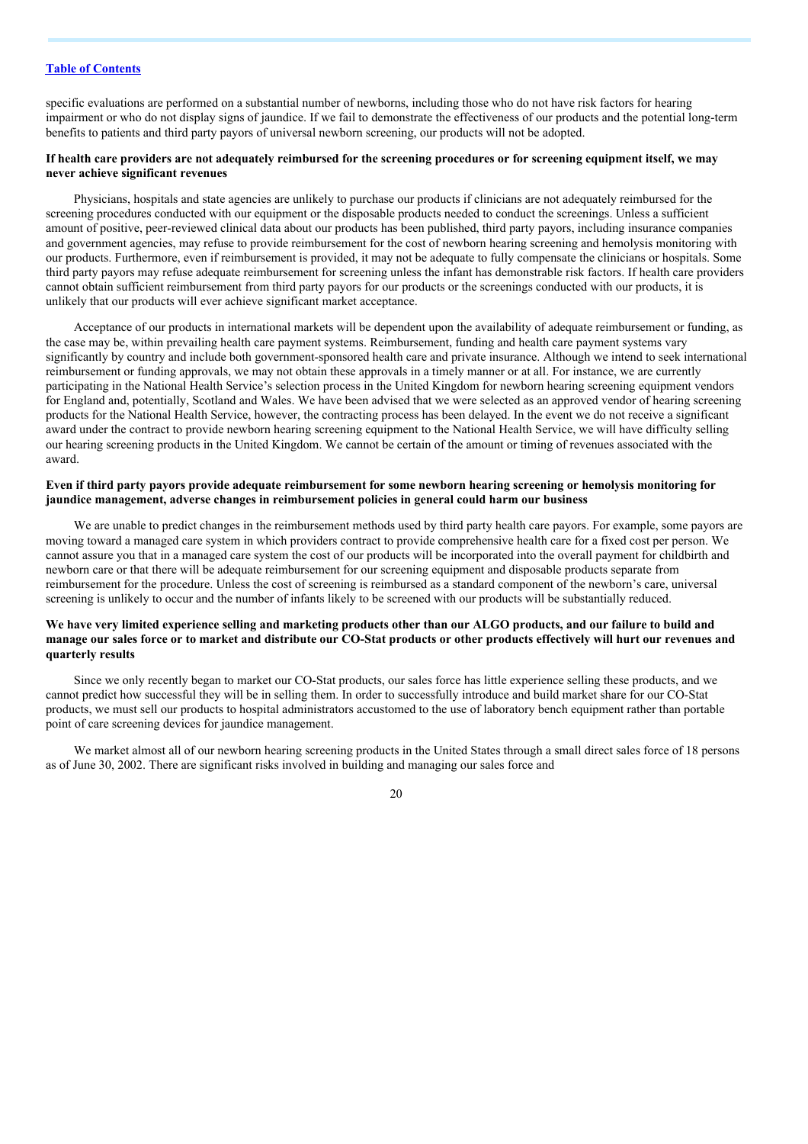specific evaluations are performed on a substantial number of newborns, including those who do not have risk factors for hearing impairment or who do not display signs of jaundice. If we fail to demonstrate the effectiveness of our products and the potential long-term benefits to patients and third party payors of universal newborn screening, our products will not be adopted.

#### If health care providers are not adequately reimbursed for the screening procedures or for screening equipment itself, we may **never achieve significant revenues**

Physicians, hospitals and state agencies are unlikely to purchase our products if clinicians are not adequately reimbursed for the screening procedures conducted with our equipment or the disposable products needed to conduct the screenings. Unless a sufficient amount of positive, peer-reviewed clinical data about our products has been published, third party payors, including insurance companies and government agencies, may refuse to provide reimbursement for the cost of newborn hearing screening and hemolysis monitoring with our products. Furthermore, even if reimbursement is provided, it may not be adequate to fully compensate the clinicians or hospitals. Some third party payors may refuse adequate reimbursement for screening unless the infant has demonstrable risk factors. If health care providers cannot obtain sufficient reimbursement from third party payors for our products or the screenings conducted with our products, it is unlikely that our products will ever achieve significant market acceptance.

Acceptance of our products in international markets will be dependent upon the availability of adequate reimbursement or funding, as the case may be, within prevailing health care payment systems. Reimbursement, funding and health care payment systems vary significantly by country and include both government-sponsored health care and private insurance. Although we intend to seek international reimbursement or funding approvals, we may not obtain these approvals in a timely manner or at all. For instance, we are currently participating in the National Health Service's selection process in the United Kingdom for newborn hearing screening equipment vendors for England and, potentially, Scotland and Wales. We have been advised that we were selected as an approved vendor of hearing screening products for the National Health Service, however, the contracting process has been delayed. In the event we do not receive a significant award under the contract to provide newborn hearing screening equipment to the National Health Service, we will have difficulty selling our hearing screening products in the United Kingdom. We cannot be certain of the amount or timing of revenues associated with the award.

#### Even if third party payors provide adequate reimbursement for some newborn hearing screening or hemolysis monitoring for **jaundice management, adverse changes in reimbursement policies in general could harm our business**

We are unable to predict changes in the reimbursement methods used by third party health care payors. For example, some payors are moving toward a managed care system in which providers contract to provide comprehensive health care for a fixed cost per person. We cannot assure you that in a managed care system the cost of our products will be incorporated into the overall payment for childbirth and newborn care or that there will be adequate reimbursement for our screening equipment and disposable products separate from reimbursement for the procedure. Unless the cost of screening is reimbursed as a standard component of the newborn's care, universal screening is unlikely to occur and the number of infants likely to be screened with our products will be substantially reduced.

#### We have very limited experience selling and marketing products other than our ALGO products, and our failure to build and manage our sales force or to market and distribute our CO-Stat products or other products effectively will hurt our revenues and **quarterly results**

Since we only recently began to market our CO-Stat products, our sales force has little experience selling these products, and we cannot predict how successful they will be in selling them. In order to successfully introduce and build market share for our CO-Stat products, we must sell our products to hospital administrators accustomed to the use of laboratory bench equipment rather than portable point of care screening devices for jaundice management.

We market almost all of our newborn hearing screening products in the United States through a small direct sales force of 18 persons as of June 30, 2002. There are significant risks involved in building and managing our sales force and

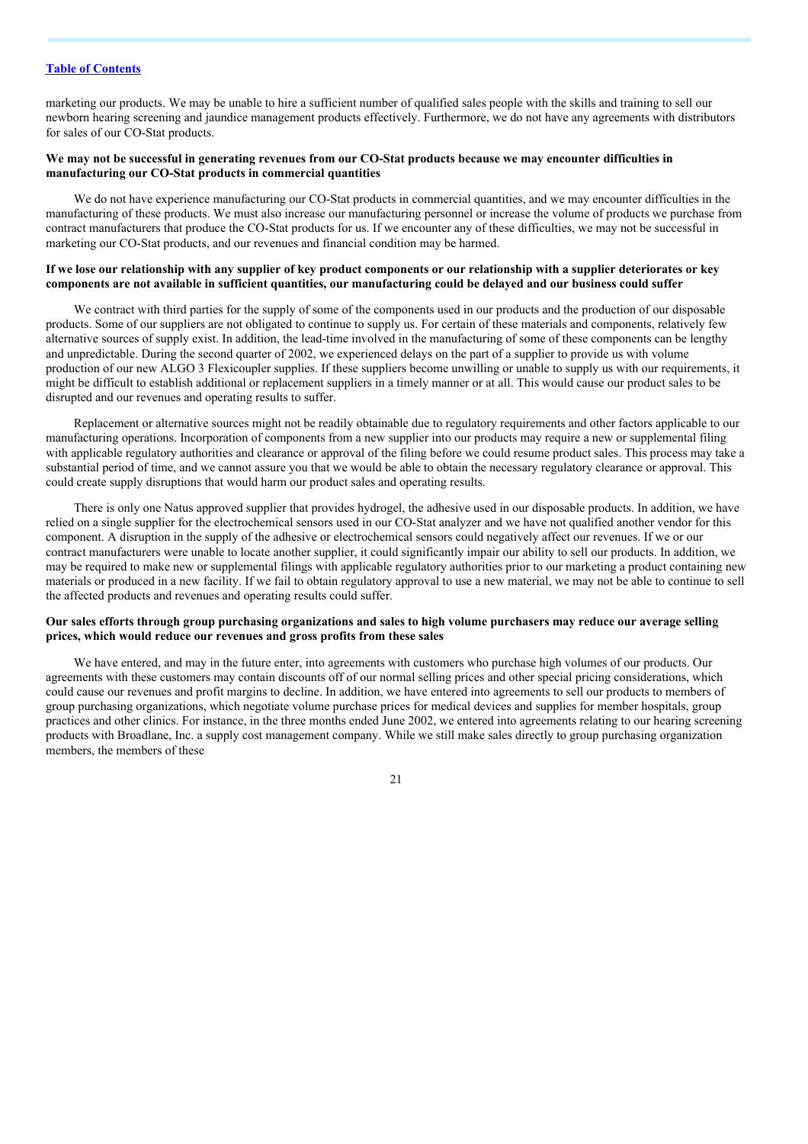marketing our products. We may be unable to hire a sufficient number of qualified sales people with the skills and training to sell our newborn hearing screening and jaundice management products effectively. Furthermore, we do not have any agreements with distributors for sales of our CO-Stat products.

#### We may not be successful in generating revenues from our CO-Stat products because we may encounter difficulties in **manufacturing our CO-Stat products in commercial quantities**

We do not have experience manufacturing our CO-Stat products in commercial quantities, and we may encounter difficulties in the manufacturing of these products. We must also increase our manufacturing personnel or increase the volume of products we purchase from contract manufacturers that produce the CO-Stat products for us. If we encounter any of these difficulties, we may not be successful in marketing our CO-Stat products, and our revenues and financial condition may be harmed.

#### If we lose our relationship with any supplier of key product components or our relationship with a supplier deteriorates or key components are not available in sufficient quantities, our manufacturing could be delayed and our business could suffer

We contract with third parties for the supply of some of the components used in our products and the production of our disposable products. Some of our suppliers are not obligated to continue to supply us. For certain of these materials and components, relatively few alternative sources of supply exist. In addition, the lead-time involved in the manufacturing of some of these components can be lengthy and unpredictable. During the second quarter of 2002, we experienced delays on the part of a supplier to provide us with volume production of our new ALGO 3 Flexicoupler supplies. If these suppliers become unwilling or unable to supply us with our requirements, it might be difficult to establish additional or replacement suppliers in a timely manner or at all. This would cause our product sales to be disrupted and our revenues and operating results to suffer.

Replacement or alternative sources might not be readily obtainable due to regulatory requirements and other factors applicable to our manufacturing operations. Incorporation of components from a new supplier into our products may require a new or supplemental filing with applicable regulatory authorities and clearance or approval of the filing before we could resume product sales. This process may take a substantial period of time, and we cannot assure you that we would be able to obtain the necessary regulatory clearance or approval. This could create supply disruptions that would harm our product sales and operating results.

There is only one Natus approved supplier that provides hydrogel, the adhesive used in our disposable products. In addition, we have relied on a single supplier for the electrochemical sensors used in our CO-Stat analyzer and we have not qualified another vendor for this component. A disruption in the supply of the adhesive or electrochemical sensors could negatively affect our revenues. If we or our contract manufacturers were unable to locate another supplier, it could significantly impair our ability to sell our products. In addition, we may be required to make new or supplemental filings with applicable regulatory authorities prior to our marketing a product containing new materials or produced in a new facility. If we fail to obtain regulatory approval to use a new material, we may not be able to continue to sell the affected products and revenues and operating results could suffer.

#### Our sales efforts through group purchasing organizations and sales to high volume purchasers may reduce our average selling **prices, which would reduce our revenues and gross profits from these sales**

We have entered, and may in the future enter, into agreements with customers who purchase high volumes of our products. Our agreements with these customers may contain discounts off of our normal selling prices and other special pricing considerations, which could cause our revenues and profit margins to decline. In addition, we have entered into agreements to sell our products to members of group purchasing organizations, which negotiate volume purchase prices for medical devices and supplies for member hospitals, group practices and other clinics. For instance, in the three months ended June 2002, we entered into agreements relating to our hearing screening products with Broadlane, Inc. a supply cost management company. While we still make sales directly to group purchasing organization members, the members of these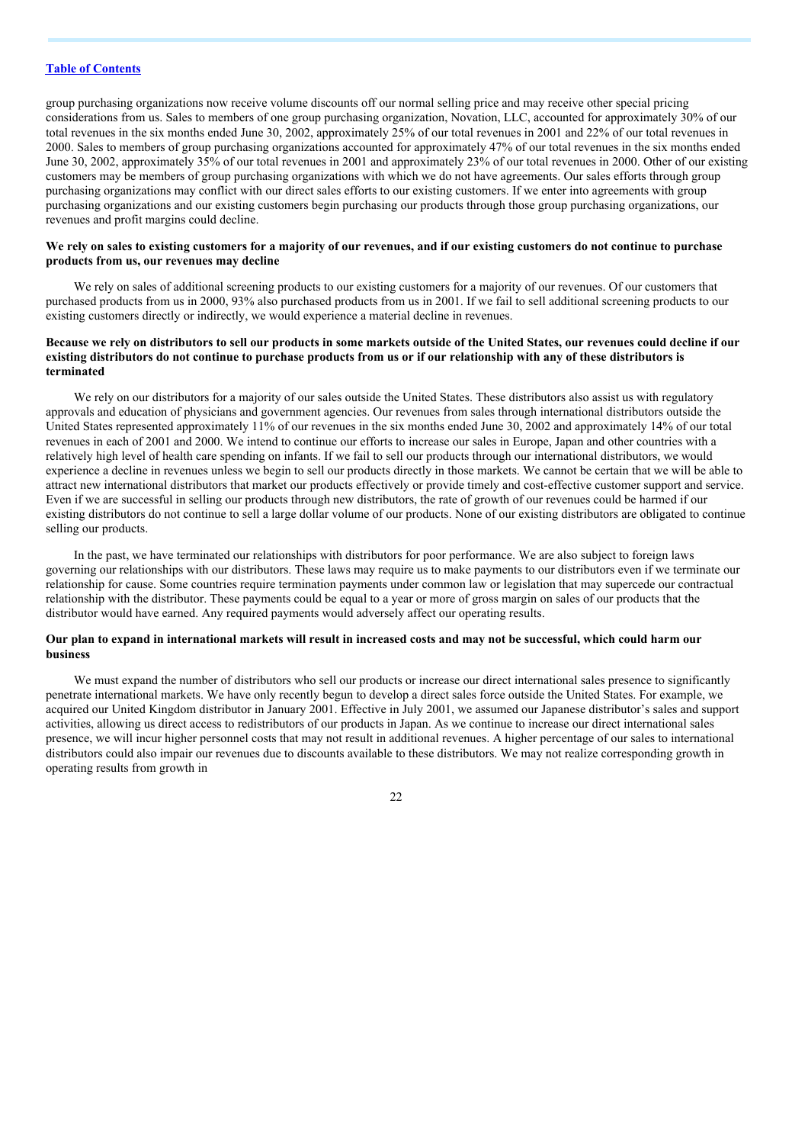group purchasing organizations now receive volume discounts off our normal selling price and may receive other special pricing considerations from us. Sales to members of one group purchasing organization, Novation, LLC, accounted for approximately 30% of our total revenues in the six months ended June 30, 2002, approximately 25% of our total revenues in 2001 and 22% of our total revenues in 2000. Sales to members of group purchasing organizations accounted for approximately 47% of our total revenues in the six months ended June 30, 2002, approximately 35% of our total revenues in 2001 and approximately 23% of our total revenues in 2000. Other of our existing customers may be members of group purchasing organizations with which we do not have agreements. Our sales efforts through group purchasing organizations may conflict with our direct sales efforts to our existing customers. If we enter into agreements with group purchasing organizations and our existing customers begin purchasing our products through those group purchasing organizations, our revenues and profit margins could decline.

#### We rely on sales to existing customers for a majority of our revenues, and if our existing customers do not continue to purchase **products from us, our revenues may decline**

We rely on sales of additional screening products to our existing customers for a majority of our revenues. Of our customers that purchased products from us in 2000, 93% also purchased products from us in 2001. If we fail to sell additional screening products to our existing customers directly or indirectly, we would experience a material decline in revenues.

#### Because we rely on distributors to sell our products in some markets outside of the United States, our revenues could decline if our existing distributors do not continue to purchase products from us or if our relationship with any of these distributors is **terminated**

We rely on our distributors for a majority of our sales outside the United States. These distributors also assist us with regulatory approvals and education of physicians and government agencies. Our revenues from sales through international distributors outside the United States represented approximately 11% of our revenues in the six months ended June 30, 2002 and approximately 14% of our total revenues in each of 2001 and 2000. We intend to continue our efforts to increase our sales in Europe, Japan and other countries with a relatively high level of health care spending on infants. If we fail to sell our products through our international distributors, we would experience a decline in revenues unless we begin to sell our products directly in those markets. We cannot be certain that we will be able to attract new international distributors that market our products effectively or provide timely and cost-effective customer support and service. Even if we are successful in selling our products through new distributors, the rate of growth of our revenues could be harmed if our existing distributors do not continue to sell a large dollar volume of our products. None of our existing distributors are obligated to continue selling our products.

In the past, we have terminated our relationships with distributors for poor performance. We are also subject to foreign laws governing our relationships with our distributors. These laws may require us to make payments to our distributors even if we terminate our relationship for cause. Some countries require termination payments under common law or legislation that may supercede our contractual relationship with the distributor. These payments could be equal to a year or more of gross margin on sales of our products that the distributor would have earned. Any required payments would adversely affect our operating results.

#### Our plan to expand in international markets will result in increased costs and may not be successful, which could harm our **business**

We must expand the number of distributors who sell our products or increase our direct international sales presence to significantly penetrate international markets. We have only recently begun to develop a direct sales force outside the United States. For example, we acquired our United Kingdom distributor in January 2001. Effective in July 2001, we assumed our Japanese distributor's sales and support activities, allowing us direct access to redistributors of our products in Japan. As we continue to increase our direct international sales presence, we will incur higher personnel costs that may not result in additional revenues. A higher percentage of our sales to international distributors could also impair our revenues due to discounts available to these distributors. We may not realize corresponding growth in operating results from growth in

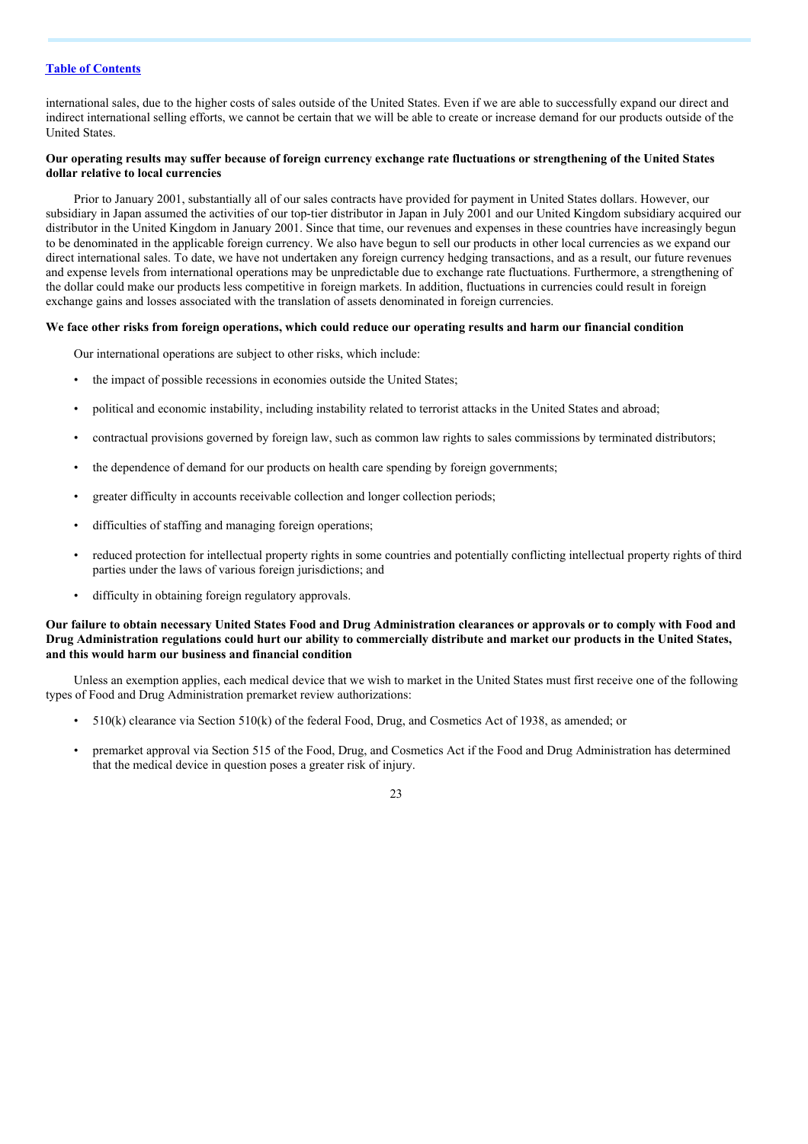international sales, due to the higher costs of sales outside of the United States. Even if we are able to successfully expand our direct and indirect international selling efforts, we cannot be certain that we will be able to create or increase demand for our products outside of the United States.

#### Our operating results may suffer because of foreign currency exchange rate fluctuations or strengthening of the United States **dollar relative to local currencies**

Prior to January 2001, substantially all of our sales contracts have provided for payment in United States dollars. However, our subsidiary in Japan assumed the activities of our top-tier distributor in Japan in July 2001 and our United Kingdom subsidiary acquired our distributor in the United Kingdom in January 2001. Since that time, our revenues and expenses in these countries have increasingly begun to be denominated in the applicable foreign currency. We also have begun to sell our products in other local currencies as we expand our direct international sales. To date, we have not undertaken any foreign currency hedging transactions, and as a result, our future revenues and expense levels from international operations may be unpredictable due to exchange rate fluctuations. Furthermore, a strengthening of the dollar could make our products less competitive in foreign markets. In addition, fluctuations in currencies could result in foreign exchange gains and losses associated with the translation of assets denominated in foreign currencies.

### We face other risks from foreign operations, which could reduce our operating results and harm our financial condition

Our international operations are subject to other risks, which include:

- the impact of possible recessions in economies outside the United States;
- political and economic instability, including instability related to terrorist attacks in the United States and abroad;
- contractual provisions governed by foreign law, such as common law rights to sales commissions by terminated distributors;
- the dependence of demand for our products on health care spending by foreign governments;
- greater difficulty in accounts receivable collection and longer collection periods;
- difficulties of staffing and managing foreign operations;
- reduced protection for intellectual property rights in some countries and potentially conflicting intellectual property rights of third parties under the laws of various foreign jurisdictions; and
- difficulty in obtaining foreign regulatory approvals.

#### Our failure to obtain necessary United States Food and Drug Administration clearances or approvals or to comply with Food and Drug Administration regulations could hurt our ability to commercially distribute and market our products in the United States, **and this would harm our business and financial condition**

Unless an exemption applies, each medical device that we wish to market in the United States must first receive one of the following types of Food and Drug Administration premarket review authorizations:

- 510(k) clearance via Section 510(k) of the federal Food, Drug, and Cosmetics Act of 1938, as amended; or
- premarket approval via Section 515 of the Food, Drug, and Cosmetics Act if the Food and Drug Administration has determined that the medical device in question poses a greater risk of injury.

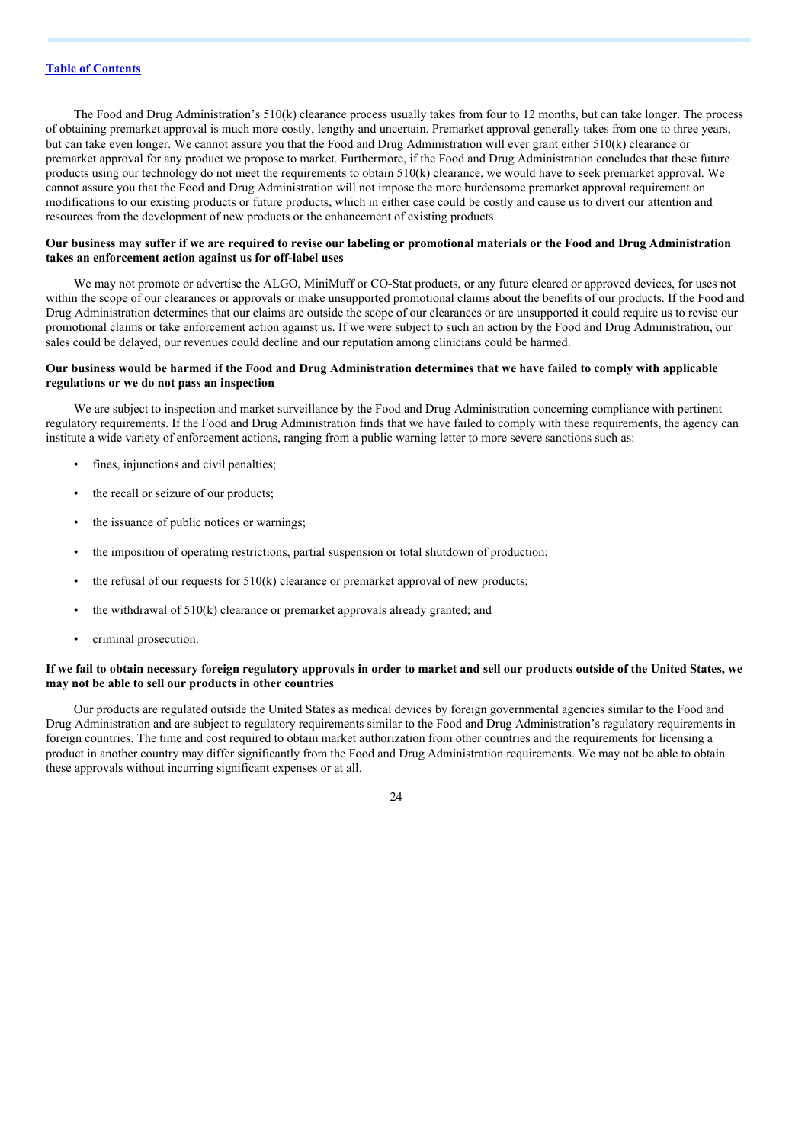The Food and Drug Administration's 510(k) clearance process usually takes from four to 12 months, but can take longer. The process of obtaining premarket approval is much more costly, lengthy and uncertain. Premarket approval generally takes from one to three years, but can take even longer. We cannot assure you that the Food and Drug Administration will ever grant either 510(k) clearance or premarket approval for any product we propose to market. Furthermore, if the Food and Drug Administration concludes that these future products using our technology do not meet the requirements to obtain 510(k) clearance, we would have to seek premarket approval. We cannot assure you that the Food and Drug Administration will not impose the more burdensome premarket approval requirement on modifications to our existing products or future products, which in either case could be costly and cause us to divert our attention and resources from the development of new products or the enhancement of existing products.

#### Our business may suffer if we are required to revise our labeling or promotional materials or the Food and Drug Administration **takes an enforcement action against us for off-label uses**

We may not promote or advertise the ALGO, MiniMuff or CO-Stat products, or any future cleared or approved devices, for uses not within the scope of our clearances or approvals or make unsupported promotional claims about the benefits of our products. If the Food and Drug Administration determines that our claims are outside the scope of our clearances or are unsupported it could require us to revise our promotional claims or take enforcement action against us. If we were subject to such an action by the Food and Drug Administration, our sales could be delayed, our revenues could decline and our reputation among clinicians could be harmed.

#### Our business would be harmed if the Food and Drug Administration determines that we have failed to comply with applicable **regulations or we do not pass an inspection**

We are subject to inspection and market surveillance by the Food and Drug Administration concerning compliance with pertinent regulatory requirements. If the Food and Drug Administration finds that we have failed to comply with these requirements, the agency can institute a wide variety of enforcement actions, ranging from a public warning letter to more severe sanctions such as:

- fines, injunctions and civil penalties;
- the recall or seizure of our products;
- the issuance of public notices or warnings;
- the imposition of operating restrictions, partial suspension or total shutdown of production;
- the refusal of our requests for 510(k) clearance or premarket approval of new products;
- the withdrawal of  $510(k)$  clearance or premarket approvals already granted; and
- criminal prosecution.

#### If we fail to obtain necessary foreign regulatory approvals in order to market and sell our products outside of the United States, we **may not be able to sell our products in other countries**

Our products are regulated outside the United States as medical devices by foreign governmental agencies similar to the Food and Drug Administration and are subject to regulatory requirements similar to the Food and Drug Administration's regulatory requirements in foreign countries. The time and cost required to obtain market authorization from other countries and the requirements for licensing a product in another country may differ significantly from the Food and Drug Administration requirements. We may not be able to obtain these approvals without incurring significant expenses or at all.

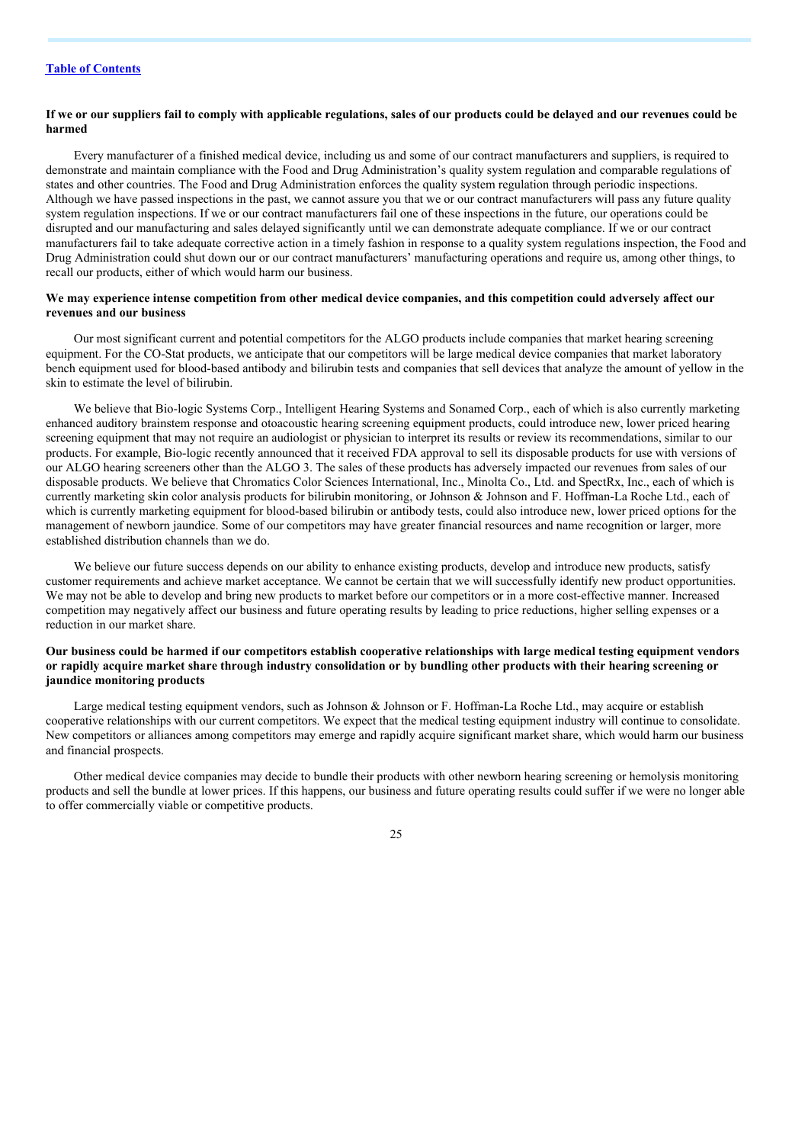#### If we or our suppliers fail to comply with applicable regulations, sales of our products could be delayed and our revenues could be **harmed**

Every manufacturer of a finished medical device, including us and some of our contract manufacturers and suppliers, is required to demonstrate and maintain compliance with the Food and Drug Administration's quality system regulation and comparable regulations of states and other countries. The Food and Drug Administration enforces the quality system regulation through periodic inspections. Although we have passed inspections in the past, we cannot assure you that we or our contract manufacturers will pass any future quality system regulation inspections. If we or our contract manufacturers fail one of these inspections in the future, our operations could be disrupted and our manufacturing and sales delayed significantly until we can demonstrate adequate compliance. If we or our contract manufacturers fail to take adequate corrective action in a timely fashion in response to a quality system regulations inspection, the Food and Drug Administration could shut down our or our contract manufacturers' manufacturing operations and require us, among other things, to recall our products, either of which would harm our business.

#### We may experience intense competition from other medical device companies, and this competition could adversely affect our **revenues and our business**

Our most significant current and potential competitors for the ALGO products include companies that market hearing screening equipment. For the CO-Stat products, we anticipate that our competitors will be large medical device companies that market laboratory bench equipment used for blood-based antibody and bilirubin tests and companies that sell devices that analyze the amount of yellow in the skin to estimate the level of bilirubin.

We believe that Bio-logic Systems Corp., Intelligent Hearing Systems and Sonamed Corp., each of which is also currently marketing enhanced auditory brainstem response and otoacoustic hearing screening equipment products, could introduce new, lower priced hearing screening equipment that may not require an audiologist or physician to interpret its results or review its recommendations, similar to our products. For example, Bio-logic recently announced that it received FDA approval to sell its disposable products for use with versions of our ALGO hearing screeners other than the ALGO 3. The sales of these products has adversely impacted our revenues from sales of our disposable products. We believe that Chromatics Color Sciences International, Inc., Minolta Co., Ltd. and SpectRx, Inc., each of which is currently marketing skin color analysis products for bilirubin monitoring, or Johnson & Johnson and F. Hoffman-La Roche Ltd., each of which is currently marketing equipment for blood-based bilirubin or antibody tests, could also introduce new, lower priced options for the management of newborn jaundice. Some of our competitors may have greater financial resources and name recognition or larger, more established distribution channels than we do.

We believe our future success depends on our ability to enhance existing products, develop and introduce new products, satisfy customer requirements and achieve market acceptance. We cannot be certain that we will successfully identify new product opportunities. We may not be able to develop and bring new products to market before our competitors or in a more cost-effective manner. Increased competition may negatively affect our business and future operating results by leading to price reductions, higher selling expenses or a reduction in our market share.

#### Our business could be harmed if our competitors establish cooperative relationships with large medical testing equipment vendors or rapidly acquire market share through industry consolidation or by bundling other products with their hearing screening or **jaundice monitoring products**

Large medical testing equipment vendors, such as Johnson & Johnson or F. Hoffman-La Roche Ltd., may acquire or establish cooperative relationships with our current competitors. We expect that the medical testing equipment industry will continue to consolidate. New competitors or alliances among competitors may emerge and rapidly acquire significant market share, which would harm our business and financial prospects.

Other medical device companies may decide to bundle their products with other newborn hearing screening or hemolysis monitoring products and sell the bundle at lower prices. If this happens, our business and future operating results could suffer if we were no longer able to offer commercially viable or competitive products.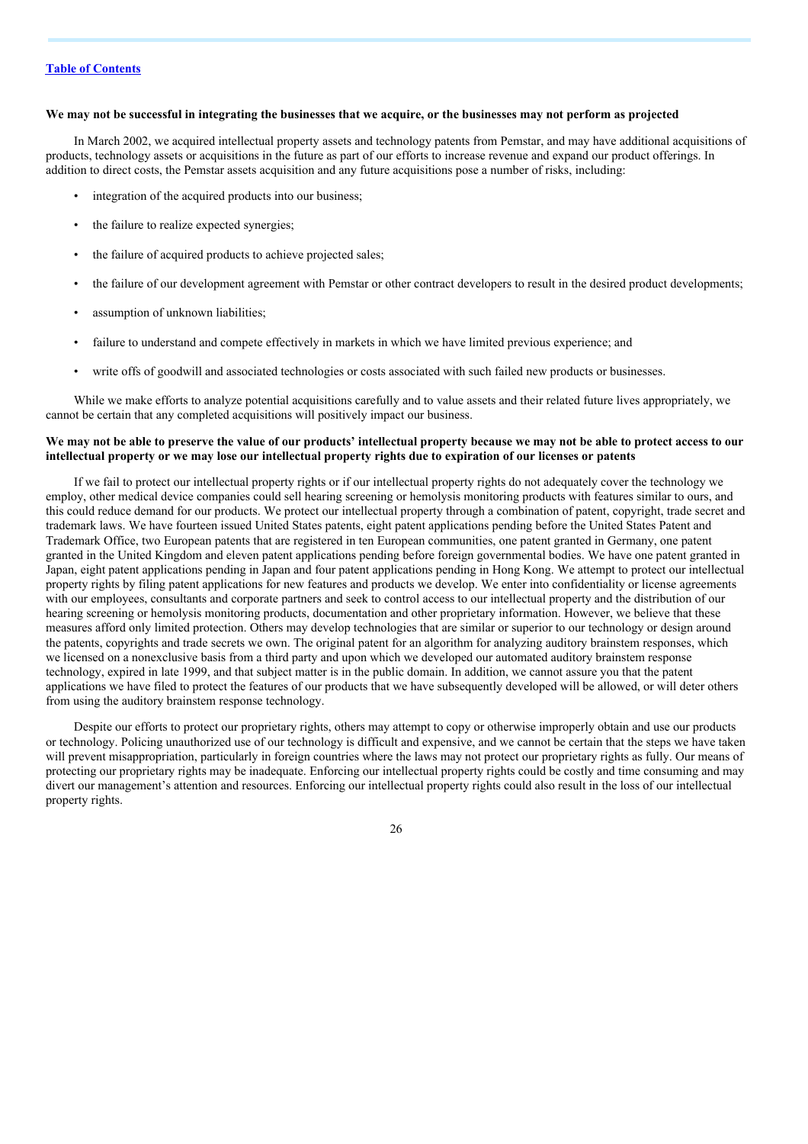#### We may not be successful in integrating the businesses that we acquire, or the businesses may not perform as projected

In March 2002, we acquired intellectual property assets and technology patents from Pemstar, and may have additional acquisitions of products, technology assets or acquisitions in the future as part of our efforts to increase revenue and expand our product offerings. In addition to direct costs, the Pemstar assets acquisition and any future acquisitions pose a number of risks, including:

- integration of the acquired products into our business;
- the failure to realize expected synergies;
- the failure of acquired products to achieve projected sales;
- the failure of our development agreement with Pemstar or other contract developers to result in the desired product developments;
- assumption of unknown liabilities;
- failure to understand and compete effectively in markets in which we have limited previous experience; and
- write offs of goodwill and associated technologies or costs associated with such failed new products or businesses.

While we make efforts to analyze potential acquisitions carefully and to value assets and their related future lives appropriately, we cannot be certain that any completed acquisitions will positively impact our business.

#### We may not be able to preserve the value of our products' intellectual property because we may not be able to protect access to our intellectual property or we may lose our intellectual property rights due to expiration of our licenses or patents

If we fail to protect our intellectual property rights or if our intellectual property rights do not adequately cover the technology we employ, other medical device companies could sell hearing screening or hemolysis monitoring products with features similar to ours, and this could reduce demand for our products. We protect our intellectual property through a combination of patent, copyright, trade secret and trademark laws. We have fourteen issued United States patents, eight patent applications pending before the United States Patent and Trademark Office, two European patents that are registered in ten European communities, one patent granted in Germany, one patent granted in the United Kingdom and eleven patent applications pending before foreign governmental bodies. We have one patent granted in Japan, eight patent applications pending in Japan and four patent applications pending in Hong Kong. We attempt to protect our intellectual property rights by filing patent applications for new features and products we develop. We enter into confidentiality or license agreements with our employees, consultants and corporate partners and seek to control access to our intellectual property and the distribution of our hearing screening or hemolysis monitoring products, documentation and other proprietary information. However, we believe that these measures afford only limited protection. Others may develop technologies that are similar or superior to our technology or design around the patents, copyrights and trade secrets we own. The original patent for an algorithm for analyzing auditory brainstem responses, which we licensed on a nonexclusive basis from a third party and upon which we developed our automated auditory brainstem response technology, expired in late 1999, and that subject matter is in the public domain. In addition, we cannot assure you that the patent applications we have filed to protect the features of our products that we have subsequently developed will be allowed, or will deter others from using the auditory brainstem response technology.

Despite our efforts to protect our proprietary rights, others may attempt to copy or otherwise improperly obtain and use our products or technology. Policing unauthorized use of our technology is difficult and expensive, and we cannot be certain that the steps we have taken will prevent misappropriation, particularly in foreign countries where the laws may not protect our proprietary rights as fully. Our means of protecting our proprietary rights may be inadequate. Enforcing our intellectual property rights could be costly and time consuming and may divert our management's attention and resources. Enforcing our intellectual property rights could also result in the loss of our intellectual property rights.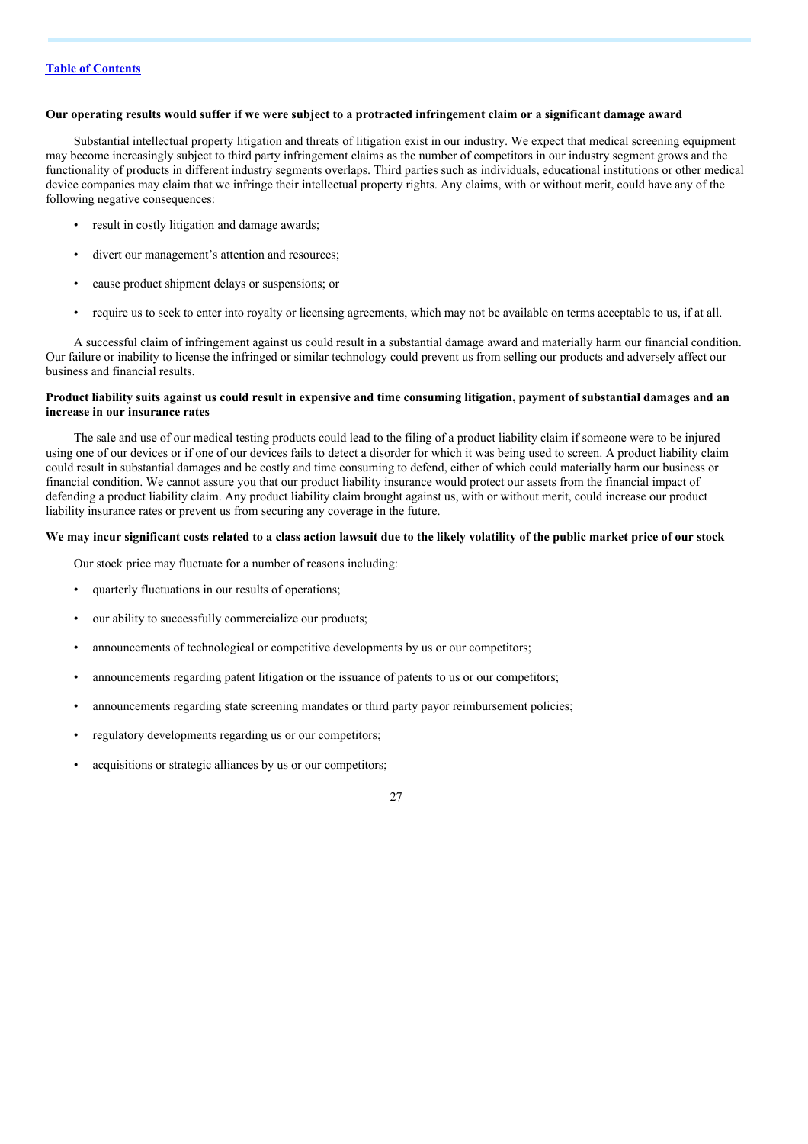#### Our operating results would suffer if we were subject to a protracted infringement claim or a significant damage award

Substantial intellectual property litigation and threats of litigation exist in our industry. We expect that medical screening equipment may become increasingly subject to third party infringement claims as the number of competitors in our industry segment grows and the functionality of products in different industry segments overlaps. Third parties such as individuals, educational institutions or other medical device companies may claim that we infringe their intellectual property rights. Any claims, with or without merit, could have any of the following negative consequences:

- result in costly litigation and damage awards;
- divert our management's attention and resources;
- cause product shipment delays or suspensions; or
- require us to seek to enter into royalty or licensing agreements, which may not be available on terms acceptable to us, if at all.

A successful claim of infringement against us could result in a substantial damage award and materially harm our financial condition. Our failure or inability to license the infringed or similar technology could prevent us from selling our products and adversely affect our business and financial results.

#### Product liability suits against us could result in expensive and time consuming litigation, payment of substantial damages and an **increase in our insurance rates**

The sale and use of our medical testing products could lead to the filing of a product liability claim if someone were to be injured using one of our devices or if one of our devices fails to detect a disorder for which it was being used to screen. A product liability claim could result in substantial damages and be costly and time consuming to defend, either of which could materially harm our business or financial condition. We cannot assure you that our product liability insurance would protect our assets from the financial impact of defending a product liability claim. Any product liability claim brought against us, with or without merit, could increase our product liability insurance rates or prevent us from securing any coverage in the future.

#### We may incur significant costs related to a class action lawsuit due to the likely volatility of the public market price of our stock

Our stock price may fluctuate for a number of reasons including:

- quarterly fluctuations in our results of operations;
- our ability to successfully commercialize our products:
- announcements of technological or competitive developments by us or our competitors;
- announcements regarding patent litigation or the issuance of patents to us or our competitors;
- announcements regarding state screening mandates or third party payor reimbursement policies;
- regulatory developments regarding us or our competitors;
- acquisitions or strategic alliances by us or our competitors;

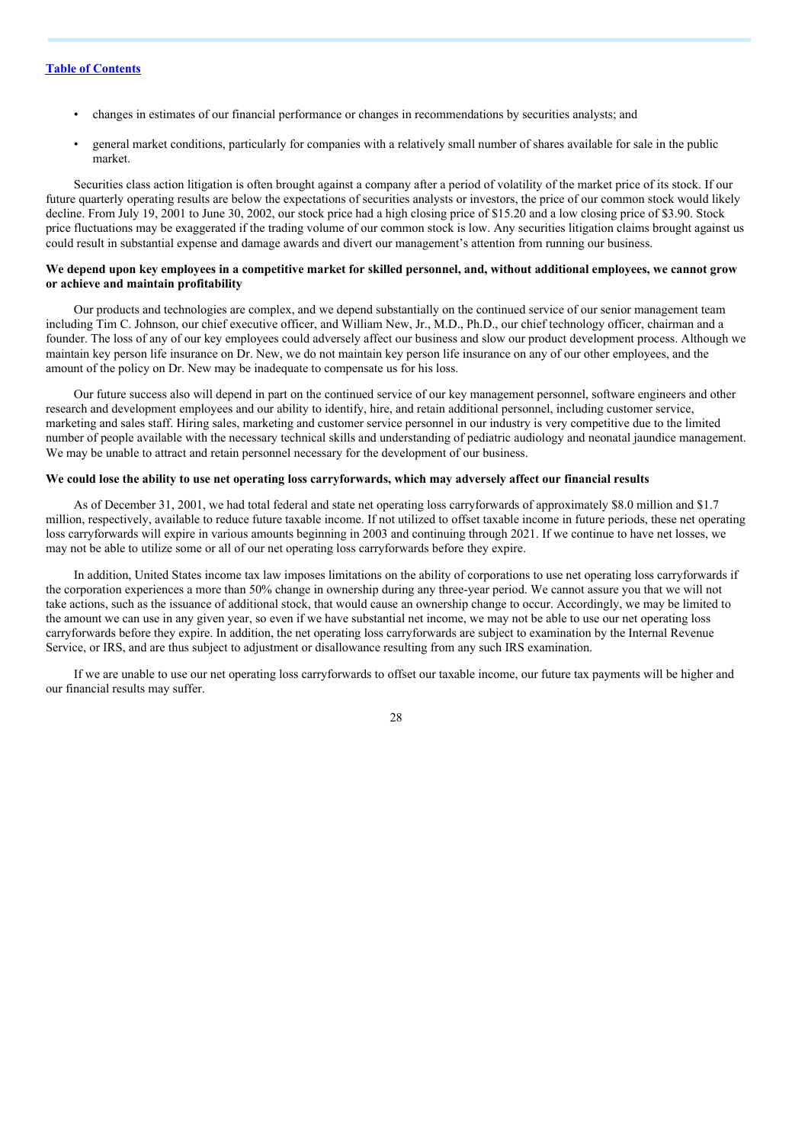- changes in estimates of our financial performance or changes in recommendations by securities analysts; and
- general market conditions, particularly for companies with a relatively small number of shares available for sale in the public market.

Securities class action litigation is often brought against a company after a period of volatility of the market price of its stock. If our future quarterly operating results are below the expectations of securities analysts or investors, the price of our common stock would likely decline. From July 19, 2001 to June 30, 2002, our stock price had a high closing price of \$15.20 and a low closing price of \$3.90. Stock price fluctuations may be exaggerated if the trading volume of our common stock is low. Any securities litigation claims brought against us could result in substantial expense and damage awards and divert our management's attention from running our business.

#### We depend upon key employees in a competitive market for skilled personnel, and, without additional employees, we cannot grow **or achieve and maintain profitability**

Our products and technologies are complex, and we depend substantially on the continued service of our senior management team including Tim C. Johnson, our chief executive officer, and William New, Jr., M.D., Ph.D., our chief technology officer, chairman and a founder. The loss of any of our key employees could adversely affect our business and slow our product development process. Although we maintain key person life insurance on Dr. New, we do not maintain key person life insurance on any of our other employees, and the amount of the policy on Dr. New may be inadequate to compensate us for his loss.

Our future success also will depend in part on the continued service of our key management personnel, software engineers and other research and development employees and our ability to identify, hire, and retain additional personnel, including customer service, marketing and sales staff. Hiring sales, marketing and customer service personnel in our industry is very competitive due to the limited number of people available with the necessary technical skills and understanding of pediatric audiology and neonatal jaundice management. We may be unable to attract and retain personnel necessary for the development of our business.

#### We could lose the ability to use net operating loss carryforwards, which may adversely affect our financial results

As of December 31, 2001, we had total federal and state net operating loss carryforwards of approximately \$8.0 million and \$1.7 million, respectively, available to reduce future taxable income. If not utilized to offset taxable income in future periods, these net operating loss carryforwards will expire in various amounts beginning in 2003 and continuing through 2021. If we continue to have net losses, we may not be able to utilize some or all of our net operating loss carryforwards before they expire.

In addition, United States income tax law imposes limitations on the ability of corporations to use net operating loss carryforwards if the corporation experiences a more than 50% change in ownership during any three-year period. We cannot assure you that we will not take actions, such as the issuance of additional stock, that would cause an ownership change to occur. Accordingly, we may be limited to the amount we can use in any given year, so even if we have substantial net income, we may not be able to use our net operating loss carryforwards before they expire. In addition, the net operating loss carryforwards are subject to examination by the Internal Revenue Service, or IRS, and are thus subject to adjustment or disallowance resulting from any such IRS examination.

If we are unable to use our net operating loss carryforwards to offset our taxable income, our future tax payments will be higher and our financial results may suffer.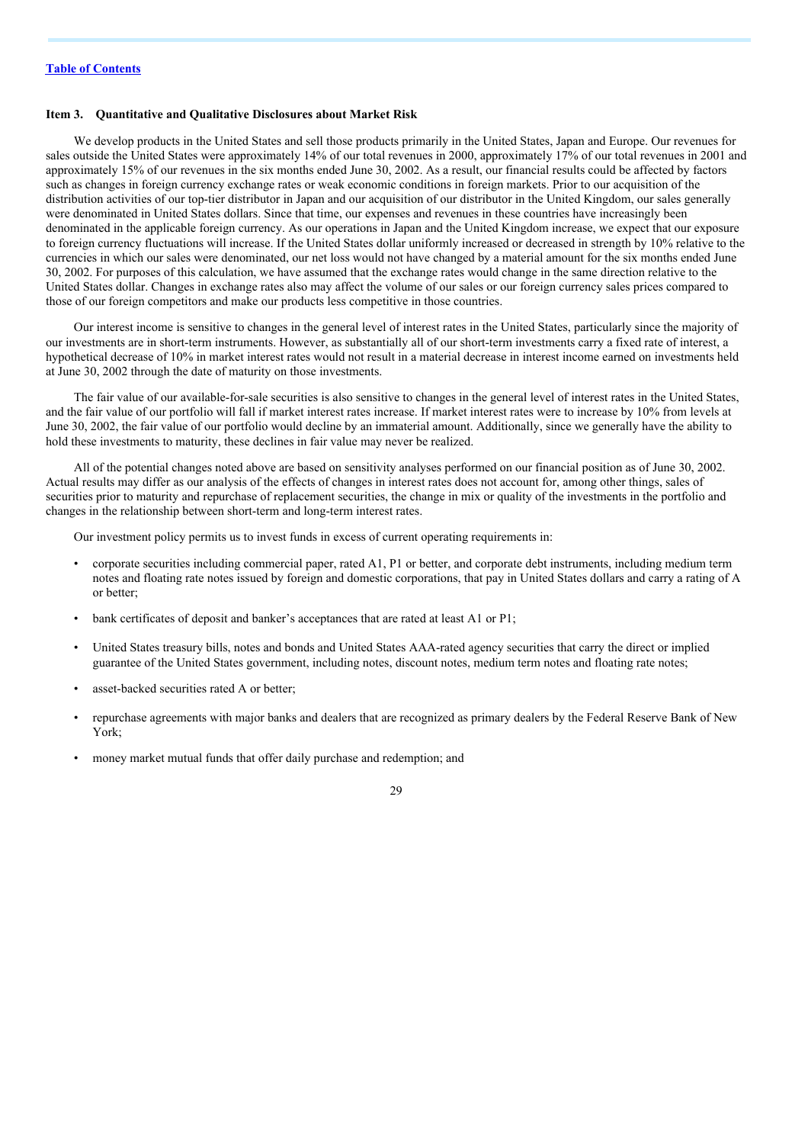### **Item 3. Quantitative and Qualitative Disclosures about Market Risk**

We develop products in the United States and sell those products primarily in the United States, Japan and Europe. Our revenues for sales outside the United States were approximately 14% of our total revenues in 2000, approximately 17% of our total revenues in 2001 and approximately 15% of our revenues in the six months ended June 30, 2002. As a result, our financial results could be affected by factors such as changes in foreign currency exchange rates or weak economic conditions in foreign markets. Prior to our acquisition of the distribution activities of our top-tier distributor in Japan and our acquisition of our distributor in the United Kingdom, our sales generally were denominated in United States dollars. Since that time, our expenses and revenues in these countries have increasingly been denominated in the applicable foreign currency. As our operations in Japan and the United Kingdom increase, we expect that our exposure to foreign currency fluctuations will increase. If the United States dollar uniformly increased or decreased in strength by 10% relative to the currencies in which our sales were denominated, our net loss would not have changed by a material amount for the six months ended June 30, 2002. For purposes of this calculation, we have assumed that the exchange rates would change in the same direction relative to the United States dollar. Changes in exchange rates also may affect the volume of our sales or our foreign currency sales prices compared to those of our foreign competitors and make our products less competitive in those countries.

Our interest income is sensitive to changes in the general level of interest rates in the United States, particularly since the majority of our investments are in short-term instruments. However, as substantially all of our short-term investments carry a fixed rate of interest, a hypothetical decrease of 10% in market interest rates would not result in a material decrease in interest income earned on investments held at June 30, 2002 through the date of maturity on those investments.

The fair value of our available-for-sale securities is also sensitive to changes in the general level of interest rates in the United States, and the fair value of our portfolio will fall if market interest rates increase. If market interest rates were to increase by 10% from levels at June 30, 2002, the fair value of our portfolio would decline by an immaterial amount. Additionally, since we generally have the ability to hold these investments to maturity, these declines in fair value may never be realized.

All of the potential changes noted above are based on sensitivity analyses performed on our financial position as of June 30, 2002. Actual results may differ as our analysis of the effects of changes in interest rates does not account for, among other things, sales of securities prior to maturity and repurchase of replacement securities, the change in mix or quality of the investments in the portfolio and changes in the relationship between short-term and long-term interest rates.

Our investment policy permits us to invest funds in excess of current operating requirements in:

- corporate securities including commercial paper, rated A1, P1 or better, and corporate debt instruments, including medium term notes and floating rate notes issued by foreign and domestic corporations, that pay in United States dollars and carry a rating of A or better;
- bank certificates of deposit and banker's acceptances that are rated at least A1 or P1;
- United States treasury bills, notes and bonds and United States AAA-rated agency securities that carry the direct or implied guarantee of the United States government, including notes, discount notes, medium term notes and floating rate notes;
- asset-backed securities rated A or better;
- repurchase agreements with major banks and dealers that are recognized as primary dealers by the Federal Reserve Bank of New York;
- money market mutual funds that offer daily purchase and redemption; and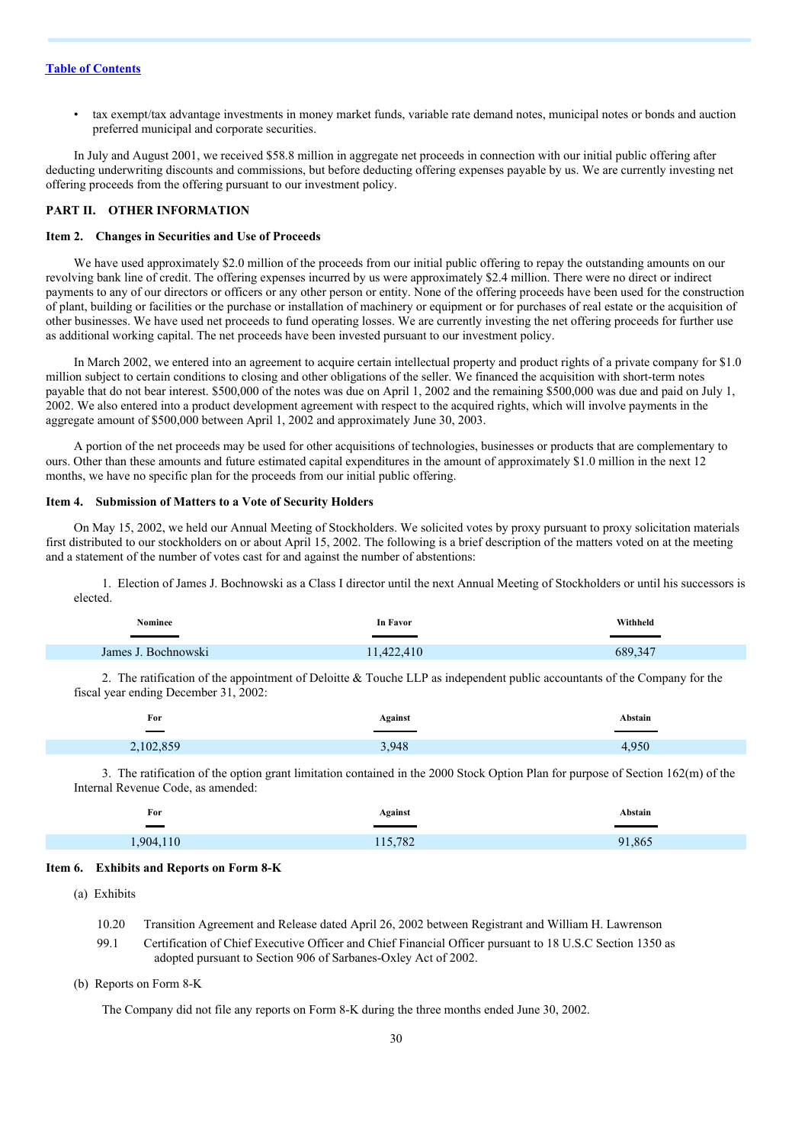• tax exempt/tax advantage investments in money market funds, variable rate demand notes, municipal notes or bonds and auction preferred municipal and corporate securities.

In July and August 2001, we received \$58.8 million in aggregate net proceeds in connection with our initial public offering after deducting underwriting discounts and commissions, but before deducting offering expenses payable by us. We are currently investing net offering proceeds from the offering pursuant to our investment policy.

#### **PART II. OTHER INFORMATION**

#### **Item 2. Changes in Securities and Use of Proceeds**

We have used approximately \$2.0 million of the proceeds from our initial public offering to repay the outstanding amounts on our revolving bank line of credit. The offering expenses incurred by us were approximately \$2.4 million. There were no direct or indirect payments to any of our directors or officers or any other person or entity. None of the offering proceeds have been used for the construction of plant, building or facilities or the purchase or installation of machinery or equipment or for purchases of real estate or the acquisition of other businesses. We have used net proceeds to fund operating losses. We are currently investing the net offering proceeds for further use as additional working capital. The net proceeds have been invested pursuant to our investment policy.

In March 2002, we entered into an agreement to acquire certain intellectual property and product rights of a private company for \$1.0 million subject to certain conditions to closing and other obligations of the seller. We financed the acquisition with short-term notes payable that do not bear interest. \$500,000 of the notes was due on April 1, 2002 and the remaining \$500,000 was due and paid on July 1, 2002. We also entered into a product development agreement with respect to the acquired rights, which will involve payments in the aggregate amount of \$500,000 between April 1, 2002 and approximately June 30, 2003.

A portion of the net proceeds may be used for other acquisitions of technologies, businesses or products that are complementary to ours. Other than these amounts and future estimated capital expenditures in the amount of approximately \$1.0 million in the next 12 months, we have no specific plan for the proceeds from our initial public offering.

#### **Item 4. Submission of Matters to a Vote of Security Holders**

On May 15, 2002, we held our Annual Meeting of Stockholders. We solicited votes by proxy pursuant to proxy solicitation materials first distributed to our stockholders on or about April 15, 2002. The following is a brief description of the matters voted on at the meeting and a statement of the number of votes cast for and against the number of abstentions:

1. Election of James J. Bochnowski as a Class I director until the next Annual Meeting of Stockholders or until his successors is elected.

| Nominee             | In Favor   | Withheld |
|---------------------|------------|----------|
|                     |            |          |
| James J. Bochnowski | 11,422,410 | 689,347  |

2. The ratification of the appointment of Deloitte & Touche LLP as independent public accountants of the Company for the fiscal year ending December 31, 2002:

| For                               | Against | <b>Abstain</b> |
|-----------------------------------|---------|----------------|
| <b>Contract Contract Contract</b> |         |                |
| 2,102,859                         | 3,948   | ∩r∩            |

3. The ratification of the option grant limitation contained in the 2000 Stock Option Plan for purpose of Section 162(m) of the Internal Revenue Code, as amended:

| For<br>$\sim$ | Against | Abstain |
|---------------|---------|---------|
| 1,904,110     | 115,782 | 91,865  |

#### **Item 6. Exhibits and Reports on Form 8-K**

(a) Exhibits

| 10.20 | Transition Agreement and Release dated April 26, 2002 between Registrant and William H. Lawrenson         |
|-------|-----------------------------------------------------------------------------------------------------------|
| 99.1  | Certification of Chief Executive Officer and Chief Financial Officer pursuant to 18 U.S.C Section 1350 as |
|       | adopted pursuant to Section 906 of Sarbanes-Oxley Act of 2002.                                            |

(b) Reports on Form 8-K

The Company did not file any reports on Form 8-K during the three months ended June 30, 2002.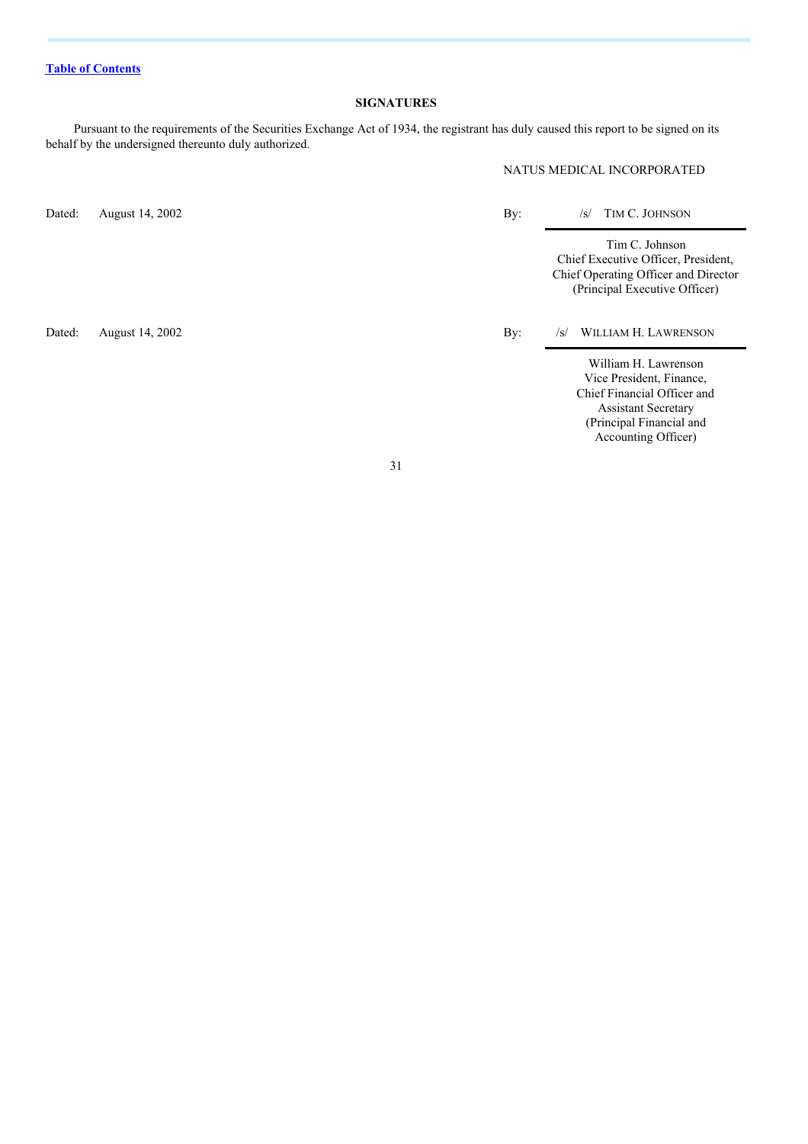#### **SIGNATURES**

Pursuant to the requirements of the Securities Exchange Act of 1934, the registrant has duly caused this report to be signed on its behalf by the undersigned thereunto duly authorized.

NATUS MEDICAL INCORPORATED

Dated: August 14, 2002 By: /s/ TIM C. JOHNSON

Tim C. Johnson Chief Executive Officer, President, Chief Operating Officer and Director (Principal Executive Officer)

Dated: August 14, 2002 By: /s/ WILLIAM H. LAWRENSON

William H. Lawrenson Vice President, Finance, Chief Financial Officer and Assistant Secretary (Principal Financial and Accounting Officer)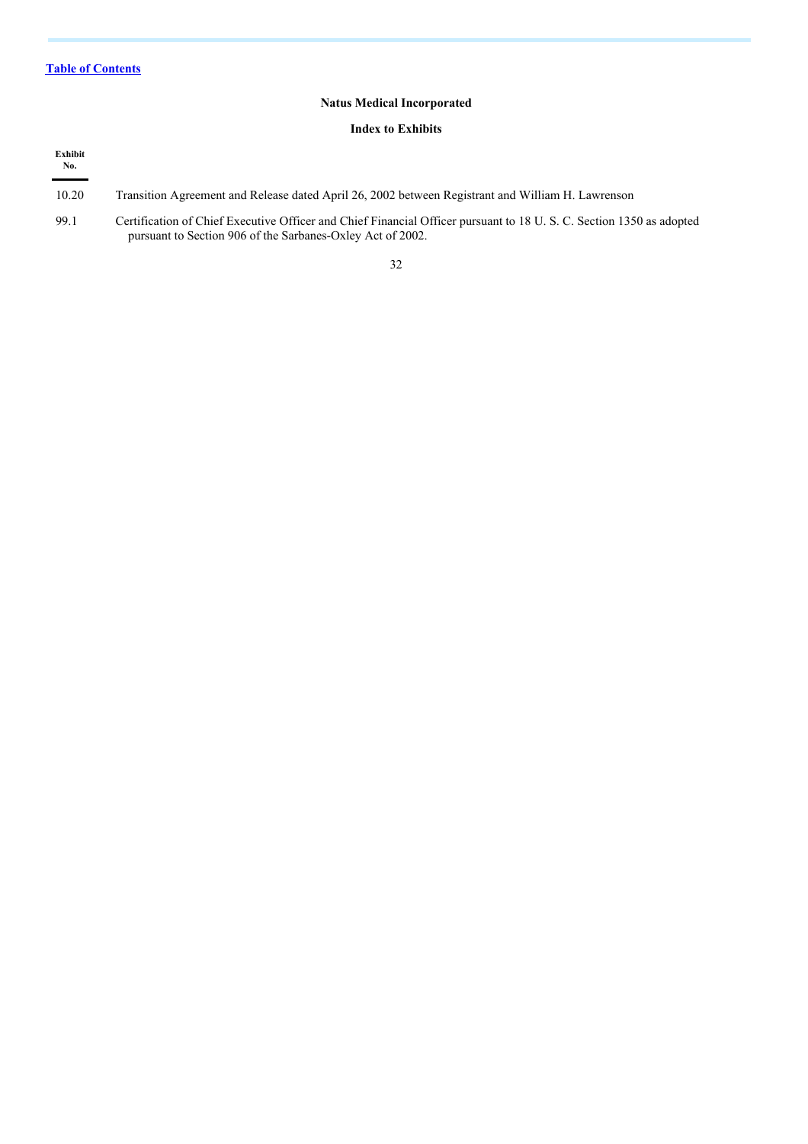## **Natus Medical Incorporated**

#### **Index to Exhibits**

| Exhibit<br>No. |                                                                                                                                                                                  |
|----------------|----------------------------------------------------------------------------------------------------------------------------------------------------------------------------------|
| 10.20          | Transition Agreement and Release dated April 26, 2002 between Registrant and William H. Lawrenson                                                                                |
| 99.1           | Certification of Chief Executive Officer and Chief Financial Officer pursuant to 18 U.S.C. Section 1350 as adopted<br>pursuant to Section 906 of the Sarbanes-Oxley Act of 2002. |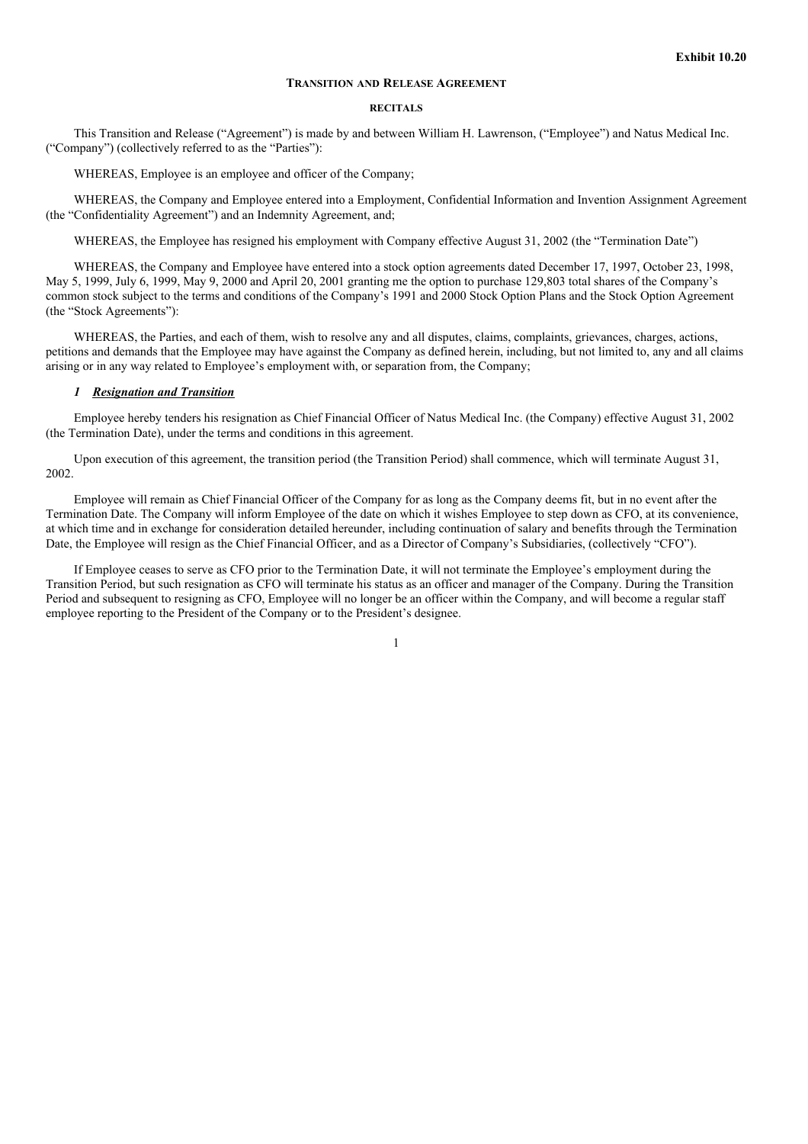#### **TRANSITION AND RELEASE AGREEMENT**

#### **RECITALS**

This Transition and Release ("Agreement") is made by and between William H. Lawrenson, ("Employee") and Natus Medical Inc. ("Company") (collectively referred to as the "Parties"):

WHEREAS, Employee is an employee and officer of the Company;

WHEREAS, the Company and Employee entered into a Employment, Confidential Information and Invention Assignment Agreement (the "Confidentiality Agreement") and an Indemnity Agreement, and;

WHEREAS, the Employee has resigned his employment with Company effective August 31, 2002 (the "Termination Date")

WHEREAS, the Company and Employee have entered into a stock option agreements dated December 17, 1997, October 23, 1998, May 5, 1999, July 6, 1999, May 9, 2000 and April 20, 2001 granting me the option to purchase 129,803 total shares of the Company's common stock subject to the terms and conditions of the Company's 1991 and 2000 Stock Option Plans and the Stock Option Agreement (the "Stock Agreements"):

WHEREAS, the Parties, and each of them, wish to resolve any and all disputes, claims, complaints, grievances, charges, actions, petitions and demands that the Employee may have against the Company as defined herein, including, but not limited to, any and all claims arising or in any way related to Employee's employment with, or separation from, the Company;

#### *1 Resignation and Transition*

Employee hereby tenders his resignation as Chief Financial Officer of Natus Medical Inc. (the Company) effective August 31, 2002 (the Termination Date), under the terms and conditions in this agreement.

Upon execution of this agreement, the transition period (the Transition Period) shall commence, which will terminate August 31, 2002.

Employee will remain as Chief Financial Officer of the Company for as long as the Company deems fit, but in no event after the Termination Date. The Company will inform Employee of the date on which it wishes Employee to step down as CFO, at its convenience, at which time and in exchange for consideration detailed hereunder, including continuation of salary and benefits through the Termination Date, the Employee will resign as the Chief Financial Officer, and as a Director of Company's Subsidiaries, (collectively "CFO").

If Employee ceases to serve as CFO prior to the Termination Date, it will not terminate the Employee's employment during the Transition Period, but such resignation as CFO will terminate his status as an officer and manager of the Company. During the Transition Period and subsequent to resigning as CFO, Employee will no longer be an officer within the Company, and will become a regular staff employee reporting to the President of the Company or to the President's designee.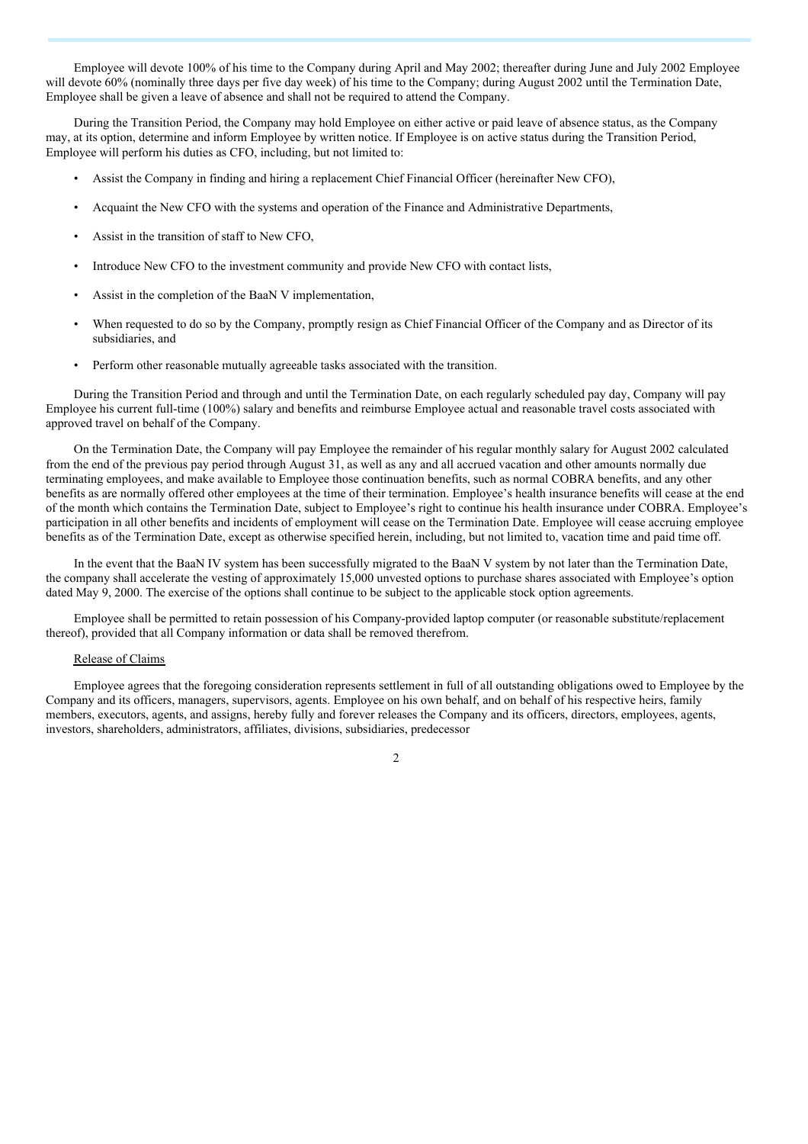Employee will devote 100% of his time to the Company during April and May 2002; thereafter during June and July 2002 Employee will devote 60% (nominally three days per five day week) of his time to the Company; during August 2002 until the Termination Date, Employee shall be given a leave of absence and shall not be required to attend the Company.

During the Transition Period, the Company may hold Employee on either active or paid leave of absence status, as the Company may, at its option, determine and inform Employee by written notice. If Employee is on active status during the Transition Period, Employee will perform his duties as CFO, including, but not limited to:

- Assist the Company in finding and hiring a replacement Chief Financial Officer (hereinafter New CFO),
- Acquaint the New CFO with the systems and operation of the Finance and Administrative Departments,
- Assist in the transition of staff to New CFO,
- Introduce New CFO to the investment community and provide New CFO with contact lists,
- Assist in the completion of the BaaN V implementation,
- When requested to do so by the Company, promptly resign as Chief Financial Officer of the Company and as Director of its subsidiaries, and
- Perform other reasonable mutually agreeable tasks associated with the transition.

During the Transition Period and through and until the Termination Date, on each regularly scheduled pay day, Company will pay Employee his current full-time (100%) salary and benefits and reimburse Employee actual and reasonable travel costs associated with approved travel on behalf of the Company.

On the Termination Date, the Company will pay Employee the remainder of his regular monthly salary for August 2002 calculated from the end of the previous pay period through August 31, as well as any and all accrued vacation and other amounts normally due terminating employees, and make available to Employee those continuation benefits, such as normal COBRA benefits, and any other benefits as are normally offered other employees at the time of their termination. Employee's health insurance benefits will cease at the end of the month which contains the Termination Date, subject to Employee's right to continue his health insurance under COBRA. Employee's participation in all other benefits and incidents of employment will cease on the Termination Date. Employee will cease accruing employee benefits as of the Termination Date, except as otherwise specified herein, including, but not limited to, vacation time and paid time off.

In the event that the BaaN IV system has been successfully migrated to the BaaN V system by not later than the Termination Date, the company shall accelerate the vesting of approximately 15,000 unvested options to purchase shares associated with Employee's option dated May 9, 2000. The exercise of the options shall continue to be subject to the applicable stock option agreements.

Employee shall be permitted to retain possession of his Company-provided laptop computer (or reasonable substitute/replacement thereof), provided that all Company information or data shall be removed therefrom.

#### Release of Claims

Employee agrees that the foregoing consideration represents settlement in full of all outstanding obligations owed to Employee by the Company and its officers, managers, supervisors, agents. Employee on his own behalf, and on behalf of his respective heirs, family members, executors, agents, and assigns, hereby fully and forever releases the Company and its officers, directors, employees, agents, investors, shareholders, administrators, affiliates, divisions, subsidiaries, predecessor

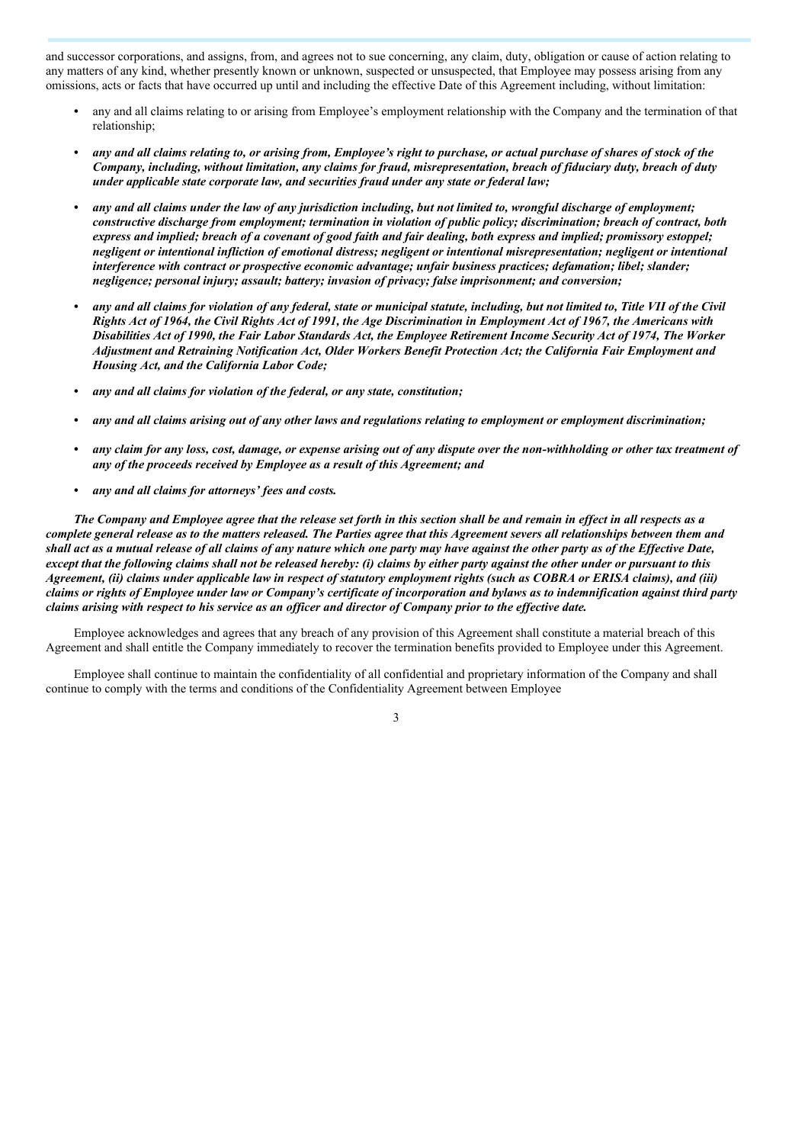and successor corporations, and assigns, from, and agrees not to sue concerning, any claim, duty, obligation or cause of action relating to any matters of any kind, whether presently known or unknown, suspected or unsuspected, that Employee may possess arising from any omissions, acts or facts that have occurred up until and including the effective Date of this Agreement including, without limitation:

- *•* any and all claims relating to or arising from Employee's employment relationship with the Company and the termination of that relationship;
- any and all claims relating to, or arising from, Employee's right to purchase, or actual purchase of shares of stock of the Company, including, without limitation, any claims for fraud, misrepresentation, breach of fiduciary duty, breach of duty *under applicable state corporate law, and securities fraud under any state or federal law;*
- any and all claims under the law of any jurisdiction including, but not limited to, wrongful discharge of employment; constructive discharge from employment; termination in violation of public policy; discrimination; breach of contract, both express and implied; breach of a covenant of good faith and fair dealing, both express and implied; promissory estoppel; negligent or intentional infliction of emotional distress; negligent or intentional misrepresentation; negligent or intentional *interference with contract or prospective economic advantage; unfair business practices; defamation; libel; slander; negligence; personal injury; assault; battery; invasion of privacy; false imprisonment; and conversion;*
- any and all claims for violation of any federal, state or municipal statute, including, but not limited to, Title VII of the Civil Rights Act of 1964, the Civil Rights Act of 1991, the Age Discrimination in Employment Act of 1967, the Americans with Disabilities Act of 1990, the Fair Labor Standards Act, the Employee Retirement Income Security Act of 1974, The Worker *Adjustment and Retraining Notification Act, Older Workers Benefit Protection Act; the California Fair Employment and Housing Act, and the California Labor Code;*
- *• any and all claims for violation of the federal, or any state, constitution;*
- any and all claims arising out of any other laws and regulations relating to employment or employment discrimination;
- any claim for any loss, cost, damage, or expense arising out of any dispute over the non-withholding or other tax treatment of *any of the proceeds received by Employee as a result of this Agreement; and*
- *• any and all claims for attorneys' fees and costs.*

The Company and Employee agree that the release set forth in this section shall be and remain in effect in all respects as a complete general release as to the matters released. The Parties agree that this Agreement severs all relationships between them and shall act as a mutual release of all claims of any nature which one party may have against the other party as of the Effective Date, except that the following claims shall not be released hereby: (i) claims by either party against the other under or pursuant to this Agreement, (ii) claims under applicable law in respect of statutory employment rights (such as COBRA or ERISA claims), and (iii) claims or rights of Employee under law or Company's certificate of incorporation and bylaws as to indemnification against third party claims arising with respect to his service as an officer and director of Company prior to the effective date.

Employee acknowledges and agrees that any breach of any provision of this Agreement shall constitute a material breach of this Agreement and shall entitle the Company immediately to recover the termination benefits provided to Employee under this Agreement.

Employee shall continue to maintain the confidentiality of all confidential and proprietary information of the Company and shall continue to comply with the terms and conditions of the Confidentiality Agreement between Employee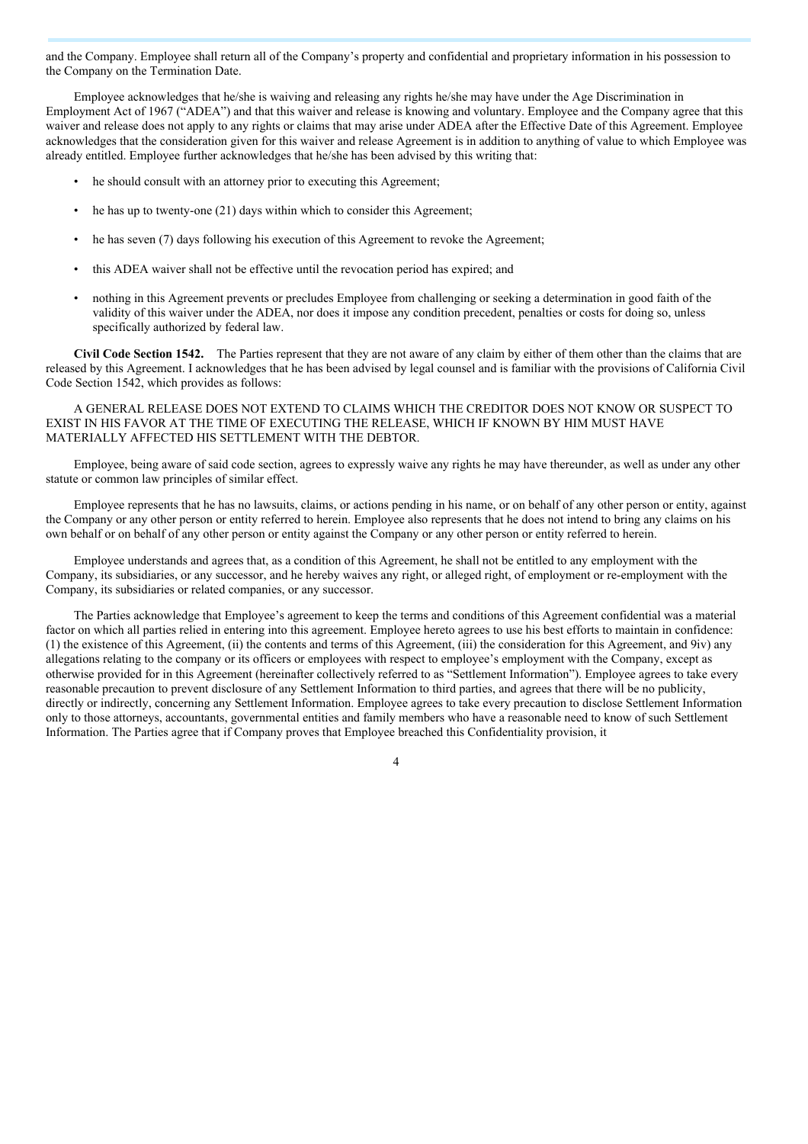and the Company. Employee shall return all of the Company's property and confidential and proprietary information in his possession to the Company on the Termination Date.

Employee acknowledges that he/she is waiving and releasing any rights he/she may have under the Age Discrimination in Employment Act of 1967 ("ADEA") and that this waiver and release is knowing and voluntary. Employee and the Company agree that this waiver and release does not apply to any rights or claims that may arise under ADEA after the Effective Date of this Agreement. Employee acknowledges that the consideration given for this waiver and release Agreement is in addition to anything of value to which Employee was already entitled. Employee further acknowledges that he/she has been advised by this writing that:

- he should consult with an attorney prior to executing this Agreement;
- he has up to twenty-one (21) days within which to consider this Agreement;
- he has seven (7) days following his execution of this Agreement to revoke the Agreement;
- this ADEA waiver shall not be effective until the revocation period has expired; and
- nothing in this Agreement prevents or precludes Employee from challenging or seeking a determination in good faith of the validity of this waiver under the ADEA, nor does it impose any condition precedent, penalties or costs for doing so, unless specifically authorized by federal law.

**Civil Code Section 1542.** The Parties represent that they are not aware of any claim by either of them other than the claims that are released by this Agreement. I acknowledges that he has been advised by legal counsel and is familiar with the provisions of California Civil Code Section 1542, which provides as follows:

A GENERAL RELEASE DOES NOT EXTEND TO CLAIMS WHICH THE CREDITOR DOES NOT KNOW OR SUSPECT TO EXIST IN HIS FAVOR AT THE TIME OF EXECUTING THE RELEASE, WHICH IF KNOWN BY HIM MUST HAVE MATERIALLY AFFECTED HIS SETTLEMENT WITH THE DEBTOR.

Employee, being aware of said code section, agrees to expressly waive any rights he may have thereunder, as well as under any other statute or common law principles of similar effect.

Employee represents that he has no lawsuits, claims, or actions pending in his name, or on behalf of any other person or entity, against the Company or any other person or entity referred to herein. Employee also represents that he does not intend to bring any claims on his own behalf or on behalf of any other person or entity against the Company or any other person or entity referred to herein.

Employee understands and agrees that, as a condition of this Agreement, he shall not be entitled to any employment with the Company, its subsidiaries, or any successor, and he hereby waives any right, or alleged right, of employment or re-employment with the Company, its subsidiaries or related companies, or any successor.

The Parties acknowledge that Employee's agreement to keep the terms and conditions of this Agreement confidential was a material factor on which all parties relied in entering into this agreement. Employee hereto agrees to use his best efforts to maintain in confidence: (1) the existence of this Agreement, (ii) the contents and terms of this Agreement, (iii) the consideration for this Agreement, and 9iv) any allegations relating to the company or its officers or employees with respect to employee's employment with the Company, except as otherwise provided for in this Agreement (hereinafter collectively referred to as "Settlement Information"). Employee agrees to take every reasonable precaution to prevent disclosure of any Settlement Information to third parties, and agrees that there will be no publicity, directly or indirectly, concerning any Settlement Information. Employee agrees to take every precaution to disclose Settlement Information only to those attorneys, accountants, governmental entities and family members who have a reasonable need to know of such Settlement Information. The Parties agree that if Company proves that Employee breached this Confidentiality provision, it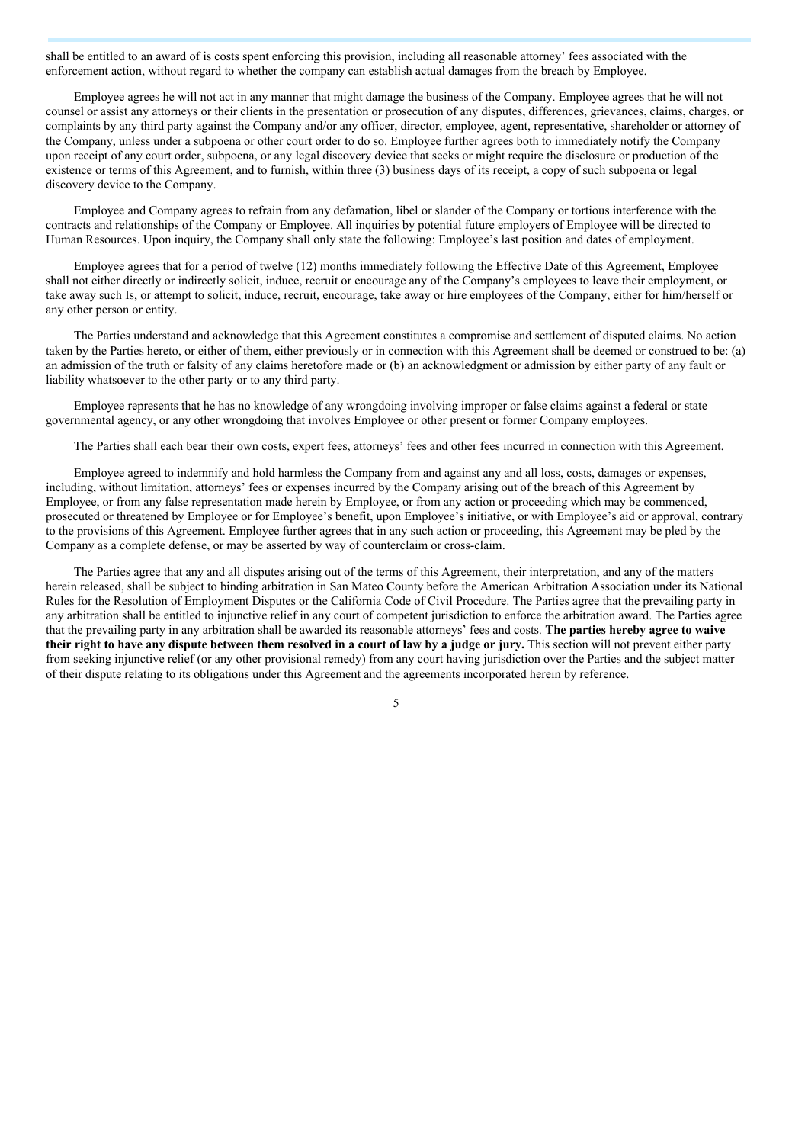shall be entitled to an award of is costs spent enforcing this provision, including all reasonable attorney' fees associated with the enforcement action, without regard to whether the company can establish actual damages from the breach by Employee.

Employee agrees he will not act in any manner that might damage the business of the Company. Employee agrees that he will not counsel or assist any attorneys or their clients in the presentation or prosecution of any disputes, differences, grievances, claims, charges, or complaints by any third party against the Company and/or any officer, director, employee, agent, representative, shareholder or attorney of the Company, unless under a subpoena or other court order to do so. Employee further agrees both to immediately notify the Company upon receipt of any court order, subpoena, or any legal discovery device that seeks or might require the disclosure or production of the existence or terms of this Agreement, and to furnish, within three (3) business days of its receipt, a copy of such subpoena or legal discovery device to the Company.

Employee and Company agrees to refrain from any defamation, libel or slander of the Company or tortious interference with the contracts and relationships of the Company or Employee. All inquiries by potential future employers of Employee will be directed to Human Resources. Upon inquiry, the Company shall only state the following: Employee's last position and dates of employment.

Employee agrees that for a period of twelve (12) months immediately following the Effective Date of this Agreement, Employee shall not either directly or indirectly solicit, induce, recruit or encourage any of the Company's employees to leave their employment, or take away such Is, or attempt to solicit, induce, recruit, encourage, take away or hire employees of the Company, either for him/herself or any other person or entity.

The Parties understand and acknowledge that this Agreement constitutes a compromise and settlement of disputed claims. No action taken by the Parties hereto, or either of them, either previously or in connection with this Agreement shall be deemed or construed to be: (a) an admission of the truth or falsity of any claims heretofore made or (b) an acknowledgment or admission by either party of any fault or liability whatsoever to the other party or to any third party.

Employee represents that he has no knowledge of any wrongdoing involving improper or false claims against a federal or state governmental agency, or any other wrongdoing that involves Employee or other present or former Company employees.

The Parties shall each bear their own costs, expert fees, attorneys' fees and other fees incurred in connection with this Agreement.

Employee agreed to indemnify and hold harmless the Company from and against any and all loss, costs, damages or expenses, including, without limitation, attorneys' fees or expenses incurred by the Company arising out of the breach of this Agreement by Employee, or from any false representation made herein by Employee, or from any action or proceeding which may be commenced, prosecuted or threatened by Employee or for Employee's benefit, upon Employee's initiative, or with Employee's aid or approval, contrary to the provisions of this Agreement. Employee further agrees that in any such action or proceeding, this Agreement may be pled by the Company as a complete defense, or may be asserted by way of counterclaim or cross-claim.

The Parties agree that any and all disputes arising out of the terms of this Agreement, their interpretation, and any of the matters herein released, shall be subject to binding arbitration in San Mateo County before the American Arbitration Association under its National Rules for the Resolution of Employment Disputes or the California Code of Civil Procedure. The Parties agree that the prevailing party in any arbitration shall be entitled to injunctive relief in any court of competent jurisdiction to enforce the arbitration award. The Parties agree that the prevailing party in any arbitration shall be awarded its reasonable attorneys' fees and costs. **The parties hereby agree to waive** their right to have any dispute between them resolved in a court of law by a judge or jury. This section will not prevent either party from seeking injunctive relief (or any other provisional remedy) from any court having jurisdiction over the Parties and the subject matter of their dispute relating to its obligations under this Agreement and the agreements incorporated herein by reference.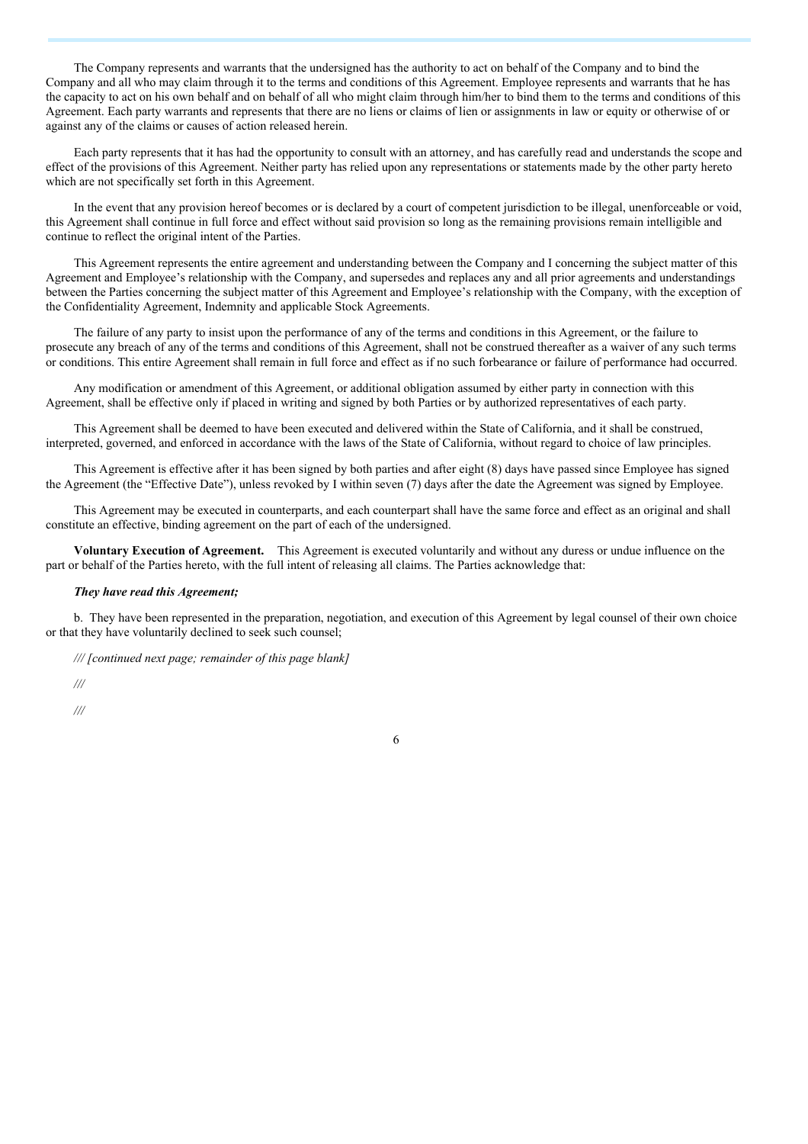The Company represents and warrants that the undersigned has the authority to act on behalf of the Company and to bind the Company and all who may claim through it to the terms and conditions of this Agreement. Employee represents and warrants that he has the capacity to act on his own behalf and on behalf of all who might claim through him/her to bind them to the terms and conditions of this Agreement. Each party warrants and represents that there are no liens or claims of lien or assignments in law or equity or otherwise of or against any of the claims or causes of action released herein.

Each party represents that it has had the opportunity to consult with an attorney, and has carefully read and understands the scope and effect of the provisions of this Agreement. Neither party has relied upon any representations or statements made by the other party hereto which are not specifically set forth in this Agreement.

In the event that any provision hereof becomes or is declared by a court of competent jurisdiction to be illegal, unenforceable or void, this Agreement shall continue in full force and effect without said provision so long as the remaining provisions remain intelligible and continue to reflect the original intent of the Parties.

This Agreement represents the entire agreement and understanding between the Company and I concerning the subject matter of this Agreement and Employee's relationship with the Company, and supersedes and replaces any and all prior agreements and understandings between the Parties concerning the subject matter of this Agreement and Employee's relationship with the Company, with the exception of the Confidentiality Agreement, Indemnity and applicable Stock Agreements.

The failure of any party to insist upon the performance of any of the terms and conditions in this Agreement, or the failure to prosecute any breach of any of the terms and conditions of this Agreement, shall not be construed thereafter as a waiver of any such terms or conditions. This entire Agreement shall remain in full force and effect as if no such forbearance or failure of performance had occurred.

Any modification or amendment of this Agreement, or additional obligation assumed by either party in connection with this Agreement, shall be effective only if placed in writing and signed by both Parties or by authorized representatives of each party.

This Agreement shall be deemed to have been executed and delivered within the State of California, and it shall be construed, interpreted, governed, and enforced in accordance with the laws of the State of California, without regard to choice of law principles.

This Agreement is effective after it has been signed by both parties and after eight (8) days have passed since Employee has signed the Agreement (the "Effective Date"), unless revoked by I within seven (7) days after the date the Agreement was signed by Employee.

This Agreement may be executed in counterparts, and each counterpart shall have the same force and effect as an original and shall constitute an effective, binding agreement on the part of each of the undersigned.

**Voluntary Execution of Agreement.** This Agreement is executed voluntarily and without any duress or undue influence on the part or behalf of the Parties hereto, with the full intent of releasing all claims. The Parties acknowledge that:

#### *They have read this Agreement;*

b. They have been represented in the preparation, negotiation, and execution of this Agreement by legal counsel of their own choice or that they have voluntarily declined to seek such counsel;

6

*/// [continued next page; remainder of this page blank]*

*///*

*///*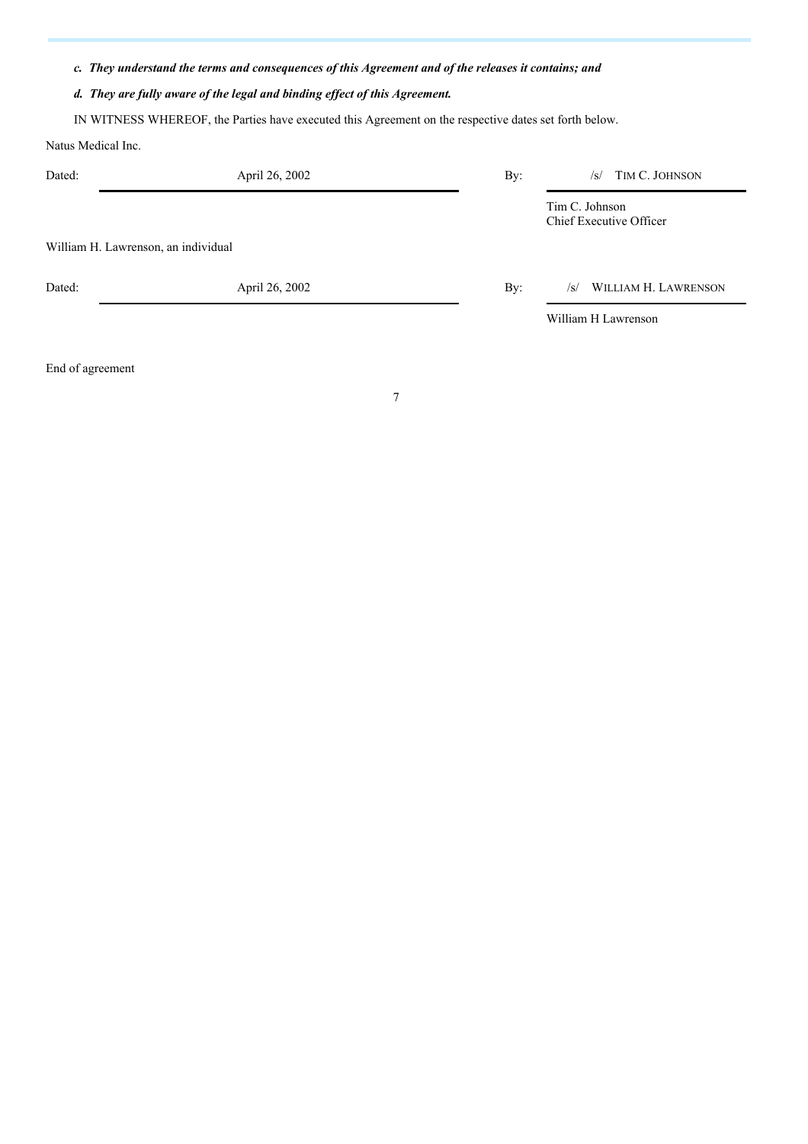### *c. They understand the terms and consequences of this Agreement and of the releases it contains; and*

## *d. They are fully aware of the legal and binding ef ect of this Agreement.*

IN WITNESS WHEREOF, the Parties have executed this Agreement on the respective dates set forth below.

Natus Medical Inc.

| Dated:                              | April 26, 2002 | By: | TIM C. JOHNSON<br>$\sqrt{s}$              |  |  |
|-------------------------------------|----------------|-----|-------------------------------------------|--|--|
|                                     |                |     | Tim C. Johnson<br>Chief Executive Officer |  |  |
| William H. Lawrenson, an individual |                |     |                                           |  |  |
| Dated:                              | April 26, 2002 | By: | WILLIAM H. LAWRENSON<br>$\sqrt{s}$        |  |  |
|                                     |                |     | William H Lawrenson                       |  |  |

End of agreement